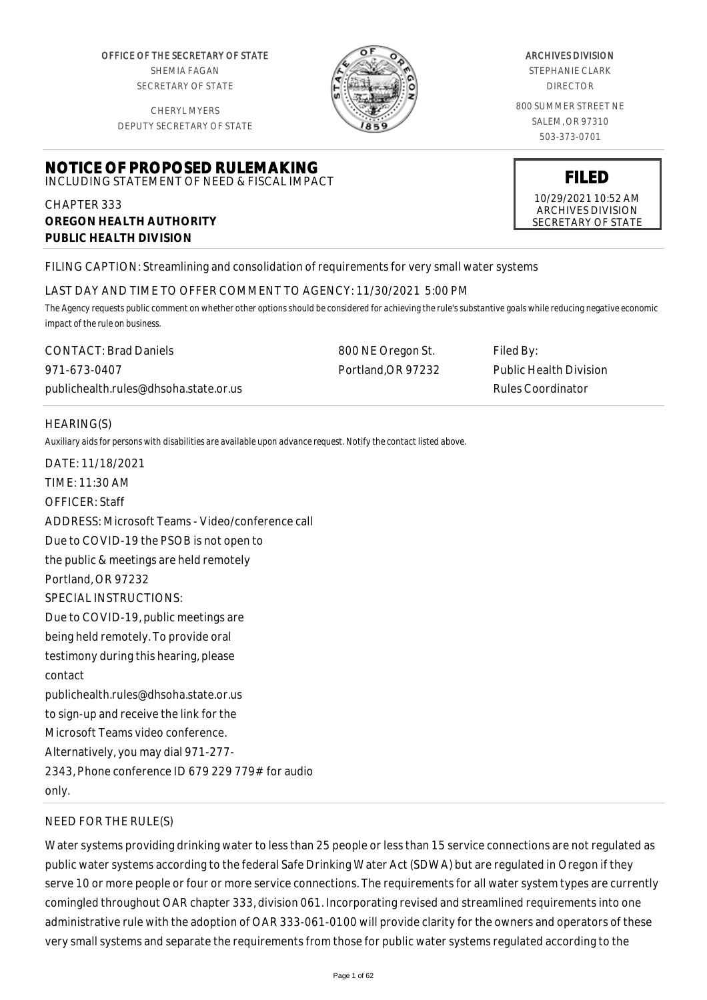OFFICE OF THE SECRETARY OF STATE SHEMIA FAGAN SECRETARY OF STATE

CHERYL MYERS DEPUTY SECRETARY OF STATE

**NOTICE OF PROPOSED RULEMAKING** INCLUDING STATEMENT OF NEED & FISCAL IMPACT



#### ARCHIVES DIVISION

STEPHANIE CLARK DIRECTOR

800 SUMMER STREET NE SALEM, OR 97310 503-373-0701

# **FILED**

10/29/2021 10:52 AM ARCHIVES DIVISION SECRETARY OF STATE

**OREGON HEALTH AUTHORITY PUBLIC HEALTH DIVISION**

FILING CAPTION: Streamlining and consolidation of requirements for very small water systems

#### LAST DAY AND TIME TO OFFER COMMENT TO AGENCY: 11/30/2021 5:00 PM

*The Agency requests public comment on whether other options should be considered for achieving the rule's substantive goals while reducing negative economic impact of the rule on business.*

CONTACT: Brad Daniels 971-673-0407 publichealth.rules@dhsoha.state.or.us 800 NE Oregon St. Portland,OR 97232 Filed By: Public Health Division Rules Coordinator

# HEARING(S)

CHAPTER 333

*Auxiliary aids for persons with disabilities are available upon advance request. Notify the contact listed above.*

DATE: 11/18/2021 TIME: 11:30 AM OFFICER: Staff ADDRESS: Microsoft Teams - Video/conference call Due to COVID-19 the PSOB is not open to the public & meetings are held remotely Portland, OR 97232 SPECIAL INSTRUCTIONS: Due to COVID-19, public meetings are being held remotely. To provide oral testimony during this hearing, please contact publichealth.rules@dhsoha.state.or.us to sign-up and receive the link for the Microsoft Teams video conference. Alternatively, you may dial 971-277- 2343, Phone conference ID 679 229 779# for audio only.

# NEED FOR THE RULE(S)

Water systems providing drinking water to less than 25 people or less than 15 service connections are not regulated as public water systems according to the federal Safe Drinking Water Act (SDWA) but are regulated in Oregon if they serve 10 or more people or four or more service connections. The requirements for all water system types are currently comingled throughout OAR chapter 333, division 061. Incorporating revised and streamlined requirements into one administrative rule with the adoption of OAR 333-061-0100 will provide clarity for the owners and operators of these very small systems and separate the requirements from those for public water systems regulated according to the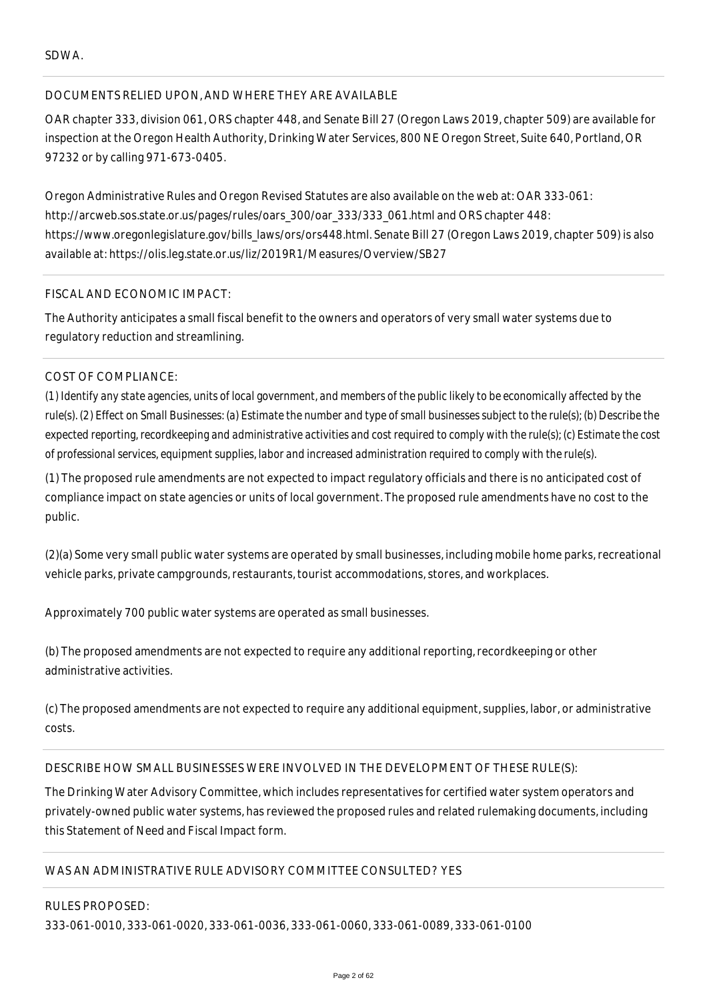## SDWA.

## DOCUMENTS RELIED UPON, AND WHERE THEY ARE AVAILABLE

OAR chapter 333, division 061, ORS chapter 448, and Senate Bill 27 (Oregon Laws 2019, chapter 509) are available for inspection at the Oregon Health Authority, Drinking Water Services, 800 NE Oregon Street, Suite 640, Portland, OR 97232 or by calling 971-673-0405.

Oregon Administrative Rules and Oregon Revised Statutes are also available on the web at: OAR 333-061: http://arcweb.sos.state.or.us/pages/rules/oars\_300/oar\_333/333\_061.html and ORS chapter 448: https://www.oregonlegislature.gov/bills\_laws/ors/ors448.html. Senate Bill 27 (Oregon Laws 2019, chapter 509) is also available at: https://olis.leg.state.or.us/liz/2019R1/Measures/Overview/SB27

#### FISCAL AND ECONOMIC IMPACT:

The Authority anticipates a small fiscal benefit to the owners and operators of very small water systems due to regulatory reduction and streamlining.

## COST OF COMPLIANCE:

*(1) Identify any state agencies, units of local government, and members of the public likely to be economically affected by the rule(s). (2) Effect on Small Businesses: (a) Estimate the number and type of small businesses subject to the rule(s); (b) Describe the expected reporting, recordkeeping and administrative activities and cost required to comply with the rule(s); (c) Estimate the cost of professional services, equipment supplies, labor and increased administration required to comply with the rule(s).*

(1) The proposed rule amendments are not expected to impact regulatory officials and there is no anticipated cost of compliance impact on state agencies or units of local government. The proposed rule amendments have no cost to the public.

(2)(a) Some very small public water systems are operated by small businesses, including mobile home parks, recreational vehicle parks, private campgrounds, restaurants, tourist accommodations, stores, and workplaces.

Approximately 700 public water systems are operated as small businesses.

(b) The proposed amendments are not expected to require any additional reporting, recordkeeping or other administrative activities.

(c) The proposed amendments are not expected to require any additional equipment, supplies, labor, or administrative costs.

## DESCRIBE HOW SMALL BUSINESSES WERE INVOLVED IN THE DEVELOPMENT OF THESE RULE(S):

The Drinking Water Advisory Committee, which includes representatives for certified water system operators and privately-owned public water systems, has reviewed the proposed rules and related rulemaking documents, including this Statement of Need and Fiscal Impact form.

#### WAS AN ADMINISTRATIVE RULE ADVISORY COMMITTEE CONSULTED? YES

RULES PROPOSED:

333-061-0010, 333-061-0020, 333-061-0036, 333-061-0060, 333-061-0089, 333-061-0100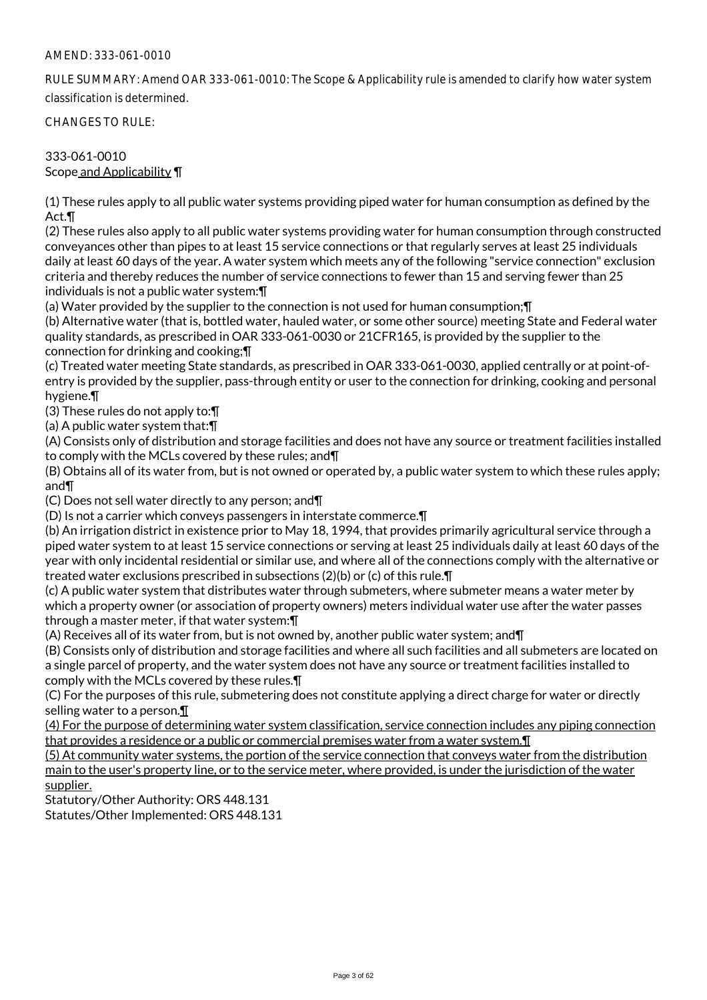#### AMEND: 333-061-0010

RULE SUMMARY: Amend OAR 333-061-0010: The Scope & Applicability rule is amended to clarify how water system classification is determined.

CHANGES TO RULE:

333-061-0010 Scope and Applicability ¶

(1) These rules apply to all public water systems providing piped water for human consumption as defined by the Act.¶

(2) These rules also apply to all public water systems providing water for human consumption through constructed conveyances other than pipes to at least 15 service connections or that regularly serves at least 25 individuals daily at least 60 days of the year. A water system which meets any of the following "service connection" exclusion criteria and thereby reduces the number of service connections to fewer than 15 and serving fewer than 25 individuals is not a public water system:¶

(a) Water provided by the supplier to the connection is not used for human consumption;¶

(b) Alternative water (that is, bottled water, hauled water, or some other source) meeting State and Federal water quality standards, as prescribed in OAR 333-061-0030 or 21CFR165, is provided by the supplier to the connection for drinking and cooking;¶

(c) Treated water meeting State standards, as prescribed in OAR 333-061-0030, applied centrally or at point-ofentry is provided by the supplier, pass-through entity or user to the connection for drinking, cooking and personal hygiene.¶

(3) These rules do not apply to:¶

(a) A public water system that:¶

(A) Consists only of distribution and storage facilities and does not have any source or treatment facilities installed to comply with the MCLs covered by these rules; and¶

(B) Obtains all of its water from, but is not owned or operated by, a public water system to which these rules apply; and¶

(C) Does not sell water directly to any person; and¶

(D) Is not a carrier which conveys passengers in interstate commerce.¶

(b) An irrigation district in existence prior to May 18, 1994, that provides primarily agricultural service through a piped water system to at least 15 service connections or serving at least 25 individuals daily at least 60 days of the year with only incidental residential or similar use, and where all of the connections comply with the alternative or treated water exclusions prescribed in subsections (2)(b) or (c) of this rule.¶

(c) A public water system that distributes water through submeters, where submeter means a water meter by which a property owner (or association of property owners) meters individual water use after the water passes through a master meter, if that water system:¶

(A) Receives all of its water from, but is not owned by, another public water system; and¶

(B) Consists only of distribution and storage facilities and where all such facilities and all submeters are located on a single parcel of property, and the water system does not have any source or treatment facilities installed to comply with the MCLs covered by these rules.¶

(C) For the purposes of this rule, submetering does not constitute applying a direct charge for water or directly selling water to a person.¶

(4) For the purpose of determining water system classification, service connection includes any piping connection that provides a residence or a public or commercial premises water from a water system.¶

(5) At community water systems, the portion of the service connection that conveys water from the distribution main to the user's property line, or to the service meter, where provided, is under the jurisdiction of the water supplier.

Statutory/Other Authority: ORS 448.131

Statutes/Other Implemented: ORS 448.131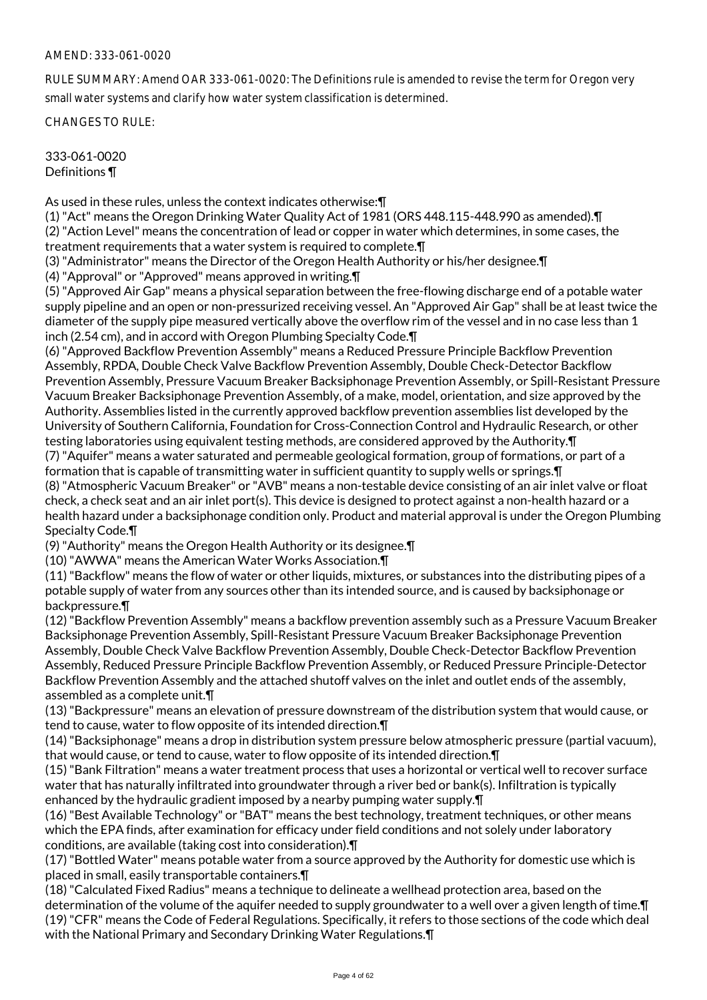#### AMEND: 333-061-0020

RULE SUMMARY: Amend OAR 333-061-0020: The Definitions rule is amended to revise the term for Oregon very small water systems and clarify how water system classification is determined.

CHANGES TO RULE:

333-061-0020 Definitions ¶

As used in these rules, unless the context indicates otherwise:¶

(1) "Act" means the Oregon Drinking Water Quality Act of 1981 (ORS 448.115-448.990 as amended).¶ (2) "Action Level" means the concentration of lead or copper in water which determines, in some cases, the treatment requirements that a water system is required to complete.¶

(3) "Administrator" means the Director of the Oregon Health Authority or his/her designee.¶

(4) "Approval" or "Approved" means approved in writing.¶

(5) "Approved Air Gap" means a physical separation between the free-flowing discharge end of a potable water supply pipeline and an open or non-pressurized receiving vessel. An "Approved Air Gap" shall be at least twice the diameter of the supply pipe measured vertically above the overflow rim of the vessel and in no case less than 1 inch (2.54 cm), and in accord with Oregon Plumbing Specialty Code.¶

(6) "Approved Backflow Prevention Assembly" means a Reduced Pressure Principle Backflow Prevention Assembly, RPDA, Double Check Valve Backflow Prevention Assembly, Double Check-Detector Backflow Prevention Assembly, Pressure Vacuum Breaker Backsiphonage Prevention Assembly, or Spill-Resistant Pressure Vacuum Breaker Backsiphonage Prevention Assembly, of a make, model, orientation, and size approved by the Authority. Assemblies listed in the currently approved backflow prevention assemblies list developed by the University of Southern California, Foundation for Cross-Connection Control and Hydraulic Research, or other testing laboratories using equivalent testing methods, are considered approved by the Authority.¶ (7) "Aquifer" means a water saturated and permeable geological formation, group of formations, or part of a formation that is capable of transmitting water in sufficient quantity to supply wells or springs.¶

(8) "Atmospheric Vacuum Breaker" or "AVB" means a non-testable device consisting of an air inlet valve or float check, a check seat and an air inlet port(s). This device is designed to protect against a non-health hazard or a health hazard under a backsiphonage condition only. Product and material approval is under the Oregon Plumbing Specialty Code.¶

(9) "Authority" means the Oregon Health Authority or its designee.¶

(10) "AWWA" means the American Water Works Association.¶

(11) "Backflow" means the flow of water or other liquids, mixtures, or substances into the distributing pipes of a potable supply of water from any sources other than its intended source, and is caused by backsiphonage or backpressure.¶

(12) "Backflow Prevention Assembly" means a backflow prevention assembly such as a Pressure Vacuum Breaker Backsiphonage Prevention Assembly, Spill-Resistant Pressure Vacuum Breaker Backsiphonage Prevention Assembly, Double Check Valve Backflow Prevention Assembly, Double Check-Detector Backflow Prevention Assembly, Reduced Pressure Principle Backflow Prevention Assembly, or Reduced Pressure Principle-Detector Backflow Prevention Assembly and the attached shutoff valves on the inlet and outlet ends of the assembly, assembled as a complete unit.¶

(13) "Backpressure" means an elevation of pressure downstream of the distribution system that would cause, or tend to cause, water to flow opposite of its intended direction.¶

(14) "Backsiphonage" means a drop in distribution system pressure below atmospheric pressure (partial vacuum), that would cause, or tend to cause, water to flow opposite of its intended direction.¶

(15) "Bank Filtration" means a water treatment process that uses a horizontal or vertical well to recover surface water that has naturally infiltrated into groundwater through a river bed or bank(s). Infiltration is typically enhanced by the hydraulic gradient imposed by a nearby pumping water supply.¶

(16) "Best Available Technology" or "BAT" means the best technology, treatment techniques, or other means which the EPA finds, after examination for efficacy under field conditions and not solely under laboratory conditions, are available (taking cost into consideration).¶

(17) "Bottled Water" means potable water from a source approved by the Authority for domestic use which is placed in small, easily transportable containers.¶

(18) "Calculated Fixed Radius" means a technique to delineate a wellhead protection area, based on the determination of the volume of the aquifer needed to supply groundwater to a well over a given length of time.¶ (19) "CFR" means the Code of Federal Regulations. Specifically, it refers to those sections of the code which deal with the National Primary and Secondary Drinking Water Regulations.¶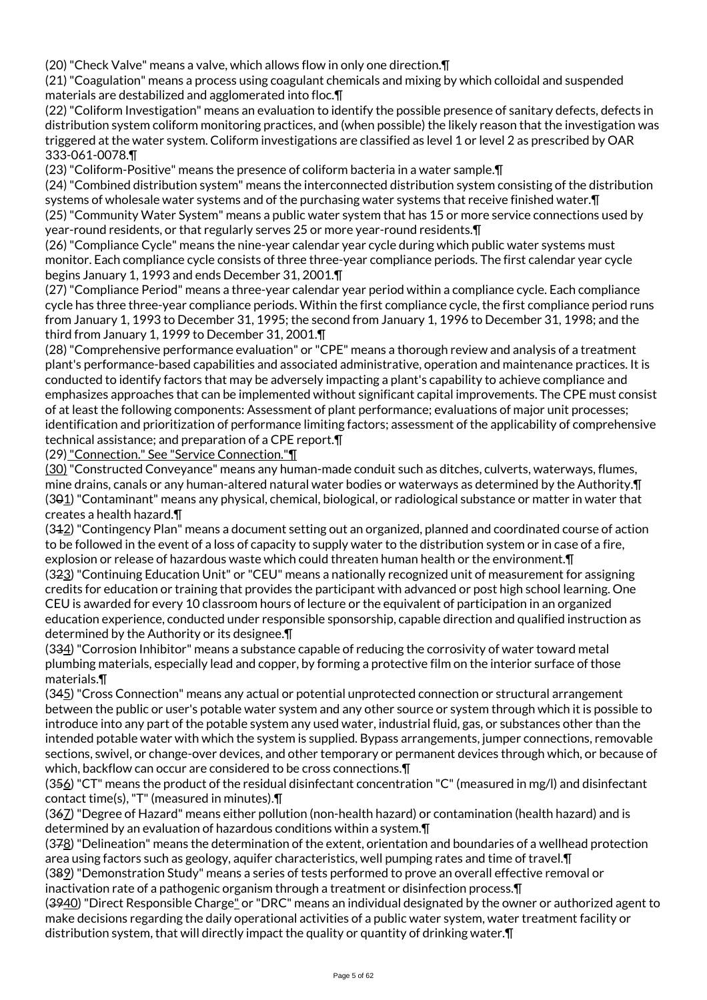(20) "Check Valve" means a valve, which allows flow in only one direction.¶

(21) "Coagulation" means a process using coagulant chemicals and mixing by which colloidal and suspended materials are destabilized and agglomerated into floc.¶

(22) "Coliform Investigation" means an evaluation to identify the possible presence of sanitary defects, defects in distribution system coliform monitoring practices, and (when possible) the likely reason that the investigation was triggered at the water system. Coliform investigations are classified as level 1 or level 2 as prescribed by OAR 333-061-0078.¶

(23) "Coliform-Positive" means the presence of coliform bacteria in a water sample.¶

(24) "Combined distribution system" means the interconnected distribution system consisting of the distribution systems of wholesale water systems and of the purchasing water systems that receive finished water. In

(25) "Community Water System" means a public water system that has 15 or more service connections used by year-round residents, or that regularly serves 25 or more year-round residents.¶

(26) "Compliance Cycle" means the nine-year calendar year cycle during which public water systems must monitor. Each compliance cycle consists of three three-year compliance periods. The first calendar year cycle begins January 1, 1993 and ends December 31, 2001.¶

(27) "Compliance Period" means a three-year calendar year period within a compliance cycle. Each compliance cycle has three three-year compliance periods. Within the first compliance cycle, the first compliance period runs from January 1, 1993 to December 31, 1995; the second from January 1, 1996 to December 31, 1998; and the third from January 1, 1999 to December 31, 2001.¶

(28) "Comprehensive performance evaluation" or "CPE" means a thorough review and analysis of a treatment plant's performance-based capabilities and associated administrative, operation and maintenance practices. It is conducted to identify factors that may be adversely impacting a plant's capability to achieve compliance and emphasizes approaches that can be implemented without significant capital improvements. The CPE must consist of at least the following components: Assessment of plant performance; evaluations of major unit processes; identification and prioritization of performance limiting factors; assessment of the applicability of comprehensive technical assistance; and preparation of a CPE report.¶

(29) "Connection." See "Service Connection."¶

(30) "Constructed Conveyance" means any human-made conduit such as ditches, culverts, waterways, flumes, mine drains, canals or any human-altered natural water bodies or waterways as determined by the Authority.¶ (301) "Contaminant" means any physical, chemical, biological, or radiological substance or matter in water that creates a health hazard.¶

(312) "Contingency Plan" means a document setting out an organized, planned and coordinated course of action to be followed in the event of a loss of capacity to supply water to the distribution system or in case of a fire, explosion or release of hazardous waste which could threaten human health or the environment.¶ (323) "Continuing Education Unit" or "CEU" means a nationally recognized unit of measurement for assigning credits for education or training that provides the participant with advanced or post high school learning. One CEU is awarded for every 10 classroom hours of lecture or the equivalent of participation in an organized education experience, conducted under responsible sponsorship, capable direction and qualified instruction as

determined by the Authority or its designee.¶ (334) "Corrosion Inhibitor" means a substance capable of reducing the corrosivity of water toward metal plumbing materials, especially lead and copper, by forming a protective film on the interior surface of those materials.¶

(345) "Cross Connection" means any actual or potential unprotected connection or structural arrangement between the public or user's potable water system and any other source or system through which it is possible to introduce into any part of the potable system any used water, industrial fluid, gas, or substances other than the intended potable water with which the system is supplied. Bypass arrangements, jumper connections, removable sections, swivel, or change-over devices, and other temporary or permanent devices through which, or because of which, backflow can occur are considered to be cross connections.¶

 $(356)$  "CT" means the product of the residual disinfectant concentration "C" (measured in mg/l) and disinfectant contact time(s), "T" (measured in minutes).¶

(367) "Degree of Hazard" means either pollution (non-health hazard) or contamination (health hazard) and is determined by an evaluation of hazardous conditions within a system.¶

(378) "Delineation" means the determination of the extent, orientation and boundaries of a wellhead protection area using factors such as geology, aquifer characteristics, well pumping rates and time of travel.¶

(389) "Demonstration Study" means a series of tests performed to prove an overall effective removal or inactivation rate of a pathogenic organism through a treatment or disinfection process.¶

(3940) "Direct Responsible Charge" or "DRC" means an individual designated by the owner or authorized agent to make decisions regarding the daily operational activities of a public water system, water treatment facility or distribution system, that will directly impact the quality or quantity of drinking water.¶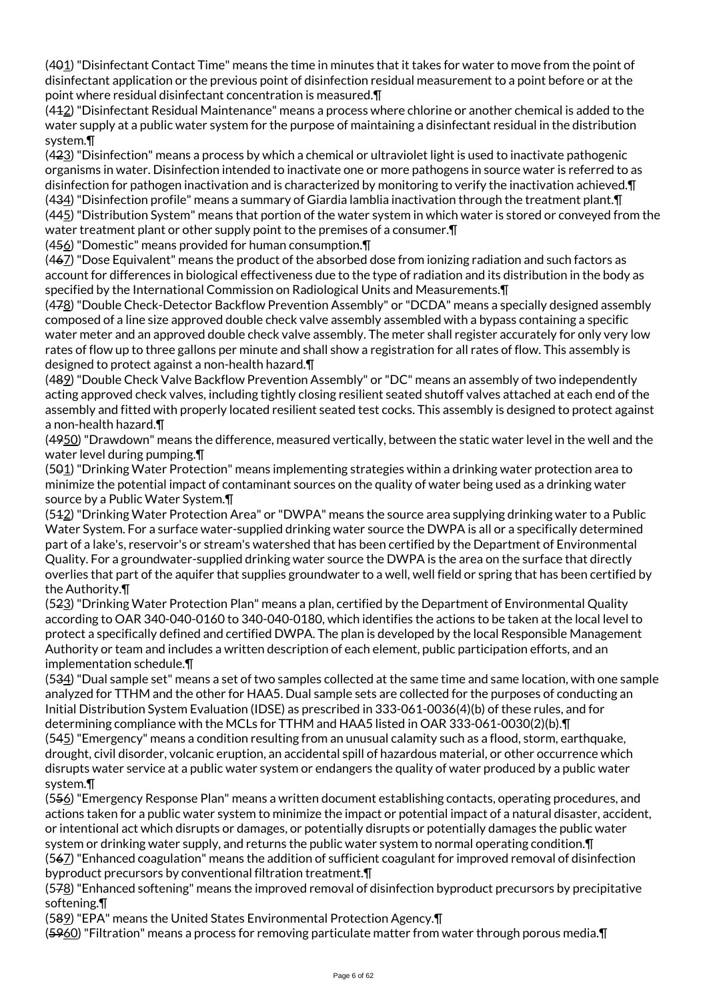(401) "Disinfectant Contact Time" means the time in minutes that it takes for water to move from the point of disinfectant application or the previous point of disinfection residual measurement to a point before or at the point where residual disinfectant concentration is measured.¶

(412) "Disinfectant Residual Maintenance" means a process where chlorine or another chemical is added to the water supply at a public water system for the purpose of maintaining a disinfectant residual in the distribution system.¶

(423) "Disinfection" means a process by which a chemical or ultraviolet light is used to inactivate pathogenic organisms in water. Disinfection intended to inactivate one or more pathogens in source water is referred to as disinfection for pathogen inactivation and is characterized by monitoring to verify the inactivation achieved.¶ (434) "Disinfection profile" means a summary of Giardia lamblia inactivation through the treatment plant.¶ (445) "Distribution System" means that portion of the water system in which water is stored or conveyed from the water treatment plant or other supply point to the premises of a consumer.¶

(456) "Domestic" means provided for human consumption.¶

(467) "Dose Equivalent" means the product of the absorbed dose from ionizing radiation and such factors as account for differences in biological effectiveness due to the type of radiation and its distribution in the body as specified by the International Commission on Radiological Units and Measurements.¶

(478) "Double Check-Detector Backflow Prevention Assembly" or "DCDA" means a specially designed assembly composed of a line size approved double check valve assembly assembled with a bypass containing a specific water meter and an approved double check valve assembly. The meter shall register accurately for only very low rates of flow up to three gallons per minute and shall show a registration for all rates of flow. This assembly is designed to protect against a non-health hazard.¶

(489) "Double Check Valve Backflow Prevention Assembly" or "DC" means an assembly of two independently acting approved check valves, including tightly closing resilient seated shutoff valves attached at each end of the assembly and fitted with properly located resilient seated test cocks. This assembly is designed to protect against a non-health hazard.¶

(4950) "Drawdown" means the difference, measured vertically, between the static water level in the well and the water level during pumping.¶

(501) "Drinking Water Protection" means implementing strategies within a drinking water protection area to minimize the potential impact of contaminant sources on the quality of water being used as a drinking water source by a Public Water System.¶

(512) "Drinking Water Protection Area" or "DWPA" means the source area supplying drinking water to a Public Water System. For a surface water-supplied drinking water source the DWPA is all or a specifically determined part of a lake's, reservoir's or stream's watershed that has been certified by the Department of Environmental Quality. For a groundwater-supplied drinking water source the DWPA is the area on the surface that directly overlies that part of the aquifer that supplies groundwater to a well, well field or spring that has been certified by the Authority.¶

(523) "Drinking Water Protection Plan" means a plan, certified by the Department of Environmental Quality according to OAR 340-040-0160 to 340-040-0180, which identifies the actions to be taken at the local level to protect a specifically defined and certified DWPA. The plan is developed by the local Responsible Management Authority or team and includes a written description of each element, public participation efforts, and an implementation schedule.¶

(534) "Dual sample set" means a set of two samples collected at the same time and same location, with one sample analyzed for TTHM and the other for HAA5. Dual sample sets are collected for the purposes of conducting an Initial Distribution System Evaluation (IDSE) as prescribed in 333-061-0036(4)(b) of these rules, and for determining compliance with the MCLs for TTHM and HAA5 listed in OAR 333-061-0030(2)(b).¶

(545) "Emergency" means a condition resulting from an unusual calamity such as a flood, storm, earthquake, drought, civil disorder, volcanic eruption, an accidental spill of hazardous material, or other occurrence which disrupts water service at a public water system or endangers the quality of water produced by a public water system.¶

(556) "Emergency Response Plan" means a written document establishing contacts, operating procedures, and actions taken for a public water system to minimize the impact or potential impact of a natural disaster, accident, or intentional act which disrupts or damages, or potentially disrupts or potentially damages the public water system or drinking water supply, and returns the public water system to normal operating condition.¶ (567) "Enhanced coagulation" means the addition of sufficient coagulant for improved removal of disinfection byproduct precursors by conventional filtration treatment.¶

 $(578)$  "Enhanced softening" means the improved removal of disinfection byproduct precursors by precipitative softening.¶

(589) "EPA" means the United States Environmental Protection Agency.¶

(5960) "Filtration" means a process for removing particulate matter from water through porous media.¶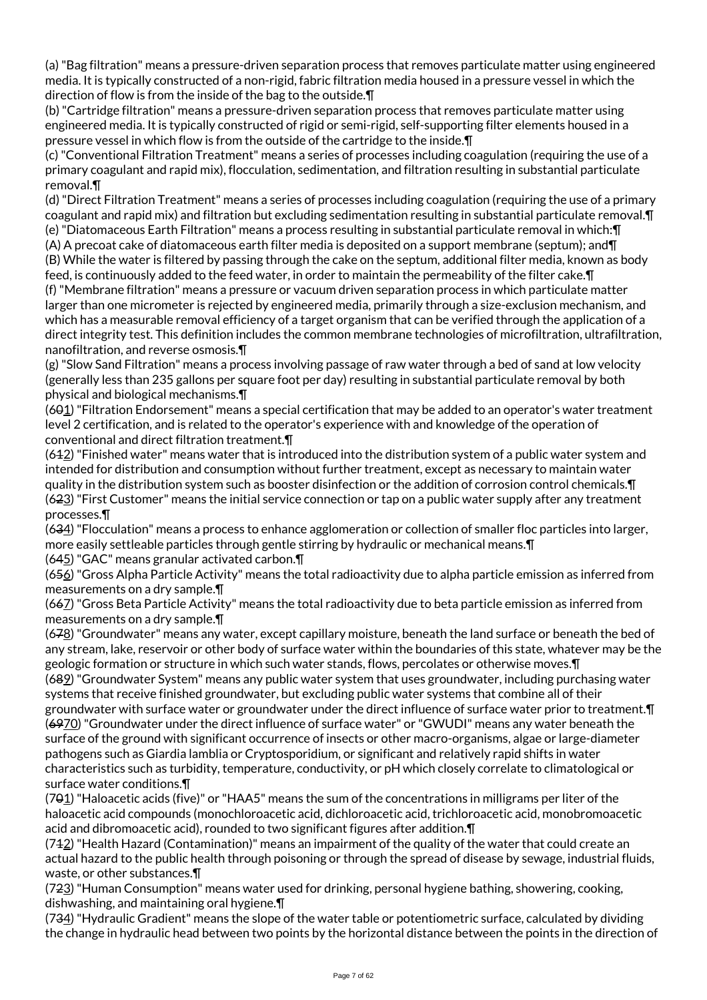(a) "Bag filtration" means a pressure-driven separation process that removes particulate matter using engineered media. It is typically constructed of a non-rigid, fabric filtration media housed in a pressure vessel in which the direction of flow is from the inside of the bag to the outside.¶

(b) "Cartridge filtration" means a pressure-driven separation process that removes particulate matter using engineered media. It is typically constructed of rigid or semi-rigid, self-supporting filter elements housed in a pressure vessel in which flow is from the outside of the cartridge to the inside.¶

(c) "Conventional Filtration Treatment" means a series of processes including coagulation (requiring the use of a primary coagulant and rapid mix), flocculation, sedimentation, and filtration resulting in substantial particulate removal.¶

(d) "Direct Filtration Treatment" means a series of processes including coagulation (requiring the use of a primary coagulant and rapid mix) and filtration but excluding sedimentation resulting in substantial particulate removal.¶ (e) "Diatomaceous Earth Filtration" means a process resulting in substantial particulate removal in which:¶

(A) A precoat cake of diatomaceous earth filter media is deposited on a support membrane (septum); and¶ (B) While the water is filtered by passing through the cake on the septum, additional filter media, known as body feed, is continuously added to the feed water, in order to maintain the permeability of the filter cake.¶

(f) "Membrane filtration" means a pressure or vacuum driven separation process in which particulate matter larger than one micrometer is rejected by engineered media, primarily through a size-exclusion mechanism, and which has a measurable removal efficiency of a target organism that can be verified through the application of a direct integrity test. This definition includes the common membrane technologies of microfiltration, ultrafiltration, nanofiltration, and reverse osmosis.¶

(g) "Slow Sand Filtration" means a process involving passage of raw water through a bed of sand at low velocity (generally less than 235 gallons per square foot per day) resulting in substantial particulate removal by both physical and biological mechanisms.¶

(601) "Filtration Endorsement" means a special certification that may be added to an operator's water treatment level 2 certification, and is related to the operator's experience with and knowledge of the operation of conventional and direct filtration treatment.¶

(612) "Finished water" means water that is introduced into the distribution system of a public water system and intended for distribution and consumption without further treatment, except as necessary to maintain water quality in the distribution system such as booster disinfection or the addition of corrosion control chemicals.¶ (623) "First Customer" means the initial service connection or tap on a public water supply after any treatment processes.¶

(634) "Flocculation" means a process to enhance agglomeration or collection of smaller floc particles into larger, more easily settleable particles through gentle stirring by hydraulic or mechanical means.¶

(645) "GAC" means granular activated carbon.¶

 $(656)$  "Gross Alpha Particle Activity" means the total radioactivity due to alpha particle emission as inferred from measurements on a dry sample.¶

(667) "Gross Beta Particle Activity" means the total radioactivity due to beta particle emission as inferred from measurements on a dry sample.¶

 $(678)$  "Groundwater" means any water, except capillary moisture, beneath the land surface or beneath the bed of any stream, lake, reservoir or other body of surface water within the boundaries of this state, whatever may be the geologic formation or structure in which such water stands, flows, percolates or otherwise moves.¶ (689) "Groundwater System" means any public water system that uses groundwater, including purchasing water systems that receive finished groundwater, but excluding public water systems that combine all of their groundwater with surface water or groundwater under the direct influence of surface water prior to treatment.¶ (6970) "Groundwater under the direct influence of surface water" or "GWUDI" means any water beneath the surface of the ground with significant occurrence of insects or other macro-organisms, algae or large-diameter pathogens such as Giardia lamblia or Cryptosporidium, or significant and relatively rapid shifts in water characteristics such as turbidity, temperature, conductivity, or pH which closely correlate to climatological or surface water conditions.¶

(701) "Haloacetic acids (five)" or "HAA5" means the sum of the concentrations in milligrams per liter of the haloacetic acid compounds (monochloroacetic acid, dichloroacetic acid, trichloroacetic acid, monobromoacetic acid and dibromoacetic acid), rounded to two significant figures after addition.¶

(712) "Health Hazard (Contamination)" means an impairment of the quality of the water that could create an actual hazard to the public health through poisoning or through the spread of disease by sewage, industrial fluids, waste, or other substances.¶

(723) "Human Consumption" means water used for drinking, personal hygiene bathing, showering, cooking, dishwashing, and maintaining oral hygiene.¶

(734) "Hydraulic Gradient" means the slope of the water table or potentiometric surface, calculated by dividing the change in hydraulic head between two points by the horizontal distance between the points in the direction of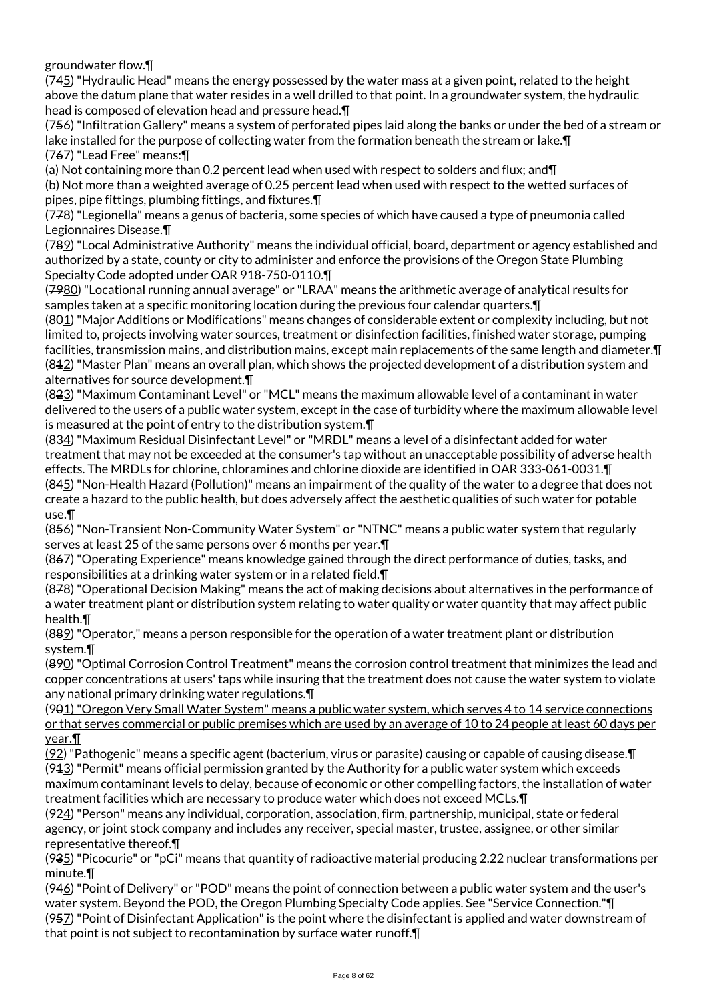groundwater flow.¶

 $(745)$  "Hydraulic Head" means the energy possessed by the water mass at a given point, related to the height above the datum plane that water resides in a well drilled to that point. In a groundwater system, the hydraulic head is composed of elevation head and pressure head.¶

(756) "Infiltration Gallery" means a system of perforated pipes laid along the banks or under the bed of a stream or lake installed for the purpose of collecting water from the formation beneath the stream or lake.¶ (767) "Lead Free" means:¶

(a) Not containing more than 0.2 percent lead when used with respect to solders and flux; and¶ (b) Not more than a weighted average of 0.25 percent lead when used with respect to the wetted surfaces of pipes, pipe fittings, plumbing fittings, and fixtures.¶

(778) "Legionella" means a genus of bacteria, some species of which have caused a type of pneumonia called Legionnaires Disease.¶

(789) "Local Administrative Authority" means the individual official, board, department or agency established and authorized by a state, county or city to administer and enforce the provisions of the Oregon State Plumbing Specialty Code adopted under OAR 918-750-0110.¶

(7980) "Locational running annual average" or "LRAA" means the arithmetic average of analytical results for samples taken at a specific monitoring location during the previous four calendar quarters.¶

(801) "Major Additions or Modifications" means changes of considerable extent or complexity including, but not limited to, projects involving water sources, treatment or disinfection facilities, finished water storage, pumping facilities, transmission mains, and distribution mains, except main replacements of the same length and diameter.¶  $(842)$  "Master Plan" means an overall plan, which shows the projected development of a distribution system and alternatives for source development.¶

(823) "Maximum Contaminant Level" or "MCL" means the maximum allowable level of a contaminant in water delivered to the users of a public water system, except in the case of turbidity where the maximum allowable level is measured at the point of entry to the distribution system.¶

(834) "Maximum Residual Disinfectant Level" or "MRDL" means a level of a disinfectant added for water treatment that may not be exceeded at the consumer's tap without an unacceptable possibility of adverse health effects. The MRDLs for chlorine, chloramines and chlorine dioxide are identified in OAR 333-061-0031.¶ (845) "Non-Health Hazard (Pollution)" means an impairment of the quality of the water to a degree that does not create a hazard to the public health, but does adversely affect the aesthetic qualities of such water for potable use.¶

(856) "Non-Transient Non-Community Water System" or "NTNC" means a public water system that regularly serves at least 25 of the same persons over 6 months per year.¶

(867) "Operating Experience" means knowledge gained through the direct performance of duties, tasks, and responsibilities at a drinking water system or in a related field.¶

(878) "Operational Decision Making" means the act of making decisions about alternatives in the performance of a water treatment plant or distribution system relating to water quality or water quantity that may affect public health.¶

(889) "Operator," means a person responsible for the operation of a water treatment plant or distribution system.¶

(890) "Optimal Corrosion Control Treatment" means the corrosion control treatment that minimizes the lead and copper concentrations at users' taps while insuring that the treatment does not cause the water system to violate any national primary drinking water regulations.¶

(901) "Oregon Very Small Water System" means a public water system, which serves 4 to 14 service connections or that serves commercial or public premises which are used by an average of 10 to 24 people at least 60 days per year.¶

(92) "Pathogenic" means a specific agent (bacterium, virus or parasite) causing or capable of causing disease.¶  $(943)$  "Permit" means official permission granted by the Authority for a public water system which exceeds maximum contaminant levels to delay, because of economic or other compelling factors, the installation of water treatment facilities which are necessary to produce water which does not exceed MCLs.¶

(924) "Person" means any individual, corporation, association, firm, partnership, municipal, state or federal agency, or joint stock company and includes any receiver, special master, trustee, assignee, or other similar representative thereof.¶

 $(935)$  "Picocurie" or "pCi" means that quantity of radioactive material producing 2.22 nuclear transformations per minute.¶

 $(946)$  "Point of Delivery" or "POD" means the point of connection between a public water system and the user's water system. Beyond the POD, the Oregon Plumbing Specialty Code applies. See "Service Connection."¶ (957) "Point of Disinfectant Application" is the point where the disinfectant is applied and water downstream of that point is not subject to recontamination by surface water runoff.¶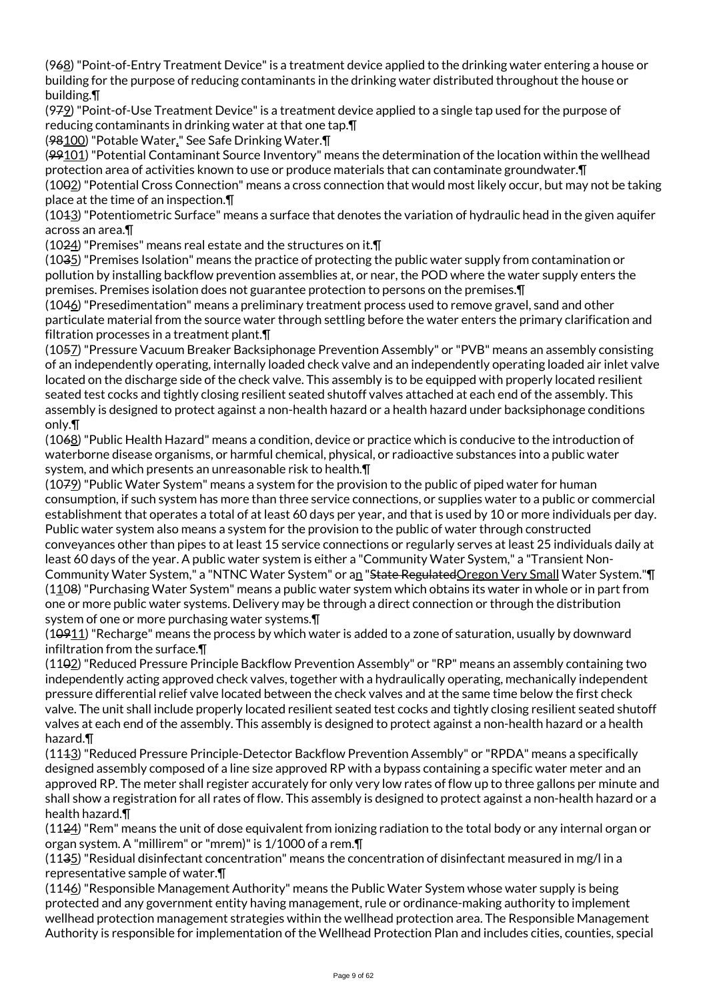(968) "Point-of-Entry Treatment Device" is a treatment device applied to the drinking water entering a house or building for the purpose of reducing contaminants in the drinking water distributed throughout the house or building.¶

(979) "Point-of-Use Treatment Device" is a treatment device applied to a single tap used for the purpose of reducing contaminants in drinking water at that one tap.¶

(98100) "Potable Water." See Safe Drinking Water.¶

(99101) "Potential Contaminant Source Inventory" means the determination of the location within the wellhead protection area of activities known to use or produce materials that can contaminate groundwater.¶ (1002) "Potential Cross Connection" means a cross connection that would most likely occur, but may not be taking

place at the time of an inspection.¶

(1013) "Potentiometric Surface" means a surface that denotes the variation of hydraulic head in the given aquifer across an area.¶

(1024) "Premises" means real estate and the structures on it.¶

(1035) "Premises Isolation" means the practice of protecting the public water supply from contamination or pollution by installing backflow prevention assemblies at, or near, the POD where the water supply enters the premises. Premises isolation does not guarantee protection to persons on the premises.¶

(1046) "Presedimentation" means a preliminary treatment process used to remove gravel, sand and other particulate material from the source water through settling before the water enters the primary clarification and filtration processes in a treatment plant.¶

(1057) "Pressure Vacuum Breaker Backsiphonage Prevention Assembly" or "PVB" means an assembly consisting of an independently operating, internally loaded check valve and an independently operating loaded air inlet valve located on the discharge side of the check valve. This assembly is to be equipped with properly located resilient seated test cocks and tightly closing resilient seated shutoff valves attached at each end of the assembly. This assembly is designed to protect against a non-health hazard or a health hazard under backsiphonage conditions only.¶

(1068) "Public Health Hazard" means a condition, device or practice which is conducive to the introduction of waterborne disease organisms, or harmful chemical, physical, or radioactive substances into a public water system, and which presents an unreasonable risk to health.¶

(1079) "Public Water System" means a system for the provision to the public of piped water for human consumption, if such system has more than three service connections, or supplies water to a public or commercial establishment that operates a total of at least 60 days per year, and that is used by 10 or more individuals per day. Public water system also means a system for the provision to the public of water through constructed conveyances other than pipes to at least 15 service connections or regularly serves at least 25 individuals daily at least 60 days of the year. A public water system is either a "Community Water System," a "Transient Non-Community Water System," a "NTNC Water System" or an "State Regulated Oregon Very Small Water System." [ (1108) "Purchasing Water System" means a public water system which obtains its water in whole or in part from one or more public water systems. Delivery may be through a direct connection or through the distribution system of one or more purchasing water systems.¶

(10911) "Recharge" means the process by which water is added to a zone of saturation, usually by downward infiltration from the surface.¶

(1102) "Reduced Pressure Principle Backflow Prevention Assembly" or "RP" means an assembly containing two independently acting approved check valves, together with a hydraulically operating, mechanically independent pressure differential relief valve located between the check valves and at the same time below the first check valve. The unit shall include properly located resilient seated test cocks and tightly closing resilient seated shutoff valves at each end of the assembly. This assembly is designed to protect against a non-health hazard or a health hazard.¶

(1113) "Reduced Pressure Principle-Detector Backflow Prevention Assembly" or "RPDA" means a specifically designed assembly composed of a line size approved RP with a bypass containing a specific water meter and an approved RP. The meter shall register accurately for only very low rates of flow up to three gallons per minute and shall show a registration for all rates of flow. This assembly is designed to protect against a non-health hazard or a health hazard.¶

(1124) "Rem" means the unit of dose equivalent from ionizing radiation to the total body or any internal organ or organ system. A "millirem" or "mrem)" is 1/1000 of a rem.¶

(1135) "Residual disinfectant concentration" means the concentration of disinfectant measured in mg/l in a representative sample of water.¶

(1146) "Responsible Management Authority" means the Public Water System whose water supply is being protected and any government entity having management, rule or ordinance-making authority to implement wellhead protection management strategies within the wellhead protection area. The Responsible Management Authority is responsible for implementation of the Wellhead Protection Plan and includes cities, counties, special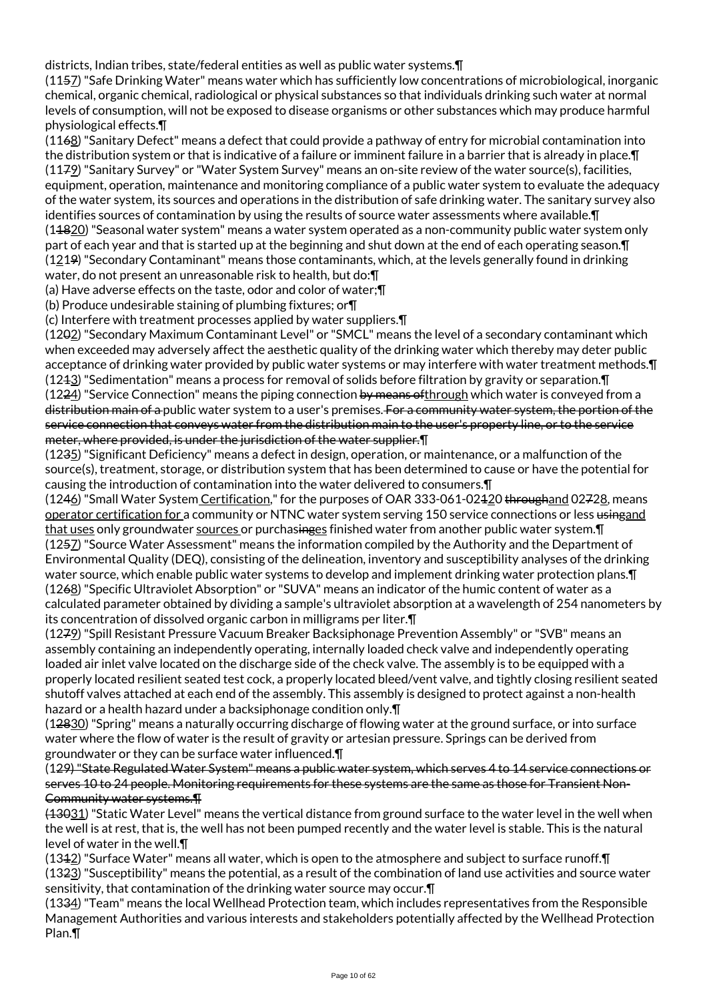districts, Indian tribes, state/federal entities as well as public water systems.¶

(1157) "Safe Drinking Water" means water which has sufficiently low concentrations of microbiological, inorganic chemical, organic chemical, radiological or physical substances so that individuals drinking such water at normal levels of consumption, will not be exposed to disease organisms or other substances which may produce harmful physiological effects.¶

(1168) "Sanitary Defect" means a defect that could provide a pathway of entry for microbial contamination into the distribution system or that is indicative of a failure or imminent failure in a barrier that is already in place.¶ (1179) "Sanitary Survey" or "Water System Survey" means an on-site review of the water source(s), facilities, equipment, operation, maintenance and monitoring compliance of a public water system to evaluate the adequacy of the water system, its sources and operations in the distribution of safe drinking water. The sanitary survey also identifies sources of contamination by using the results of source water assessments where available.¶ (14820) "Seasonal water system" means a water system operated as a non-community public water system only part of each year and that is started up at the beginning and shut down at the end of each operating season.¶ (1219) "Secondary Contaminant" means those contaminants, which, at the levels generally found in drinking water, do not present an unreasonable risk to health, but do:¶

(a) Have adverse effects on the taste, odor and color of water;¶

(b) Produce undesirable staining of plumbing fixtures; or¶

(c) Interfere with treatment processes applied by water suppliers.¶

(1202) "Secondary Maximum Contaminant Level" or "SMCL" means the level of a secondary contaminant which when exceeded may adversely affect the aesthetic quality of the drinking water which thereby may deter public acceptance of drinking water provided by public water systems or may interfere with water treatment methods.¶ (1213) "Sedimentation" means a process for removal of solids before filtration by gravity or separation.¶ (1224) "Service Connection" means the piping connection by means of through which water is conveyed from a distribution main of a public water system to a user's premises. For a community water system, the portion of the service connection that conveys water from the distribution main to the user's property line, or to the service meter, where provided, is under the jurisdiction of the water supplier.¶

(1235) "Significant Deficiency" means a defect in design, operation, or maintenance, or a malfunction of the source(s), treatment, storage, or distribution system that has been determined to cause or have the potential for causing the introduction of contamination into the water delivered to consumers.¶

(1246) "Small Water System Certification," for the purposes of OAR 333-061-02420 throughand 02728, means operator certification for a community or NTNC water system serving 150 service connections or less usingand that uses only groundwater sources or purchasinges finished water from another public water system. IT (1257) "Source Water Assessment" means the information compiled by the Authority and the Department of Environmental Quality (DEQ), consisting of the delineation, inventory and susceptibility analyses of the drinking water source, which enable public water systems to develop and implement drinking water protection plans.¶ (1268) "Specific Ultraviolet Absorption" or "SUVA" means an indicator of the humic content of water as a calculated parameter obtained by dividing a sample's ultraviolet absorption at a wavelength of 254 nanometers by its concentration of dissolved organic carbon in milligrams per liter.¶

(1279) "Spill Resistant Pressure Vacuum Breaker Backsiphonage Prevention Assembly" or "SVB" means an assembly containing an independently operating, internally loaded check valve and independently operating loaded air inlet valve located on the discharge side of the check valve. The assembly is to be equipped with a properly located resilient seated test cock, a properly located bleed/vent valve, and tightly closing resilient seated shutoff valves attached at each end of the assembly. This assembly is designed to protect against a non-health hazard or a health hazard under a backsiphonage condition only.¶

(12830) "Spring" means a naturally occurring discharge of flowing water at the ground surface, or into surface water where the flow of water is the result of gravity or artesian pressure. Springs can be derived from groundwater or they can be surface water influenced.¶

(129) "State Regulated Water System" means a public water system, which serves 4 to 14 service connections or serves 10 to 24 people. Monitoring requirements for these systems are the same as those for Transient Non-Community water systems.¶

(13031) "Static Water Level" means the vertical distance from ground surface to the water level in the well when the well is at rest, that is, the well has not been pumped recently and the water level is stable. This is the natural level of water in the well.¶

(1312) "Surface Water" means all water, which is open to the atmosphere and subject to surface runoff.¶ (1323) "Susceptibility" means the potential, as a result of the combination of land use activities and source water sensitivity, that contamination of the drinking water source may occur.¶

(1334) "Team" means the local Wellhead Protection team, which includes representatives from the Responsible Management Authorities and various interests and stakeholders potentially affected by the Wellhead Protection Plan.¶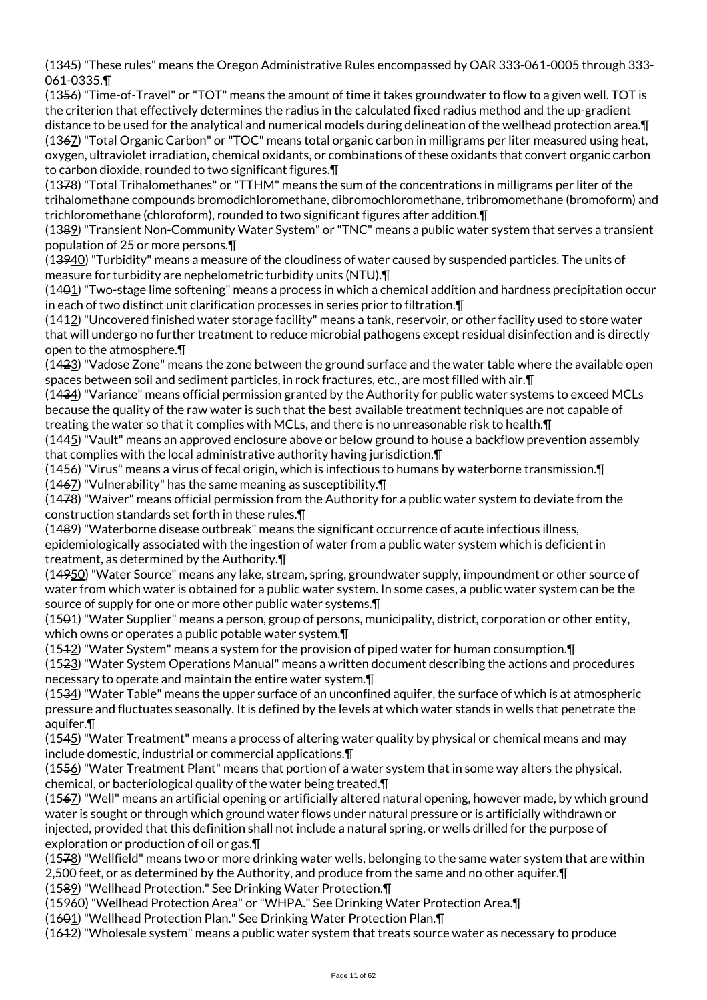(1345) "These rules" means the Oregon Administrative Rules encompassed by OAR 333-061-0005 through 333- 061-0335.¶

(1356) "Time-of-Travel" or "TOT" means the amount of time it takes groundwater to flow to a given well. TOT is the criterion that effectively determines the radius in the calculated fixed radius method and the up-gradient distance to be used for the analytical and numerical models during delineation of the wellhead protection area.¶ (1367) "Total Organic Carbon" or "TOC" means total organic carbon in milligrams per liter measured using heat, oxygen, ultraviolet irradiation, chemical oxidants, or combinations of these oxidants that convert organic carbon to carbon dioxide, rounded to two significant figures.¶

(1378) "Total Trihalomethanes" or "TTHM" means the sum of the concentrations in milligrams per liter of the trihalomethane compounds bromodichloromethane, dibromochloromethane, tribromomethane (bromoform) and trichloromethane (chloroform), rounded to two significant figures after addition.¶

(1389) "Transient Non-Community Water System" or "TNC" means a public water system that serves a transient population of 25 or more persons.¶

(13940) "Turbidity" means a measure of the cloudiness of water caused by suspended particles. The units of measure for turbidity are nephelometric turbidity units (NTU).¶

(1401) "Two-stage lime softening" means a process in which a chemical addition and hardness precipitation occur in each of two distinct unit clarification processes in series prior to filtration.¶

(1412) "Uncovered finished water storage facility" means a tank, reservoir, or other facility used to store water that will undergo no further treatment to reduce microbial pathogens except residual disinfection and is directly open to the atmosphere.¶

(1423) "Vadose Zone" means the zone between the ground surface and the water table where the available open spaces between soil and sediment particles, in rock fractures, etc., are most filled with air.¶

(1434) "Variance" means official permission granted by the Authority for public water systems to exceed MCLs because the quality of the raw water is such that the best available treatment techniques are not capable of treating the water so that it complies with MCLs, and there is no unreasonable risk to health.¶

(1445) "Vault" means an approved enclosure above or below ground to house a backflow prevention assembly that complies with the local administrative authority having jurisdiction.¶

(1456) "Virus" means a virus of fecal origin, which is infectious to humans by waterborne transmission.¶ (1467) "Vulnerability" has the same meaning as susceptibility.¶

(1478) "Waiver" means official permission from the Authority for a public water system to deviate from the construction standards set forth in these rules.¶

(1489) "Waterborne disease outbreak" means the significant occurrence of acute infectious illness, epidemiologically associated with the ingestion of water from a public water system which is deficient in treatment, as determined by the Authority.¶

(14950) "Water Source" means any lake, stream, spring, groundwater supply, impoundment or other source of water from which water is obtained for a public water system. In some cases, a public water system can be the source of supply for one or more other public water systems.¶

(1501) "Water Supplier" means a person, group of persons, municipality, district, corporation or other entity, which owns or operates a public potable water system.¶

(1512) "Water System" means a system for the provision of piped water for human consumption.¶

(1523) "Water System Operations Manual" means a written document describing the actions and procedures necessary to operate and maintain the entire water system.¶

(1534) "Water Table" means the upper surface of an unconfined aquifer, the surface of which is at atmospheric pressure and fluctuates seasonally. It is defined by the levels at which water stands in wells that penetrate the aquifer.¶

(1545) "Water Treatment" means a process of altering water quality by physical or chemical means and may include domestic, industrial or commercial applications.¶

(1556) "Water Treatment Plant" means that portion of a water system that in some way alters the physical, chemical, or bacteriological quality of the water being treated.¶

(1567) "Well" means an artificial opening or artificially altered natural opening, however made, by which ground water is sought or through which ground water flows under natural pressure or is artificially withdrawn or injected, provided that this definition shall not include a natural spring, or wells drilled for the purpose of exploration or production of oil or gas.¶

(1578) "Wellfield" means two or more drinking water wells, belonging to the same water system that are within 2,500 feet, or as determined by the Authority, and produce from the same and no other aquifer.¶

(1589) "Wellhead Protection." See Drinking Water Protection.¶

(15960) "Wellhead Protection Area" or "WHPA." See Drinking Water Protection Area.¶

(1601) "Wellhead Protection Plan." See Drinking Water Protection Plan.¶

(1612) "Wholesale system" means a public water system that treats source water as necessary to produce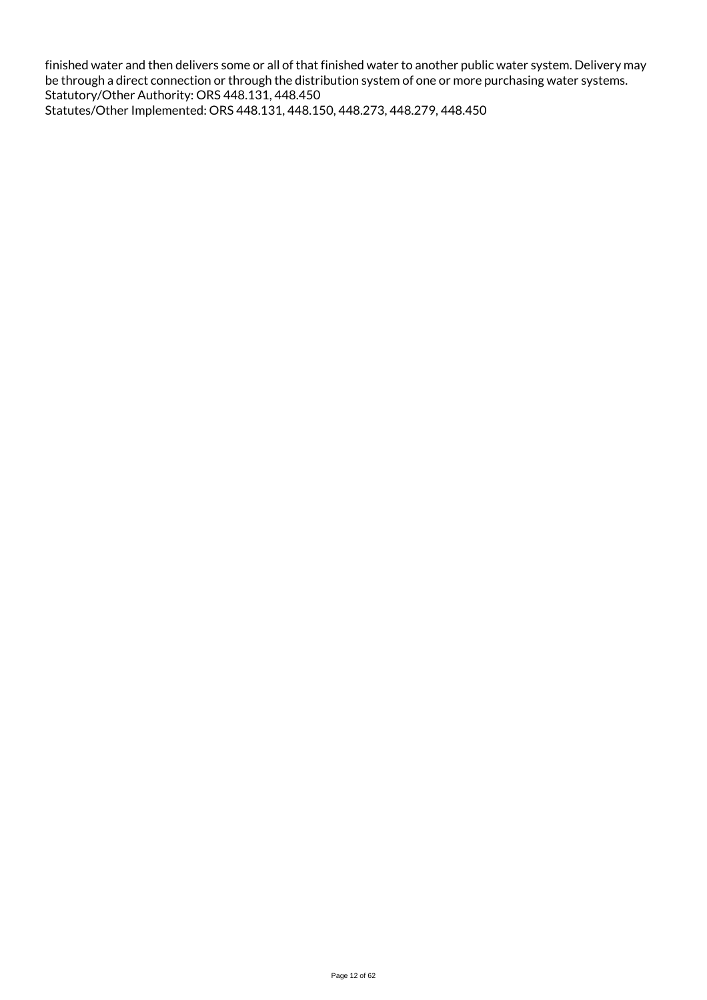finished water and then delivers some or all of that finished water to another public water system. Delivery may be through a direct connection or through the distribution system of one or more purchasing water systems. Statutory/Other Authority: ORS 448.131, 448.450 Statutes/Other Implemented: ORS 448.131, 448.150, 448.273, 448.279, 448.450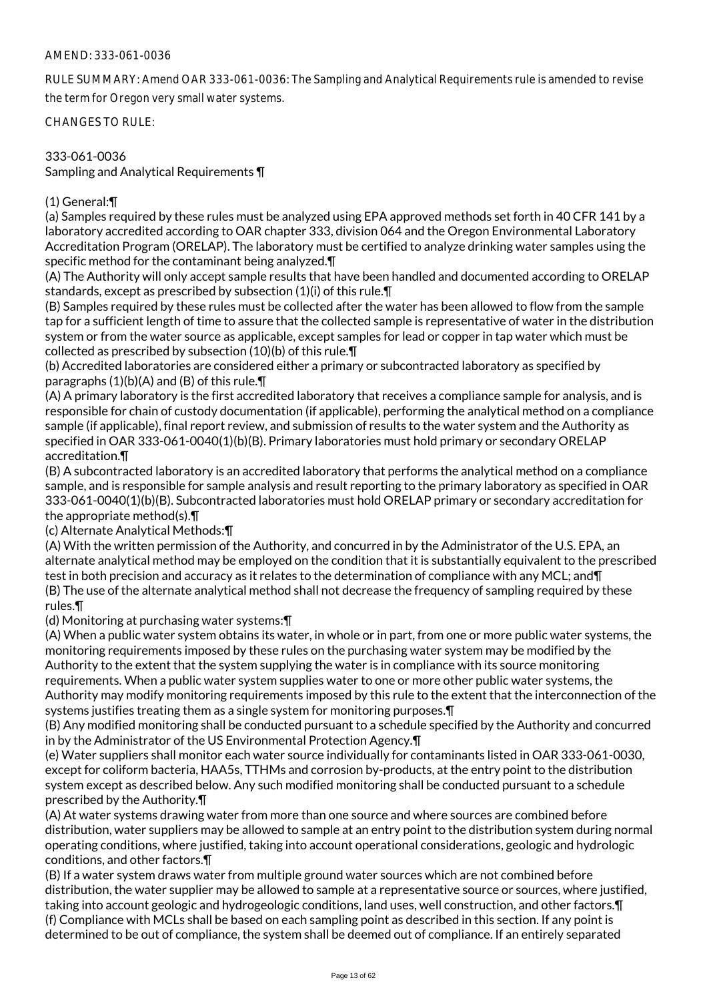## AMEND: 333-061-0036

RULE SUMMARY: Amend OAR 333-061-0036: The Sampling and Analytical Requirements rule is amended to revise the term for Oregon very small water systems.

CHANGES TO RULE:

333-061-0036 Sampling and Analytical Requirements ¶

## (1) General:¶

(a) Samples required by these rules must be analyzed using EPA approved methods set forth in 40 CFR 141 by a laboratory accredited according to OAR chapter 333, division 064 and the Oregon Environmental Laboratory Accreditation Program (ORELAP). The laboratory must be certified to analyze drinking water samples using the specific method for the contaminant being analyzed.¶

(A) The Authority will only accept sample results that have been handled and documented according to ORELAP standards, except as prescribed by subsection (1)(i) of this rule.¶

(B) Samples required by these rules must be collected after the water has been allowed to flow from the sample tap for a sufficient length of time to assure that the collected sample is representative of water in the distribution system or from the water source as applicable, except samples for lead or copper in tap water which must be collected as prescribed by subsection (10)(b) of this rule.¶

(b) Accredited laboratories are considered either a primary or subcontracted laboratory as specified by paragraphs  $(1)(b)(A)$  and  $(B)$  of this rule. $\P$ 

(A) A primary laboratory is the first accredited laboratory that receives a compliance sample for analysis, and is responsible for chain of custody documentation (if applicable), performing the analytical method on a compliance sample (if applicable), final report review, and submission of results to the water system and the Authority as specified in OAR 333-061-0040(1)(b)(B). Primary laboratories must hold primary or secondary ORELAP accreditation.¶

(B) A subcontracted laboratory is an accredited laboratory that performs the analytical method on a compliance sample, and is responsible for sample analysis and result reporting to the primary laboratory as specified in OAR 333-061-0040(1)(b)(B). Subcontracted laboratories must hold ORELAP primary or secondary accreditation for the appropriate method(s).¶

(c) Alternate Analytical Methods:¶

(A) With the written permission of the Authority, and concurred in by the Administrator of the U.S. EPA, an alternate analytical method may be employed on the condition that it is substantially equivalent to the prescribed test in both precision and accuracy as it relates to the determination of compliance with any MCL; and¶ (B) The use of the alternate analytical method shall not decrease the frequency of sampling required by these rules.¶

(d) Monitoring at purchasing water systems:¶

(A) When a public water system obtains its water, in whole or in part, from one or more public water systems, the monitoring requirements imposed by these rules on the purchasing water system may be modified by the Authority to the extent that the system supplying the water is in compliance with its source monitoring requirements. When a public water system supplies water to one or more other public water systems, the Authority may modify monitoring requirements imposed by this rule to the extent that the interconnection of the systems justifies treating them as a single system for monitoring purposes.¶

(B) Any modified monitoring shall be conducted pursuant to a schedule specified by the Authority and concurred in by the Administrator of the US Environmental Protection Agency.¶

(e) Water suppliers shall monitor each water source individually for contaminants listed in OAR 333-061-0030, except for coliform bacteria, HAA5s, TTHMs and corrosion by-products, at the entry point to the distribution system except as described below. Any such modified monitoring shall be conducted pursuant to a schedule prescribed by the Authority.¶

(A) At water systems drawing water from more than one source and where sources are combined before distribution, water suppliers may be allowed to sample at an entry point to the distribution system during normal operating conditions, where justified, taking into account operational considerations, geologic and hydrologic conditions, and other factors.¶

(B) If a water system draws water from multiple ground water sources which are not combined before distribution, the water supplier may be allowed to sample at a representative source or sources, where justified, taking into account geologic and hydrogeologic conditions, land uses, well construction, and other factors.¶ (f) Compliance with MCLs shall be based on each sampling point as described in this section. If any point is determined to be out of compliance, the system shall be deemed out of compliance. If an entirely separated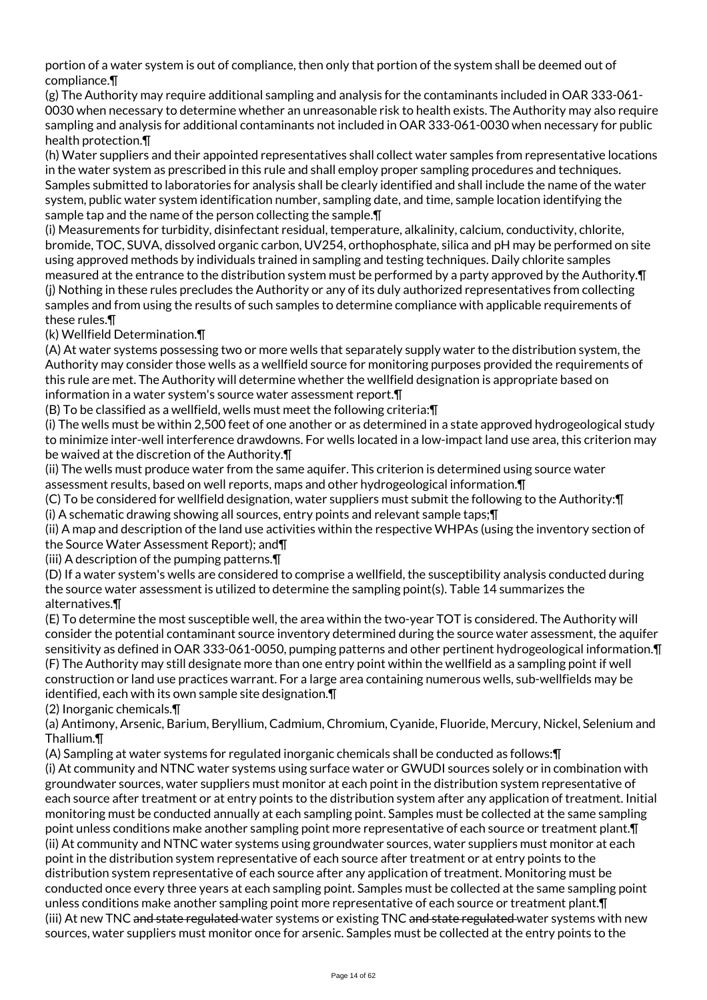portion of a water system is out of compliance, then only that portion of the system shall be deemed out of compliance.¶

(g) The Authority may require additional sampling and analysis for the contaminants included in OAR 333-061- 0030 when necessary to determine whether an unreasonable risk to health exists. The Authority may also require sampling and analysis for additional contaminants not included in OAR 333-061-0030 when necessary for public health protection.¶

(h) Water suppliers and their appointed representatives shall collect water samples from representative locations in the water system as prescribed in this rule and shall employ proper sampling procedures and techniques. Samples submitted to laboratories for analysis shall be clearly identified and shall include the name of the water system, public water system identification number, sampling date, and time, sample location identifying the sample tap and the name of the person collecting the sample.¶

(i) Measurements for turbidity, disinfectant residual, temperature, alkalinity, calcium, conductivity, chlorite, bromide, TOC, SUVA, dissolved organic carbon, UV254, orthophosphate, silica and pH may be performed on site using approved methods by individuals trained in sampling and testing techniques. Daily chlorite samples measured at the entrance to the distribution system must be performed by a party approved by the Authority.¶ (j) Nothing in these rules precludes the Authority or any of its duly authorized representatives from collecting samples and from using the results of such samples to determine compliance with applicable requirements of these rules.¶

(k) Wellfield Determination.¶

(A) At water systems possessing two or more wells that separately supply water to the distribution system, the Authority may consider those wells as a wellfield source for monitoring purposes provided the requirements of this rule are met. The Authority will determine whether the wellfield designation is appropriate based on information in a water system's source water assessment report.¶

(B) To be classified as a wellfield, wells must meet the following criteria:¶

(i) The wells must be within 2,500 feet of one another or as determined in a state approved hydrogeological study to minimize inter-well interference drawdowns. For wells located in a low-impact land use area, this criterion may be waived at the discretion of the Authority.¶

(ii) The wells must produce water from the same aquifer. This criterion is determined using source water assessment results, based on well reports, maps and other hydrogeological information.¶

(C) To be considered for wellfield designation, water suppliers must submit the following to the Authority:¶ (i) A schematic drawing showing all sources, entry points and relevant sample taps;¶

(ii) A map and description of the land use activities within the respective WHPAs (using the inventory section of the Source Water Assessment Report); and¶

(iii) A description of the pumping patterns.¶

(D) If a water system's wells are considered to comprise a wellfield, the susceptibility analysis conducted during the source water assessment is utilized to determine the sampling point(s). Table 14 summarizes the alternatives.¶

(E) To determine the most susceptible well, the area within the two-year TOT is considered. The Authority will consider the potential contaminant source inventory determined during the source water assessment, the aquifer sensitivity as defined in OAR 333-061-0050, pumping patterns and other pertinent hydrogeological information.¶ (F) The Authority may still designate more than one entry point within the wellfield as a sampling point if well construction or land use practices warrant. For a large area containing numerous wells, sub-wellfields may be identified, each with its own sample site designation.¶

(2) Inorganic chemicals.¶

(a) Antimony, Arsenic, Barium, Beryllium, Cadmium, Chromium, Cyanide, Fluoride, Mercury, Nickel, Selenium and Thallium.¶

(A) Sampling at water systems for regulated inorganic chemicals shall be conducted as follows:¶

(i) At community and NTNC water systems using surface water or GWUDI sources solely or in combination with groundwater sources, water suppliers must monitor at each point in the distribution system representative of each source after treatment or at entry points to the distribution system after any application of treatment. Initial monitoring must be conducted annually at each sampling point. Samples must be collected at the same sampling point unless conditions make another sampling point more representative of each source or treatment plant.¶ (ii) At community and NTNC water systems using groundwater sources, water suppliers must monitor at each point in the distribution system representative of each source after treatment or at entry points to the distribution system representative of each source after any application of treatment. Monitoring must be conducted once every three years at each sampling point. Samples must be collected at the same sampling point unless conditions make another sampling point more representative of each source or treatment plant.¶ (iii) At new TNC and state regulated water systems or existing TNC and state regulated water systems with new sources, water suppliers must monitor once for arsenic. Samples must be collected at the entry points to the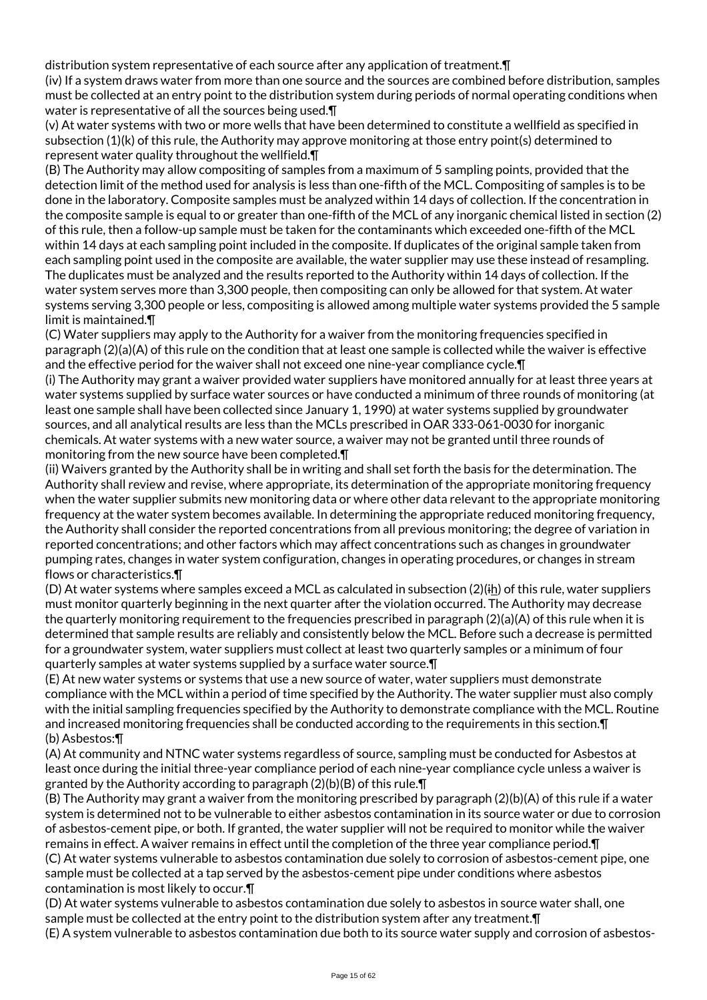distribution system representative of each source after any application of treatment.¶

(iv) If a system draws water from more than one source and the sources are combined before distribution, samples must be collected at an entry point to the distribution system during periods of normal operating conditions when water is representative of all the sources being used.¶

(v) At water systems with two or more wells that have been determined to constitute a wellfield as specified in subsection (1)(k) of this rule, the Authority may approve monitoring at those entry point(s) determined to represent water quality throughout the wellfield.¶

(B) The Authority may allow compositing of samples from a maximum of 5 sampling points, provided that the detection limit of the method used for analysis is less than one-fifth of the MCL. Compositing of samples is to be done in the laboratory. Composite samples must be analyzed within 14 days of collection. If the concentration in the composite sample is equal to or greater than one-fifth of the MCL of any inorganic chemical listed in section (2) of this rule, then a follow-up sample must be taken for the contaminants which exceeded one-fifth of the MCL within 14 days at each sampling point included in the composite. If duplicates of the original sample taken from each sampling point used in the composite are available, the water supplier may use these instead of resampling. The duplicates must be analyzed and the results reported to the Authority within 14 days of collection. If the water system serves more than 3,300 people, then compositing can only be allowed for that system. At water systems serving 3,300 people or less, compositing is allowed among multiple water systems provided the 5 sample limit is maintained.¶

(C) Water suppliers may apply to the Authority for a waiver from the monitoring frequencies specified in paragraph (2)(a)(A) of this rule on the condition that at least one sample is collected while the waiver is effective and the effective period for the waiver shall not exceed one nine-year compliance cycle.¶

(i) The Authority may grant a waiver provided water suppliers have monitored annually for at least three years at water systems supplied by surface water sources or have conducted a minimum of three rounds of monitoring (at least one sample shall have been collected since January 1, 1990) at water systems supplied by groundwater sources, and all analytical results are less than the MCLs prescribed in OAR 333-061-0030 for inorganic chemicals. At water systems with a new water source, a waiver may not be granted until three rounds of monitoring from the new source have been completed.¶

(ii) Waivers granted by the Authority shall be in writing and shall set forth the basis for the determination. The Authority shall review and revise, where appropriate, its determination of the appropriate monitoring frequency when the water supplier submits new monitoring data or where other data relevant to the appropriate monitoring frequency at the water system becomes available. In determining the appropriate reduced monitoring frequency, the Authority shall consider the reported concentrations from all previous monitoring; the degree of variation in reported concentrations; and other factors which may affect concentrations such as changes in groundwater pumping rates, changes in water system configuration, changes in operating procedures, or changes in stream flows or characteristics.¶

(D) At water systems where samples exceed a MCL as calculated in subsection  $(2)(i)$  of this rule, water suppliers must monitor quarterly beginning in the next quarter after the violation occurred. The Authority may decrease the quarterly monitoring requirement to the frequencies prescribed in paragraph (2)(a)(A) of this rule when it is determined that sample results are reliably and consistently below the MCL. Before such a decrease is permitted for a groundwater system, water suppliers must collect at least two quarterly samples or a minimum of four quarterly samples at water systems supplied by a surface water source.¶

(E) At new water systems or systems that use a new source of water, water suppliers must demonstrate compliance with the MCL within a period of time specified by the Authority. The water supplier must also comply with the initial sampling frequencies specified by the Authority to demonstrate compliance with the MCL. Routine and increased monitoring frequencies shall be conducted according to the requirements in this section.¶ (b) Asbestos:¶

(A) At community and NTNC water systems regardless of source, sampling must be conducted for Asbestos at least once during the initial three-year compliance period of each nine-year compliance cycle unless a waiver is granted by the Authority according to paragraph (2)(b)(B) of this rule.¶

(B) The Authority may grant a waiver from the monitoring prescribed by paragraph (2)(b)(A) of this rule if a water system is determined not to be vulnerable to either asbestos contamination in its source water or due to corrosion of asbestos-cement pipe, or both. If granted, the water supplier will not be required to monitor while the waiver remains in effect. A waiver remains in effect until the completion of the three year compliance period.¶ (C) At water systems vulnerable to asbestos contamination due solely to corrosion of asbestos-cement pipe, one sample must be collected at a tap served by the asbestos-cement pipe under conditions where asbestos contamination is most likely to occur.¶

(D) At water systems vulnerable to asbestos contamination due solely to asbestos in source water shall, one sample must be collected at the entry point to the distribution system after any treatment.¶ (E) A system vulnerable to asbestos contamination due both to its source water supply and corrosion of asbestos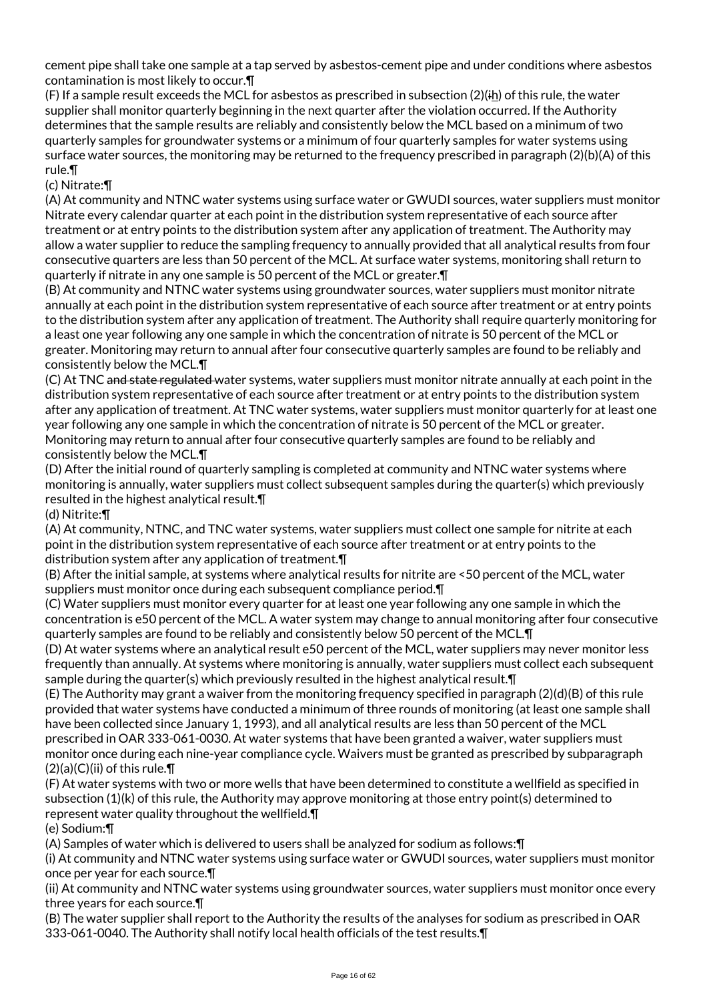cement pipe shall take one sample at a tap served by asbestos-cement pipe and under conditions where asbestos contamination is most likely to occur.¶

(F) If a sample result exceeds the MCL for asbestos as prescribed in subsection  $(2)(i)$  of this rule, the water supplier shall monitor quarterly beginning in the next quarter after the violation occurred. If the Authority determines that the sample results are reliably and consistently below the MCL based on a minimum of two quarterly samples for groundwater systems or a minimum of four quarterly samples for water systems using surface water sources, the monitoring may be returned to the frequency prescribed in paragraph (2)(b)(A) of this rule.¶

## (c) Nitrate:¶

(A) At community and NTNC water systems using surface water or GWUDI sources, water suppliers must monitor Nitrate every calendar quarter at each point in the distribution system representative of each source after treatment or at entry points to the distribution system after any application of treatment. The Authority may allow a water supplier to reduce the sampling frequency to annually provided that all analytical results from four consecutive quarters are less than 50 percent of the MCL. At surface water systems, monitoring shall return to quarterly if nitrate in any one sample is 50 percent of the MCL or greater.¶

(B) At community and NTNC water systems using groundwater sources, water suppliers must monitor nitrate annually at each point in the distribution system representative of each source after treatment or at entry points to the distribution system after any application of treatment. The Authority shall require quarterly monitoring for a least one year following any one sample in which the concentration of nitrate is 50 percent of the MCL or greater. Monitoring may return to annual after four consecutive quarterly samples are found to be reliably and consistently below the MCL.¶

(C) At TNC and state regulated water systems, water suppliers must monitor nitrate annually at each point in the distribution system representative of each source after treatment or at entry points to the distribution system after any application of treatment. At TNC water systems, water suppliers must monitor quarterly for at least one year following any one sample in which the concentration of nitrate is 50 percent of the MCL or greater. Monitoring may return to annual after four consecutive quarterly samples are found to be reliably and consistently below the MCL.¶

(D) After the initial round of quarterly sampling is completed at community and NTNC water systems where monitoring is annually, water suppliers must collect subsequent samples during the quarter(s) which previously resulted in the highest analytical result.¶

#### (d) Nitrite:¶

(A) At community, NTNC, and TNC water systems, water suppliers must collect one sample for nitrite at each point in the distribution system representative of each source after treatment or at entry points to the distribution system after any application of treatment.¶

(B) After the initial sample, at systems where analytical results for nitrite are <50 percent of the MCL, water suppliers must monitor once during each subsequent compliance period.¶

(C) Water suppliers must monitor every quarter for at least one year following any one sample in which the concentration is e50 percent of the MCL. A water system may change to annual monitoring after four consecutive quarterly samples are found to be reliably and consistently below 50 percent of the MCL.¶

(D) At water systems where an analytical result e50 percent of the MCL, water suppliers may never monitor less frequently than annually. At systems where monitoring is annually, water suppliers must collect each subsequent sample during the quarter(s) which previously resulted in the highest analytical result.¶

(E) The Authority may grant a waiver from the monitoring frequency specified in paragraph (2)(d)(B) of this rule provided that water systems have conducted a minimum of three rounds of monitoring (at least one sample shall have been collected since January 1, 1993), and all analytical results are less than 50 percent of the MCL prescribed in OAR 333-061-0030. At water systems that have been granted a waiver, water suppliers must monitor once during each nine-year compliance cycle. Waivers must be granted as prescribed by subparagraph  $(2)(a)(C)(ii)$  of this rule. $\P$ 

(F) At water systems with two or more wells that have been determined to constitute a wellfield as specified in subsection (1)(k) of this rule, the Authority may approve monitoring at those entry point(s) determined to represent water quality throughout the wellfield.¶

(e) Sodium:¶

(A) Samples of water which is delivered to users shall be analyzed for sodium as follows:¶

(i) At community and NTNC water systems using surface water or GWUDI sources, water suppliers must monitor once per year for each source.¶

(ii) At community and NTNC water systems using groundwater sources, water suppliers must monitor once every three years for each source.¶

(B) The water supplier shall report to the Authority the results of the analyses for sodium as prescribed in OAR 333-061-0040. The Authority shall notify local health officials of the test results.¶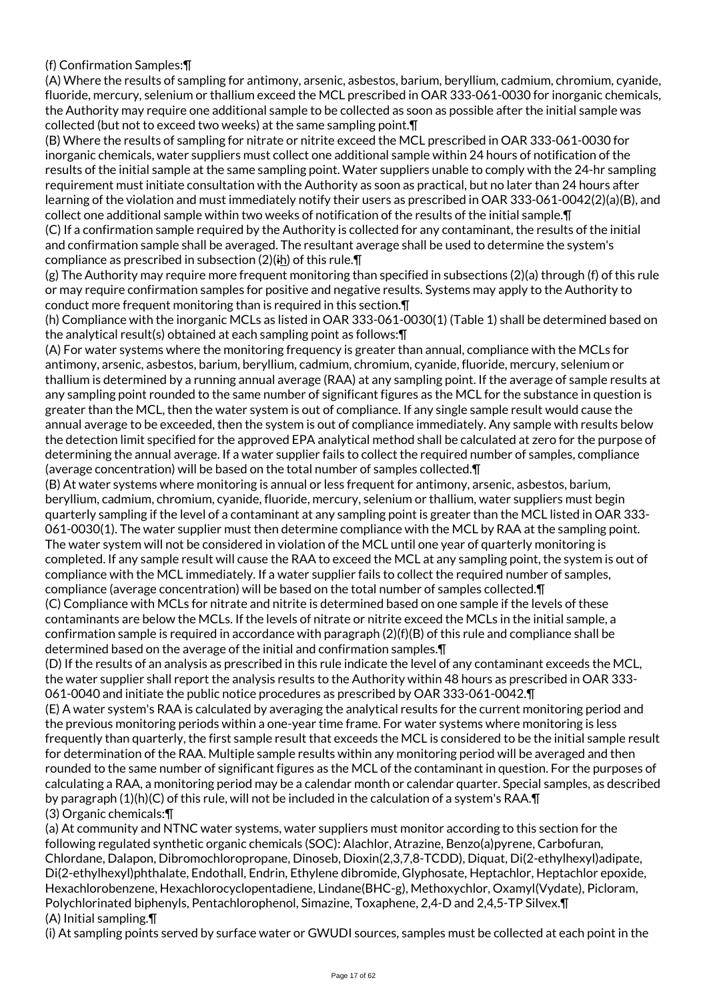# (f) Confirmation Samples:¶

(A) Where the results of sampling for antimony, arsenic, asbestos, barium, beryllium, cadmium, chromium, cyanide, fluoride, mercury, selenium or thallium exceed the MCL prescribed in OAR 333-061-0030 for inorganic chemicals, the Authority may require one additional sample to be collected as soon as possible after the initial sample was collected (but not to exceed two weeks) at the same sampling point.¶

(B) Where the results of sampling for nitrate or nitrite exceed the MCL prescribed in OAR 333-061-0030 for inorganic chemicals, water suppliers must collect one additional sample within 24 hours of notification of the results of the initial sample at the same sampling point. Water suppliers unable to comply with the 24-hr sampling requirement must initiate consultation with the Authority as soon as practical, but no later than 24 hours after learning of the violation and must immediately notify their users as prescribed in OAR 333-061-0042(2)(a)(B), and collect one additional sample within two weeks of notification of the results of the initial sample.¶ (C) If a confirmation sample required by the Authority is collected for any contaminant, the results of the initial and confirmation sample shall be averaged. The resultant average shall be used to determine the system's

compliance as prescribed in subsection (2)(ih) of this rule.¶

(g) The Authority may require more frequent monitoring than specified in subsections (2)(a) through (f) of this rule or may require confirmation samples for positive and negative results. Systems may apply to the Authority to conduct more frequent monitoring than is required in this section.¶

(h) Compliance with the inorganic MCLs as listed in OAR 333-061-0030(1) (Table 1) shall be determined based on the analytical result(s) obtained at each sampling point as follows:¶

(A) For water systems where the monitoring frequency is greater than annual, compliance with the MCLs for antimony, arsenic, asbestos, barium, beryllium, cadmium, chromium, cyanide, fluoride, mercury, selenium or thallium is determined by a running annual average (RAA) at any sampling point. If the average of sample results at any sampling point rounded to the same number of significant figures as the MCL for the substance in question is greater than the MCL, then the water system is out of compliance. If any single sample result would cause the annual average to be exceeded, then the system is out of compliance immediately. Any sample with results below the detection limit specified for the approved EPA analytical method shall be calculated at zero for the purpose of determining the annual average. If a water supplier fails to collect the required number of samples, compliance (average concentration) will be based on the total number of samples collected.¶

(B) At water systems where monitoring is annual or less frequent for antimony, arsenic, asbestos, barium, beryllium, cadmium, chromium, cyanide, fluoride, mercury, selenium or thallium, water suppliers must begin quarterly sampling if the level of a contaminant at any sampling point is greater than the MCL listed in OAR 333- 061-0030(1). The water supplier must then determine compliance with the MCL by RAA at the sampling point. The water system will not be considered in violation of the MCL until one year of quarterly monitoring is completed. If any sample result will cause the RAA to exceed the MCL at any sampling point, the system is out of compliance with the MCL immediately. If a water supplier fails to collect the required number of samples, compliance (average concentration) will be based on the total number of samples collected.¶

(C) Compliance with MCLs for nitrate and nitrite is determined based on one sample if the levels of these contaminants are below the MCLs. If the levels of nitrate or nitrite exceed the MCLs in the initial sample, a confirmation sample is required in accordance with paragraph (2)(f)(B) of this rule and compliance shall be determined based on the average of the initial and confirmation samples.¶

(D) If the results of an analysis as prescribed in this rule indicate the level of any contaminant exceeds the MCL, the water supplier shall report the analysis results to the Authority within 48 hours as prescribed in OAR 333- 061-0040 and initiate the public notice procedures as prescribed by OAR 333-061-0042.¶

(E) A water system's RAA is calculated by averaging the analytical results for the current monitoring period and the previous monitoring periods within a one-year time frame. For water systems where monitoring is less frequently than quarterly, the first sample result that exceeds the MCL is considered to be the initial sample result for determination of the RAA. Multiple sample results within any monitoring period will be averaged and then rounded to the same number of significant figures as the MCL of the contaminant in question. For the purposes of calculating a RAA, a monitoring period may be a calendar month or calendar quarter. Special samples, as described by paragraph (1)(h)(C) of this rule, will not be included in the calculation of a system's RAA.¶ (3) Organic chemicals:¶

(a) At community and NTNC water systems, water suppliers must monitor according to this section for the following regulated synthetic organic chemicals (SOC): Alachlor, Atrazine, Benzo(a)pyrene, Carbofuran, Chlordane, Dalapon, Dibromochloropropane, Dinoseb, Dioxin(2,3,7,8-TCDD), Diquat, Di(2-ethylhexyl)adipate, Di(2-ethylhexyl)phthalate, Endothall, Endrin, Ethylene dibromide, Glyphosate, Heptachlor, Heptachlor epoxide, Hexachlorobenzene, Hexachlorocyclopentadiene, Lindane(BHC-g), Methoxychlor, Oxamyl(Vydate), Picloram, Polychlorinated biphenyls, Pentachlorophenol, Simazine, Toxaphene, 2,4-D and 2,4,5-TP Silvex.¶ (A) Initial sampling.¶

(i) At sampling points served by surface water or GWUDI sources, samples must be collected at each point in the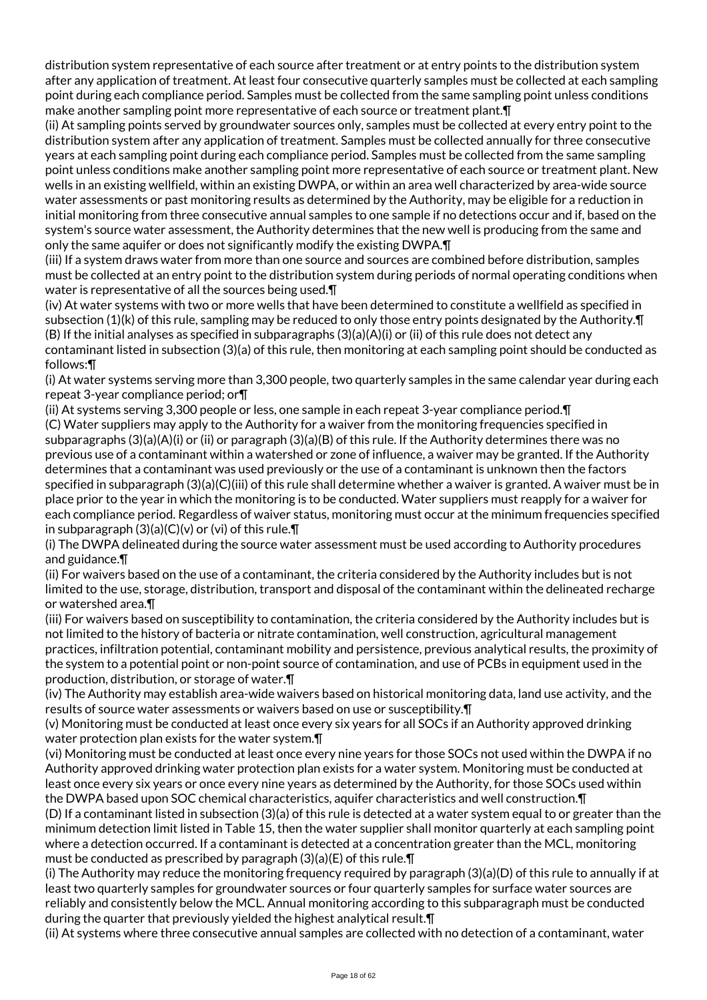distribution system representative of each source after treatment or at entry points to the distribution system after any application of treatment. At least four consecutive quarterly samples must be collected at each sampling point during each compliance period. Samples must be collected from the same sampling point unless conditions make another sampling point more representative of each source or treatment plant.¶

(ii) At sampling points served by groundwater sources only, samples must be collected at every entry point to the distribution system after any application of treatment. Samples must be collected annually for three consecutive years at each sampling point during each compliance period. Samples must be collected from the same sampling point unless conditions make another sampling point more representative of each source or treatment plant. New wells in an existing wellfield, within an existing DWPA, or within an area well characterized by area-wide source water assessments or past monitoring results as determined by the Authority, may be eligible for a reduction in initial monitoring from three consecutive annual samples to one sample if no detections occur and if, based on the system's source water assessment, the Authority determines that the new well is producing from the same and only the same aquifer or does not significantly modify the existing DWPA.¶

(iii) If a system draws water from more than one source and sources are combined before distribution, samples must be collected at an entry point to the distribution system during periods of normal operating conditions when water is representative of all the sources being used.¶

(iv) At water systems with two or more wells that have been determined to constitute a wellfield as specified in subsection (1)(k) of this rule, sampling may be reduced to only those entry points designated by the Authority.¶ (B) If the initial analyses as specified in subparagraphs (3)(a)(A)(i) or (ii) of this rule does not detect any contaminant listed in subsection (3)(a) of this rule, then monitoring at each sampling point should be conducted as follows:¶

(i) At water systems serving more than 3,300 people, two quarterly samples in the same calendar year during each repeat 3-year compliance period; or¶

(ii) At systems serving 3,300 people or less, one sample in each repeat 3-year compliance period.¶ (C) Water suppliers may apply to the Authority for a waiver from the monitoring frequencies specified in subparagraphs (3)(a)(A)(i) or (ii) or paragraph (3)(a)(B) of this rule. If the Authority determines there was no previous use of a contaminant within a watershed or zone of influence, a waiver may be granted. If the Authority determines that a contaminant was used previously or the use of a contaminant is unknown then the factors specified in subparagraph (3)(a)(C)(iii) of this rule shall determine whether a waiver is granted. A waiver must be in place prior to the year in which the monitoring is to be conducted. Water suppliers must reapply for a waiver for each compliance period. Regardless of waiver status, monitoring must occur at the minimum frequencies specified in subparagraph (3)(a)(C)(v) or (vi) of this rule.¶

(i) The DWPA delineated during the source water assessment must be used according to Authority procedures and guidance.¶

(ii) For waivers based on the use of a contaminant, the criteria considered by the Authority includes but is not limited to the use, storage, distribution, transport and disposal of the contaminant within the delineated recharge or watershed area.¶

(iii) For waivers based on susceptibility to contamination, the criteria considered by the Authority includes but is not limited to the history of bacteria or nitrate contamination, well construction, agricultural management practices, infiltration potential, contaminant mobility and persistence, previous analytical results, the proximity of the system to a potential point or non-point source of contamination, and use of PCBs in equipment used in the production, distribution, or storage of water.¶

(iv) The Authority may establish area-wide waivers based on historical monitoring data, land use activity, and the results of source water assessments or waivers based on use or susceptibility.¶

(v) Monitoring must be conducted at least once every six years for all SOCs if an Authority approved drinking water protection plan exists for the water system.¶

(vi) Monitoring must be conducted at least once every nine years for those SOCs not used within the DWPA if no Authority approved drinking water protection plan exists for a water system. Monitoring must be conducted at least once every six years or once every nine years as determined by the Authority, for those SOCs used within the DWPA based upon SOC chemical characteristics, aquifer characteristics and well construction.¶

(D) If a contaminant listed in subsection (3)(a) of this rule is detected at a water system equal to or greater than the minimum detection limit listed in Table 15, then the water supplier shall monitor quarterly at each sampling point where a detection occurred. If a contaminant is detected at a concentration greater than the MCL, monitoring must be conducted as prescribed by paragraph  $(3)(a)(E)$  of this rule. $\P$ 

(i) The Authority may reduce the monitoring frequency required by paragraph (3)(a)(D) of this rule to annually if at least two quarterly samples for groundwater sources or four quarterly samples for surface water sources are reliably and consistently below the MCL. Annual monitoring according to this subparagraph must be conducted during the quarter that previously yielded the highest analytical result.¶

(ii) At systems where three consecutive annual samples are collected with no detection of a contaminant, water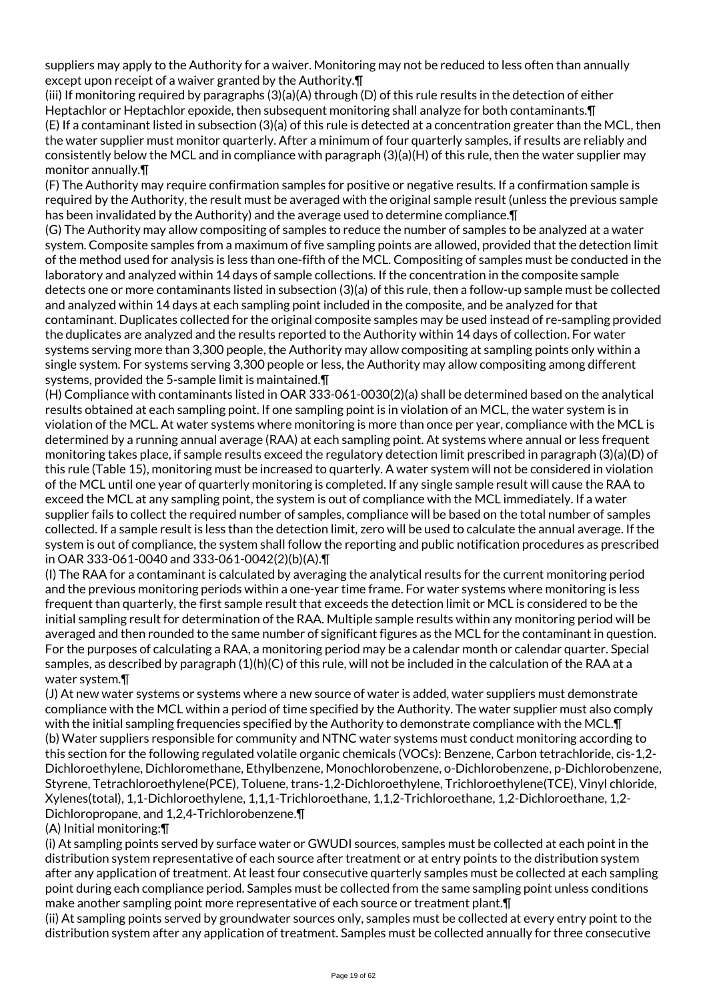suppliers may apply to the Authority for a waiver. Monitoring may not be reduced to less often than annually except upon receipt of a waiver granted by the Authority.¶

(iii) If monitoring required by paragraphs (3)(a)(A) through (D) of this rule results in the detection of either Heptachlor or Heptachlor epoxide, then subsequent monitoring shall analyze for both contaminants. **[1**] (E) If a contaminant listed in subsection (3)(a) of this rule is detected at a concentration greater than the MCL, then the water supplier must monitor quarterly. After a minimum of four quarterly samples, if results are reliably and consistently below the MCL and in compliance with paragraph (3)(a)(H) of this rule, then the water supplier may monitor annually.¶

(F) The Authority may require confirmation samples for positive or negative results. If a confirmation sample is required by the Authority, the result must be averaged with the original sample result (unless the previous sample has been invalidated by the Authority) and the average used to determine compliance.¶

(G) The Authority may allow compositing of samples to reduce the number of samples to be analyzed at a water system. Composite samples from a maximum of five sampling points are allowed, provided that the detection limit of the method used for analysis is less than one-fifth of the MCL. Compositing of samples must be conducted in the laboratory and analyzed within 14 days of sample collections. If the concentration in the composite sample detects one or more contaminants listed in subsection (3)(a) of this rule, then a follow-up sample must be collected and analyzed within 14 days at each sampling point included in the composite, and be analyzed for that contaminant. Duplicates collected for the original composite samples may be used instead of re-sampling provided the duplicates are analyzed and the results reported to the Authority within 14 days of collection. For water systems serving more than 3,300 people, the Authority may allow compositing at sampling points only within a single system. For systems serving 3,300 people or less, the Authority may allow compositing among different systems, provided the 5-sample limit is maintained.¶

(H) Compliance with contaminants listed in OAR 333-061-0030(2)(a) shall be determined based on the analytical results obtained at each sampling point. If one sampling point is in violation of an MCL, the water system is in violation of the MCL. At water systems where monitoring is more than once per year, compliance with the MCL is determined by a running annual average (RAA) at each sampling point. At systems where annual or less frequent monitoring takes place, if sample results exceed the regulatory detection limit prescribed in paragraph (3)(a)(D) of this rule (Table 15), monitoring must be increased to quarterly. A water system will not be considered in violation of the MCL until one year of quarterly monitoring is completed. If any single sample result will cause the RAA to exceed the MCL at any sampling point, the system is out of compliance with the MCL immediately. If a water supplier fails to collect the required number of samples, compliance will be based on the total number of samples collected. If a sample result is less than the detection limit, zero will be used to calculate the annual average. If the system is out of compliance, the system shall follow the reporting and public notification procedures as prescribed in OAR 333-061-0040 and 333-061-0042(2)(b)(A).¶

(I) The RAA for a contaminant is calculated by averaging the analytical results for the current monitoring period and the previous monitoring periods within a one-year time frame. For water systems where monitoring is less frequent than quarterly, the first sample result that exceeds the detection limit or MCL is considered to be the initial sampling result for determination of the RAA. Multiple sample results within any monitoring period will be averaged and then rounded to the same number of significant figures as the MCL for the contaminant in question. For the purposes of calculating a RAA, a monitoring period may be a calendar month or calendar quarter. Special samples, as described by paragraph (1)(h)(C) of this rule, will not be included in the calculation of the RAA at a water system.¶

(J) At new water systems or systems where a new source of water is added, water suppliers must demonstrate compliance with the MCL within a period of time specified by the Authority. The water supplier must also comply with the initial sampling frequencies specified by the Authority to demonstrate compliance with the MCL.¶ (b) Water suppliers responsible for community and NTNC water systems must conduct monitoring according to this section for the following regulated volatile organic chemicals (VOCs): Benzene, Carbon tetrachloride, cis-1,2- Dichloroethylene, Dichloromethane, Ethylbenzene, Monochlorobenzene, o-Dichlorobenzene, p-Dichlorobenzene, Styrene, Tetrachloroethylene(PCE), Toluene, trans-1,2-Dichloroethylene, Trichloroethylene(TCE), Vinyl chloride, Xylenes(total), 1,1-Dichloroethylene, 1,1,1-Trichloroethane, 1,1,2-Trichloroethane, 1,2-Dichloroethane, 1,2- Dichloropropane, and 1,2,4-Trichlorobenzene.¶

(A) Initial monitoring:¶

(i) At sampling points served by surface water or GWUDI sources, samples must be collected at each point in the distribution system representative of each source after treatment or at entry points to the distribution system after any application of treatment. At least four consecutive quarterly samples must be collected at each sampling point during each compliance period. Samples must be collected from the same sampling point unless conditions make another sampling point more representative of each source or treatment plant.¶

(ii) At sampling points served by groundwater sources only, samples must be collected at every entry point to the distribution system after any application of treatment. Samples must be collected annually for three consecutive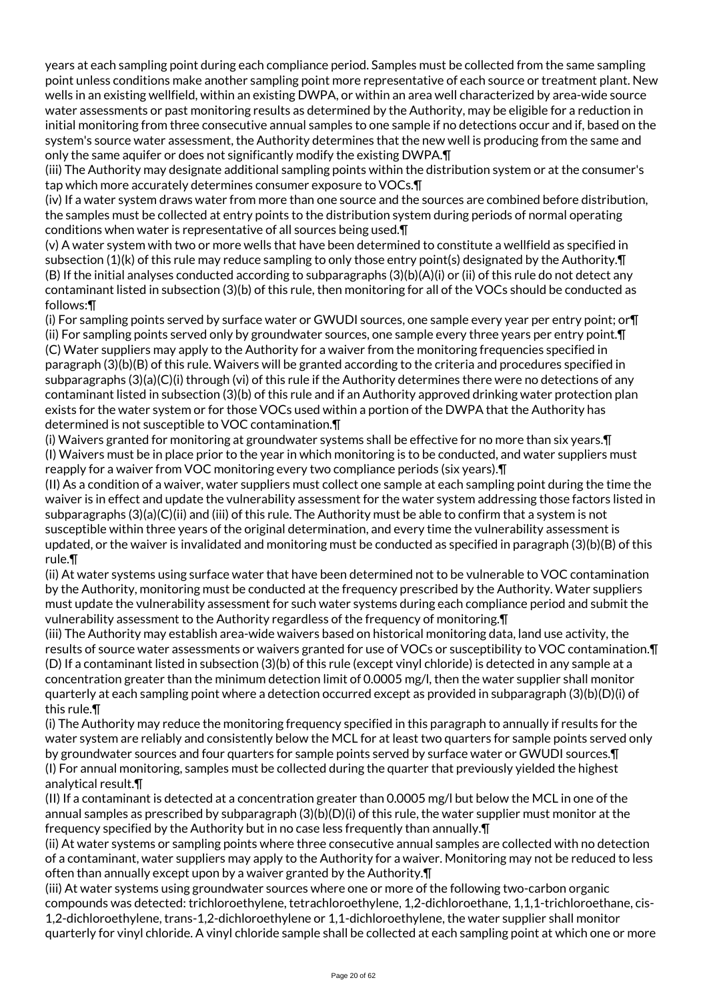years at each sampling point during each compliance period. Samples must be collected from the same sampling point unless conditions make another sampling point more representative of each source or treatment plant. New wells in an existing wellfield, within an existing DWPA, or within an area well characterized by area-wide source water assessments or past monitoring results as determined by the Authority, may be eligible for a reduction in initial monitoring from three consecutive annual samples to one sample if no detections occur and if, based on the system's source water assessment, the Authority determines that the new well is producing from the same and only the same aquifer or does not significantly modify the existing DWPA.¶

(iii) The Authority may designate additional sampling points within the distribution system or at the consumer's tap which more accurately determines consumer exposure to VOCs.¶

(iv) If a water system draws water from more than one source and the sources are combined before distribution, the samples must be collected at entry points to the distribution system during periods of normal operating conditions when water is representative of all sources being used.¶

(v) A water system with two or more wells that have been determined to constitute a wellfield as specified in subsection (1)(k) of this rule may reduce sampling to only those entry point(s) designated by the Authority.¶ (B) If the initial analyses conducted according to subparagraphs (3)(b)(A)(i) or (ii) of this rule do not detect any contaminant listed in subsection (3)(b) of this rule, then monitoring for all of the VOCs should be conducted as follows:¶

(i) For sampling points served by surface water or GWUDI sources, one sample every year per entry point; or¶ (ii) For sampling points served only by groundwater sources, one sample every three years per entry point.¶ (C) Water suppliers may apply to the Authority for a waiver from the monitoring frequencies specified in paragraph (3)(b)(B) of this rule. Waivers will be granted according to the criteria and procedures specified in subparagraphs (3)(a)(C)(i) through (vi) of this rule if the Authority determines there were no detections of any contaminant listed in subsection (3)(b) of this rule and if an Authority approved drinking water protection plan exists for the water system or for those VOCs used within a portion of the DWPA that the Authority has determined is not susceptible to VOC contamination.¶

(i) Waivers granted for monitoring at groundwater systems shall be effective for no more than six years.¶ (I) Waivers must be in place prior to the year in which monitoring is to be conducted, and water suppliers must reapply for a waiver from VOC monitoring every two compliance periods (six years).¶

(II) As a condition of a waiver, water suppliers must collect one sample at each sampling point during the time the waiver is in effect and update the vulnerability assessment for the water system addressing those factors listed in subparagraphs (3)(a)(C)(ii) and (iii) of this rule. The Authority must be able to confirm that a system is not susceptible within three years of the original determination, and every time the vulnerability assessment is updated, or the waiver is invalidated and monitoring must be conducted as specified in paragraph (3)(b)(B) of this rule.¶

(ii) At water systems using surface water that have been determined not to be vulnerable to VOC contamination by the Authority, monitoring must be conducted at the frequency prescribed by the Authority. Water suppliers must update the vulnerability assessment for such water systems during each compliance period and submit the vulnerability assessment to the Authority regardless of the frequency of monitoring.¶

(iii) The Authority may establish area-wide waivers based on historical monitoring data, land use activity, the results of source water assessments or waivers granted for use of VOCs or susceptibility to VOC contamination.¶ (D) If a contaminant listed in subsection (3)(b) of this rule (except vinyl chloride) is detected in any sample at a concentration greater than the minimum detection limit of 0.0005 mg/l, then the water supplier shall monitor quarterly at each sampling point where a detection occurred except as provided in subparagraph (3)(b)(D)(i) of this rule.¶

(i) The Authority may reduce the monitoring frequency specified in this paragraph to annually if results for the water system are reliably and consistently below the MCL for at least two quarters for sample points served only by groundwater sources and four quarters for sample points served by surface water or GWUDI sources.¶ (I) For annual monitoring, samples must be collected during the quarter that previously yielded the highest analytical result.¶

(II) If a contaminant is detected at a concentration greater than 0.0005 mg/l but below the MCL in one of the annual samples as prescribed by subparagraph  $(3)(b)(D)(i)$  of this rule, the water supplier must monitor at the frequency specified by the Authority but in no case less frequently than annually.¶

(ii) At water systems or sampling points where three consecutive annual samples are collected with no detection of a contaminant, water suppliers may apply to the Authority for a waiver. Monitoring may not be reduced to less often than annually except upon by a waiver granted by the Authority.¶

(iii) At water systems using groundwater sources where one or more of the following two-carbon organic compounds was detected: trichloroethylene, tetrachloroethylene, 1,2-dichloroethane, 1,1,1-trichloroethane, cis-1,2-dichloroethylene, trans-1,2-dichloroethylene or 1,1-dichloroethylene, the water supplier shall monitor quarterly for vinyl chloride. A vinyl chloride sample shall be collected at each sampling point at which one or more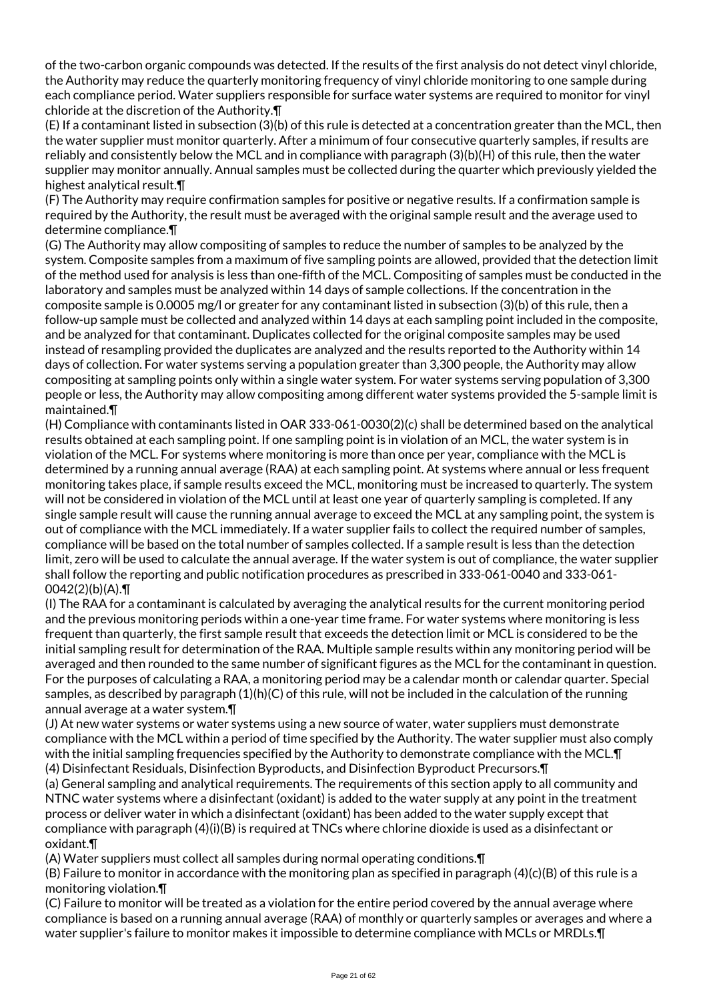of the two-carbon organic compounds was detected. If the results of the first analysis do not detect vinyl chloride, the Authority may reduce the quarterly monitoring frequency of vinyl chloride monitoring to one sample during each compliance period. Water suppliers responsible for surface water systems are required to monitor for vinyl chloride at the discretion of the Authority.¶

(E) If a contaminant listed in subsection (3)(b) of this rule is detected at a concentration greater than the MCL, then the water supplier must monitor quarterly. After a minimum of four consecutive quarterly samples, if results are reliably and consistently below the MCL and in compliance with paragraph (3)(b)(H) of this rule, then the water supplier may monitor annually. Annual samples must be collected during the quarter which previously yielded the highest analytical result.¶

(F) The Authority may require confirmation samples for positive or negative results. If a confirmation sample is required by the Authority, the result must be averaged with the original sample result and the average used to determine compliance.¶

(G) The Authority may allow compositing of samples to reduce the number of samples to be analyzed by the system. Composite samples from a maximum of five sampling points are allowed, provided that the detection limit of the method used for analysis is less than one-fifth of the MCL. Compositing of samples must be conducted in the laboratory and samples must be analyzed within 14 days of sample collections. If the concentration in the composite sample is 0.0005 mg/l or greater for any contaminant listed in subsection (3)(b) of this rule, then a follow-up sample must be collected and analyzed within 14 days at each sampling point included in the composite, and be analyzed for that contaminant. Duplicates collected for the original composite samples may be used instead of resampling provided the duplicates are analyzed and the results reported to the Authority within 14 days of collection. For water systems serving a population greater than 3,300 people, the Authority may allow compositing at sampling points only within a single water system. For water systems serving population of 3,300 people or less, the Authority may allow compositing among different water systems provided the 5-sample limit is maintained.¶

(H) Compliance with contaminants listed in OAR 333-061-0030(2)(c) shall be determined based on the analytical results obtained at each sampling point. If one sampling point is in violation of an MCL, the water system is in violation of the MCL. For systems where monitoring is more than once per year, compliance with the MCL is determined by a running annual average (RAA) at each sampling point. At systems where annual or less frequent monitoring takes place, if sample results exceed the MCL, monitoring must be increased to quarterly. The system will not be considered in violation of the MCL until at least one year of quarterly sampling is completed. If any single sample result will cause the running annual average to exceed the MCL at any sampling point, the system is out of compliance with the MCL immediately. If a water supplier fails to collect the required number of samples, compliance will be based on the total number of samples collected. If a sample result is less than the detection limit, zero will be used to calculate the annual average. If the water system is out of compliance, the water supplier shall follow the reporting and public notification procedures as prescribed in 333-061-0040 and 333-061- 0042(2)(b)(A).¶

(I) The RAA for a contaminant is calculated by averaging the analytical results for the current monitoring period and the previous monitoring periods within a one-year time frame. For water systems where monitoring is less frequent than quarterly, the first sample result that exceeds the detection limit or MCL is considered to be the initial sampling result for determination of the RAA. Multiple sample results within any monitoring period will be averaged and then rounded to the same number of significant figures as the MCL for the contaminant in question. For the purposes of calculating a RAA, a monitoring period may be a calendar month or calendar quarter. Special samples, as described by paragraph (1)(h)(C) of this rule, will not be included in the calculation of the running annual average at a water system.¶

(J) At new water systems or water systems using a new source of water, water suppliers must demonstrate compliance with the MCL within a period of time specified by the Authority. The water supplier must also comply with the initial sampling frequencies specified by the Authority to demonstrate compliance with the MCL.¶

(4) Disinfectant Residuals, Disinfection Byproducts, and Disinfection Byproduct Precursors.¶

(a) General sampling and analytical requirements. The requirements of this section apply to all community and NTNC water systems where a disinfectant (oxidant) is added to the water supply at any point in the treatment process or deliver water in which a disinfectant (oxidant) has been added to the water supply except that compliance with paragraph (4)(i)(B) is required at TNCs where chlorine dioxide is used as a disinfectant or oxidant.¶

(A) Water suppliers must collect all samples during normal operating conditions.¶

(B) Failure to monitor in accordance with the monitoring plan as specified in paragraph (4)(c)(B) of this rule is a monitoring violation.¶

(C) Failure to monitor will be treated as a violation for the entire period covered by the annual average where compliance is based on a running annual average (RAA) of monthly or quarterly samples or averages and where a water supplier's failure to monitor makes it impossible to determine compliance with MCLs or MRDLs.¶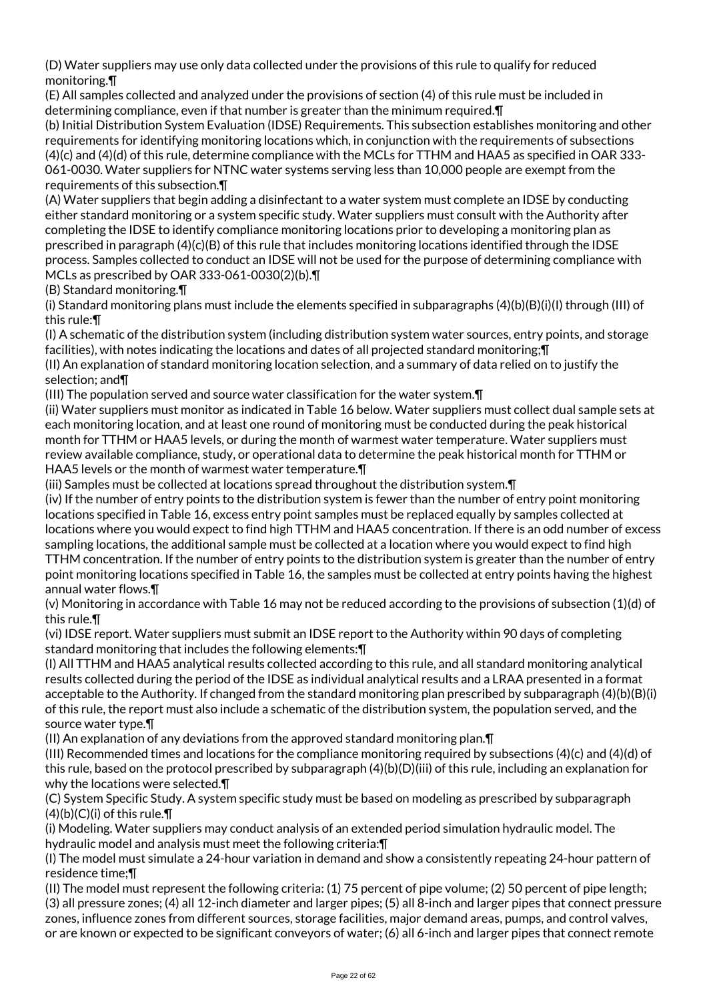(D) Water suppliers may use only data collected under the provisions of this rule to qualify for reduced monitoring.¶

(E) All samples collected and analyzed under the provisions of section (4) of this rule must be included in determining compliance, even if that number is greater than the minimum required.¶

(b) Initial Distribution System Evaluation (IDSE) Requirements. This subsection establishes monitoring and other requirements for identifying monitoring locations which, in conjunction with the requirements of subsections (4)(c) and (4)(d) of this rule, determine compliance with the MCLs for TTHM and HAA5 as specified in OAR 333- 061-0030. Water suppliers for NTNC water systems serving less than 10,000 people are exempt from the requirements of this subsection.¶

(A) Water suppliers that begin adding a disinfectant to a water system must complete an IDSE by conducting either standard monitoring or a system specific study. Water suppliers must consult with the Authority after completing the IDSE to identify compliance monitoring locations prior to developing a monitoring plan as prescribed in paragraph (4)(c)(B) of this rule that includes monitoring locations identified through the IDSE process. Samples collected to conduct an IDSE will not be used for the purpose of determining compliance with MCLs as prescribed by OAR 333-061-0030(2)(b).¶

(B) Standard monitoring.¶

(i) Standard monitoring plans must include the elements specified in subparagraphs (4)(b)(B)(i)(I) through (III) of this rule:¶

(I) A schematic of the distribution system (including distribution system water sources, entry points, and storage facilities), with notes indicating the locations and dates of all projected standard monitoring;¶

(II) An explanation of standard monitoring location selection, and a summary of data relied on to justify the selection; and¶

(III) The population served and source water classification for the water system.¶

(ii) Water suppliers must monitor as indicated in Table 16 below. Water suppliers must collect dual sample sets at each monitoring location, and at least one round of monitoring must be conducted during the peak historical month for TTHM or HAA5 levels, or during the month of warmest water temperature. Water suppliers must review available compliance, study, or operational data to determine the peak historical month for TTHM or HAA5 levels or the month of warmest water temperature.¶

(iii) Samples must be collected at locations spread throughout the distribution system.¶

(iv) If the number of entry points to the distribution system is fewer than the number of entry point monitoring locations specified in Table 16, excess entry point samples must be replaced equally by samples collected at locations where you would expect to find high TTHM and HAA5 concentration. If there is an odd number of excess sampling locations, the additional sample must be collected at a location where you would expect to find high TTHM concentration. If the number of entry points to the distribution system is greater than the number of entry point monitoring locations specified in Table 16, the samples must be collected at entry points having the highest annual water flows.¶

(v) Monitoring in accordance with Table 16 may not be reduced according to the provisions of subsection (1)(d) of this rule.¶

(vi) IDSE report. Water suppliers must submit an IDSE report to the Authority within 90 days of completing standard monitoring that includes the following elements:¶

(I) All TTHM and HAA5 analytical results collected according to this rule, and all standard monitoring analytical results collected during the period of the IDSE as individual analytical results and a LRAA presented in a format acceptable to the Authority. If changed from the standard monitoring plan prescribed by subparagraph (4)(b)(B)(i) of this rule, the report must also include a schematic of the distribution system, the population served, and the source water type.¶

(II) An explanation of any deviations from the approved standard monitoring plan.¶

(III) Recommended times and locations for the compliance monitoring required by subsections (4)(c) and (4)(d) of this rule, based on the protocol prescribed by subparagraph (4)(b)(D)(iii) of this rule, including an explanation for why the locations were selected.¶

(C) System Specific Study. A system specific study must be based on modeling as prescribed by subparagraph  $(4)(b)(C)(i)$  of this rule. $\P$ 

(i) Modeling. Water suppliers may conduct analysis of an extended period simulation hydraulic model. The hydraulic model and analysis must meet the following criteria:¶

(I) The model must simulate a 24-hour variation in demand and show a consistently repeating 24-hour pattern of residence time;¶

(II) The model must represent the following criteria: (1) 75 percent of pipe volume; (2) 50 percent of pipe length; (3) all pressure zones; (4) all 12-inch diameter and larger pipes; (5) all 8-inch and larger pipes that connect pressure zones, influence zones from different sources, storage facilities, major demand areas, pumps, and control valves, or are known or expected to be significant conveyors of water; (6) all 6-inch and larger pipes that connect remote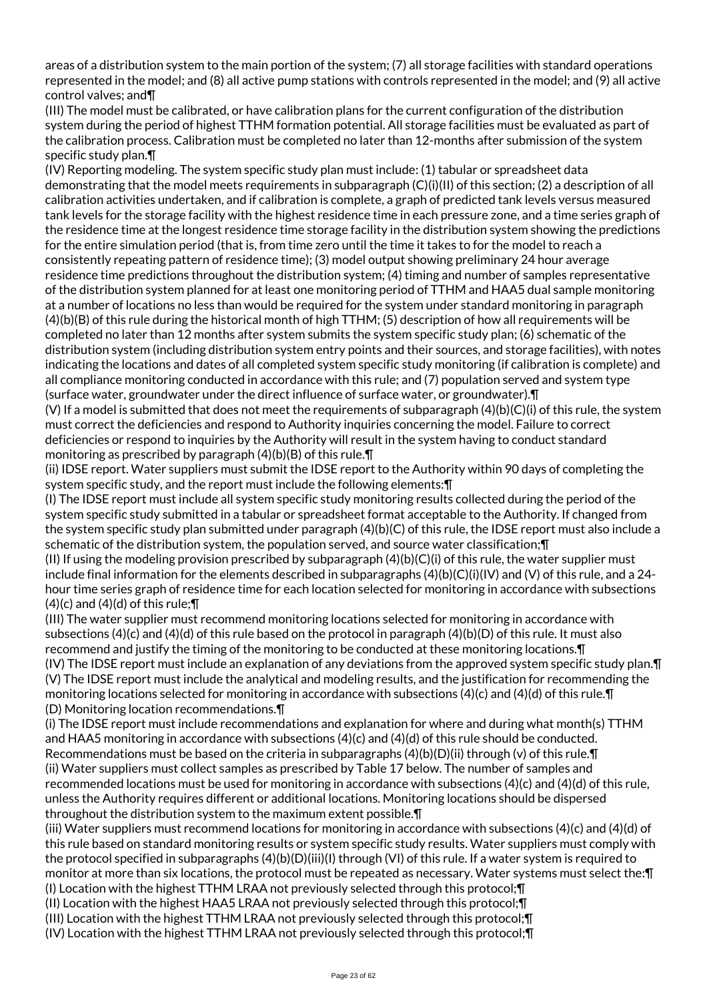areas of a distribution system to the main portion of the system; (7) all storage facilities with standard operations represented in the model; and (8) all active pump stations with controls represented in the model; and (9) all active control valves; and¶

(III) The model must be calibrated, or have calibration plans for the current configuration of the distribution system during the period of highest TTHM formation potential. All storage facilities must be evaluated as part of the calibration process. Calibration must be completed no later than 12-months after submission of the system specific study plan.¶

(IV) Reporting modeling. The system specific study plan must include: (1) tabular or spreadsheet data demonstrating that the model meets requirements in subparagraph (C)(i)(II) of this section; (2) a description of all calibration activities undertaken, and if calibration is complete, a graph of predicted tank levels versus measured tank levels for the storage facility with the highest residence time in each pressure zone, and a time series graph of the residence time at the longest residence time storage facility in the distribution system showing the predictions for the entire simulation period (that is, from time zero until the time it takes to for the model to reach a consistently repeating pattern of residence time); (3) model output showing preliminary 24 hour average residence time predictions throughout the distribution system; (4) timing and number of samples representative of the distribution system planned for at least one monitoring period of TTHM and HAA5 dual sample monitoring at a number of locations no less than would be required for the system under standard monitoring in paragraph (4)(b)(B) of this rule during the historical month of high TTHM; (5) description of how all requirements will be completed no later than 12 months after system submits the system specific study plan; (6) schematic of the distribution system (including distribution system entry points and their sources, and storage facilities), with notes indicating the locations and dates of all completed system specific study monitoring (if calibration is complete) and all compliance monitoring conducted in accordance with this rule; and (7) population served and system type (surface water, groundwater under the direct influence of surface water, or groundwater).¶

(V) If a model is submitted that does not meet the requirements of subparagraph (4)(b)(C)(i) of this rule, the system must correct the deficiencies and respond to Authority inquiries concerning the model. Failure to correct deficiencies or respond to inquiries by the Authority will result in the system having to conduct standard monitoring as prescribed by paragraph (4)(b)(B) of this rule.¶

(ii) IDSE report. Water suppliers must submit the IDSE report to the Authority within 90 days of completing the system specific study, and the report must include the following elements:¶

(I) The IDSE report must include all system specific study monitoring results collected during the period of the system specific study submitted in a tabular or spreadsheet format acceptable to the Authority. If changed from the system specific study plan submitted under paragraph (4)(b)(C) of this rule, the IDSE report must also include a schematic of the distribution system, the population served, and source water classification; [I]

(II) If using the modeling provision prescribed by subparagraph  $(4)(b)(C)(i)$  of this rule, the water supplier must include final information for the elements described in subparagraphs (4)(b)(C)(i)(IV) and (V) of this rule, and a 24 hour time series graph of residence time for each location selected for monitoring in accordance with subsections  $(4)(c)$  and  $(4)(d)$  of this rule; $\P$ 

(III) The water supplier must recommend monitoring locations selected for monitoring in accordance with subsections (4)(c) and (4)(d) of this rule based on the protocol in paragraph (4)(b)(D) of this rule. It must also recommend and justify the timing of the monitoring to be conducted at these monitoring locations.¶ (IV) The IDSE report must include an explanation of any deviations from the approved system specific study plan.¶ (V) The IDSE report must include the analytical and modeling results, and the justification for recommending the monitoring locations selected for monitoring in accordance with subsections (4)(c) and (4)(d) of this rule.¶ (D) Monitoring location recommendations.¶

(i) The IDSE report must include recommendations and explanation for where and during what month(s) TTHM and HAA5 monitoring in accordance with subsections (4)(c) and (4)(d) of this rule should be conducted. Recommendations must be based on the criteria in subparagraphs  $(4)(b)(D)(ii)$  through (v) of this rule.  $\P$ (ii) Water suppliers must collect samples as prescribed by Table 17 below. The number of samples and recommended locations must be used for monitoring in accordance with subsections (4)(c) and (4)(d) of this rule, unless the Authority requires different or additional locations. Monitoring locations should be dispersed throughout the distribution system to the maximum extent possible.¶

(iii) Water suppliers must recommend locations for monitoring in accordance with subsections (4)(c) and (4)(d) of this rule based on standard monitoring results or system specific study results. Water suppliers must comply with the protocol specified in subparagraphs (4)(b)(D)(iii)(I) through (VI) of this rule. If a water system is required to monitor at more than six locations, the protocol must be repeated as necessary. Water systems must select the:¶ (I) Location with the highest TTHM LRAA not previously selected through this protocol;¶

(II) Location with the highest HAA5 LRAA not previously selected through this protocol;¶

(III) Location with the highest TTHM LRAA not previously selected through this protocol;¶

(IV) Location with the highest TTHM LRAA not previously selected through this protocol;¶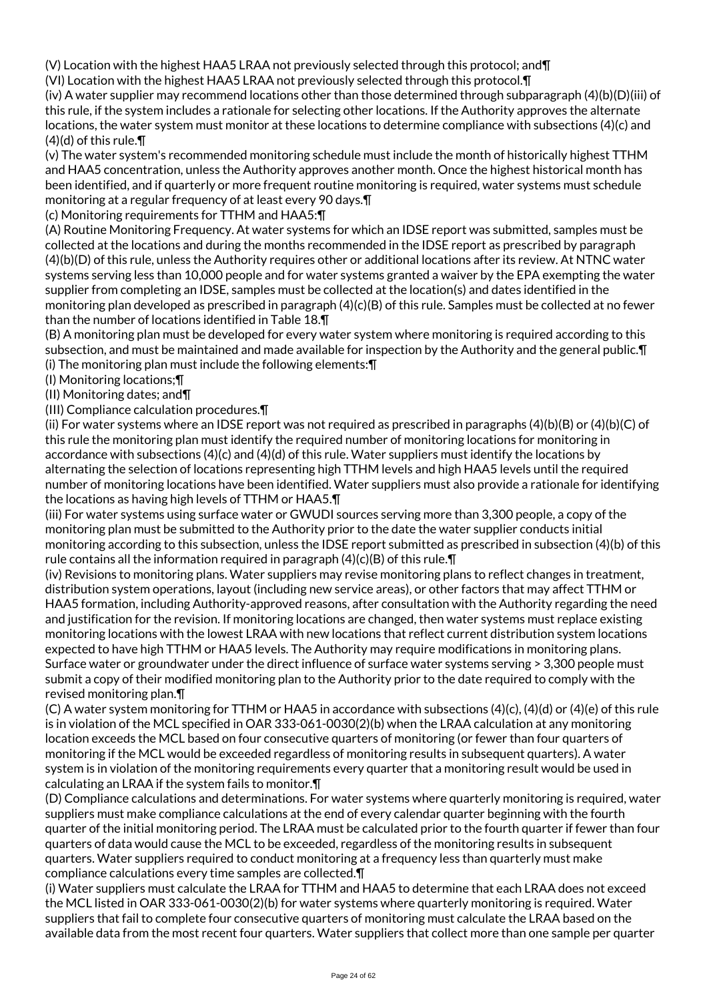(V) Location with the highest HAA5 LRAA not previously selected through this protocol; and¶

(VI) Location with the highest HAA5 LRAA not previously selected through this protocol.¶

(iv) A water supplier may recommend locations other than those determined through subparagraph (4)(b)(D)(iii) of this rule, if the system includes a rationale for selecting other locations. If the Authority approves the alternate locations, the water system must monitor at these locations to determine compliance with subsections (4)(c) and  $(4)(d)$  of this rule. $\P$ 

(v) The water system's recommended monitoring schedule must include the month of historically highest TTHM and HAA5 concentration, unless the Authority approves another month. Once the highest historical month has been identified, and if quarterly or more frequent routine monitoring is required, water systems must schedule monitoring at a regular frequency of at least every 90 days.¶

(c) Monitoring requirements for TTHM and HAA5:¶

(A) Routine Monitoring Frequency. At water systems for which an IDSE report was submitted, samples must be collected at the locations and during the months recommended in the IDSE report as prescribed by paragraph (4)(b)(D) of this rule, unless the Authority requires other or additional locations after its review. At NTNC water systems serving less than 10,000 people and for water systems granted a waiver by the EPA exempting the water supplier from completing an IDSE, samples must be collected at the location(s) and dates identified in the monitoring plan developed as prescribed in paragraph (4)(c)(B) of this rule. Samples must be collected at no fewer than the number of locations identified in Table 18.¶

(B) A monitoring plan must be developed for every water system where monitoring is required according to this subsection, and must be maintained and made available for inspection by the Authority and the general public.¶ (i) The monitoring plan must include the following elements:¶

(I) Monitoring locations;¶

(II) Monitoring dates; and¶

(III) Compliance calculation procedures.¶

(ii) For water systems where an IDSE report was not required as prescribed in paragraphs (4)(b)(B) or (4)(b)(C) of this rule the monitoring plan must identify the required number of monitoring locations for monitoring in accordance with subsections (4)(c) and (4)(d) of this rule. Water suppliers must identify the locations by alternating the selection of locations representing high TTHM levels and high HAA5 levels until the required number of monitoring locations have been identified. Water suppliers must also provide a rationale for identifying the locations as having high levels of TTHM or HAA5.¶

(iii) For water systems using surface water or GWUDI sources serving more than 3,300 people, a copy of the monitoring plan must be submitted to the Authority prior to the date the water supplier conducts initial monitoring according to this subsection, unless the IDSE report submitted as prescribed in subsection (4)(b) of this rule contains all the information required in paragraph  $(4)(c)(B)$  of this rule.  $\P$ 

(iv) Revisions to monitoring plans. Water suppliers may revise monitoring plans to reflect changes in treatment, distribution system operations, layout (including new service areas), or other factors that may affect TTHM or HAA5 formation, including Authority-approved reasons, after consultation with the Authority regarding the need and justification for the revision. If monitoring locations are changed, then water systems must replace existing monitoring locations with the lowest LRAA with new locations that reflect current distribution system locations expected to have high TTHM or HAA5 levels. The Authority may require modifications in monitoring plans. Surface water or groundwater under the direct influence of surface water systems serving > 3,300 people must submit a copy of their modified monitoring plan to the Authority prior to the date required to comply with the revised monitoring plan.¶

(C) A water system monitoring for TTHM or HAA5 in accordance with subsections (4)(c), (4)(d) or (4)(e) of this rule is in violation of the MCL specified in OAR 333-061-0030(2)(b) when the LRAA calculation at any monitoring location exceeds the MCL based on four consecutive quarters of monitoring (or fewer than four quarters of monitoring if the MCL would be exceeded regardless of monitoring results in subsequent quarters). A water system is in violation of the monitoring requirements every quarter that a monitoring result would be used in calculating an LRAA if the system fails to monitor.¶

(D) Compliance calculations and determinations. For water systems where quarterly monitoring is required, water suppliers must make compliance calculations at the end of every calendar quarter beginning with the fourth quarter of the initial monitoring period. The LRAA must be calculated prior to the fourth quarter if fewer than four quarters of data would cause the MCL to be exceeded, regardless of the monitoring results in subsequent quarters. Water suppliers required to conduct monitoring at a frequency less than quarterly must make compliance calculations every time samples are collected.¶

(i) Water suppliers must calculate the LRAA for TTHM and HAA5 to determine that each LRAA does not exceed the MCL listed in OAR 333-061-0030(2)(b) for water systems where quarterly monitoring is required. Water suppliers that fail to complete four consecutive quarters of monitoring must calculate the LRAA based on the available data from the most recent four quarters. Water suppliers that collect more than one sample per quarter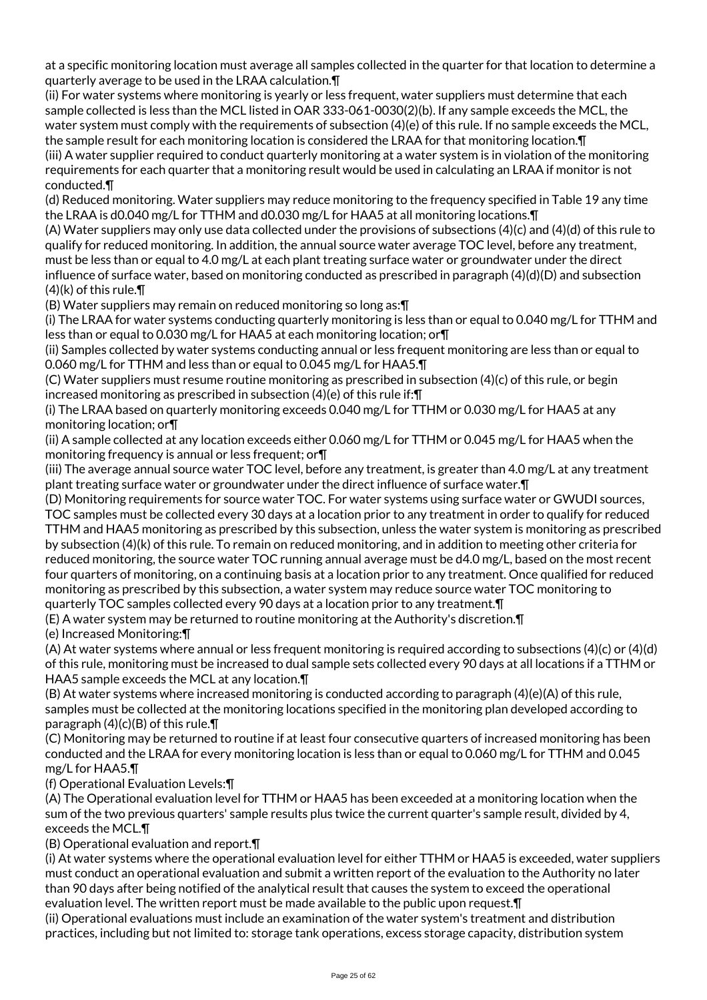at a specific monitoring location must average all samples collected in the quarter for that location to determine a quarterly average to be used in the LRAA calculation.¶

(ii) For water systems where monitoring is yearly or less frequent, water suppliers must determine that each sample collected is less than the MCL listed in OAR 333-061-0030(2)(b). If any sample exceeds the MCL, the water system must comply with the requirements of subsection (4)(e) of this rule. If no sample exceeds the MCL, the sample result for each monitoring location is considered the LRAA for that monitoring location.¶ (iii) A water supplier required to conduct quarterly monitoring at a water system is in violation of the monitoring requirements for each quarter that a monitoring result would be used in calculating an LRAA if monitor is not conducted.¶

(d) Reduced monitoring. Water suppliers may reduce monitoring to the frequency specified in Table 19 any time the LRAA is d0.040 mg/L for TTHM and d0.030 mg/L for HAA5 at all monitoring locations.¶

(A) Water suppliers may only use data collected under the provisions of subsections (4)(c) and (4)(d) of this rule to qualify for reduced monitoring. In addition, the annual source water average TOC level, before any treatment, must be less than or equal to 4.0 mg/L at each plant treating surface water or groundwater under the direct influence of surface water, based on monitoring conducted as prescribed in paragraph (4)(d)(D) and subsection  $(4)(k)$  of this rule. $\P$ 

(B) Water suppliers may remain on reduced monitoring so long as:¶

(i) The LRAA for water systems conducting quarterly monitoring is less than or equal to 0.040 mg/L for TTHM and less than or equal to 0.030 mg/L for HAA5 at each monitoring location; or¶

(ii) Samples collected by water systems conducting annual or less frequent monitoring are less than or equal to 0.060 mg/L for TTHM and less than or equal to 0.045 mg/L for HAA5.¶

(C) Water suppliers must resume routine monitoring as prescribed in subsection (4)(c) of this rule, or begin increased monitoring as prescribed in subsection (4)(e) of this rule if:¶

(i) The LRAA based on quarterly monitoring exceeds 0.040 mg/L for TTHM or 0.030 mg/L for HAA5 at any monitoring location; or¶

(ii) A sample collected at any location exceeds either 0.060 mg/L for TTHM or 0.045 mg/L for HAA5 when the monitoring frequency is annual or less frequent; or¶

(iii) The average annual source water TOC level, before any treatment, is greater than 4.0 mg/L at any treatment plant treating surface water or groundwater under the direct influence of surface water.¶

(D) Monitoring requirements for source water TOC. For water systems using surface water or GWUDI sources, TOC samples must be collected every 30 days at a location prior to any treatment in order to qualify for reduced TTHM and HAA5 monitoring as prescribed by this subsection, unless the water system is monitoring as prescribed by subsection (4)(k) of this rule. To remain on reduced monitoring, and in addition to meeting other criteria for reduced monitoring, the source water TOC running annual average must be d4.0 mg/L, based on the most recent four quarters of monitoring, on a continuing basis at a location prior to any treatment. Once qualified for reduced monitoring as prescribed by this subsection, a water system may reduce source water TOC monitoring to quarterly TOC samples collected every 90 days at a location prior to any treatment.¶

(E) A water system may be returned to routine monitoring at the Authority's discretion.¶

(e) Increased Monitoring:¶

(A) At water systems where annual or less frequent monitoring is required according to subsections (4)(c) or (4)(d) of this rule, monitoring must be increased to dual sample sets collected every 90 days at all locations if a TTHM or HAA5 sample exceeds the MCL at any location.¶

(B) At water systems where increased monitoring is conducted according to paragraph (4)(e)(A) of this rule, samples must be collected at the monitoring locations specified in the monitoring plan developed according to paragraph  $(4)(c)(B)$  of this rule.  $\P$ 

(C) Monitoring may be returned to routine if at least four consecutive quarters of increased monitoring has been conducted and the LRAA for every monitoring location is less than or equal to 0.060 mg/L for TTHM and 0.045 mg/L for HAA5.¶

(f) Operational Evaluation Levels:¶

(A) The Operational evaluation level for TTHM or HAA5 has been exceeded at a monitoring location when the sum of the two previous quarters' sample results plus twice the current quarter's sample result, divided by 4, exceeds the MCL.¶

(B) Operational evaluation and report.¶

(i) At water systems where the operational evaluation level for either TTHM or HAA5 is exceeded, water suppliers must conduct an operational evaluation and submit a written report of the evaluation to the Authority no later than 90 days after being notified of the analytical result that causes the system to exceed the operational evaluation level. The written report must be made available to the public upon request.¶

(ii) Operational evaluations must include an examination of the water system's treatment and distribution practices, including but not limited to: storage tank operations, excess storage capacity, distribution system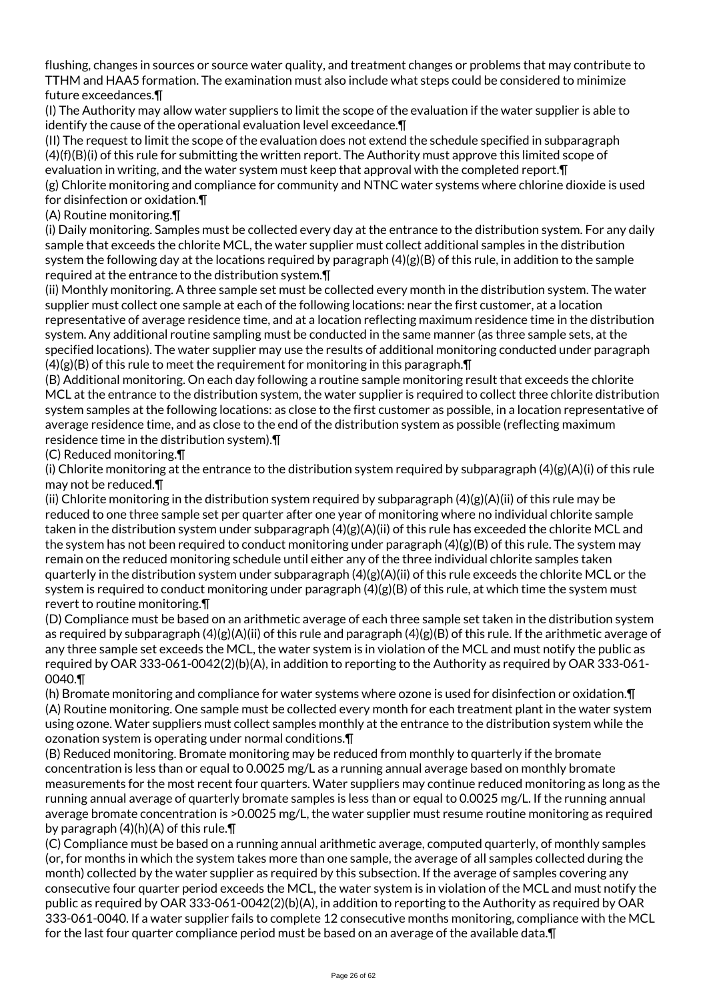flushing, changes in sources or source water quality, and treatment changes or problems that may contribute to TTHM and HAA5 formation. The examination must also include what steps could be considered to minimize future exceedances.¶

(I) The Authority may allow water suppliers to limit the scope of the evaluation if the water supplier is able to identify the cause of the operational evaluation level exceedance.¶

(II) The request to limit the scope of the evaluation does not extend the schedule specified in subparagraph (4)(f)(B)(i) of this rule for submitting the written report. The Authority must approve this limited scope of evaluation in writing, and the water system must keep that approval with the completed report.¶ (g) Chlorite monitoring and compliance for community and NTNC water systems where chlorine dioxide is used for disinfection or oxidation.¶

#### (A) Routine monitoring.¶

(i) Daily monitoring. Samples must be collected every day at the entrance to the distribution system. For any daily sample that exceeds the chlorite MCL, the water supplier must collect additional samples in the distribution system the following day at the locations required by paragraph (4)(g)(B) of this rule, in addition to the sample required at the entrance to the distribution system.¶

(ii) Monthly monitoring. A three sample set must be collected every month in the distribution system. The water supplier must collect one sample at each of the following locations: near the first customer, at a location representative of average residence time, and at a location reflecting maximum residence time in the distribution system. Any additional routine sampling must be conducted in the same manner (as three sample sets, at the specified locations). The water supplier may use the results of additional monitoring conducted under paragraph  $(4)(g)(B)$  of this rule to meet the requirement for monitoring in this paragraph.  $\P$ 

(B) Additional monitoring. On each day following a routine sample monitoring result that exceeds the chlorite MCL at the entrance to the distribution system, the water supplier is required to collect three chlorite distribution system samples at the following locations: as close to the first customer as possible, in a location representative of average residence time, and as close to the end of the distribution system as possible (reflecting maximum residence time in the distribution system).¶

#### (C) Reduced monitoring.¶

(i) Chlorite monitoring at the entrance to the distribution system required by subparagraph  $(4)(g)(A)(i)$  of this rule may not be reduced.¶

(ii) Chlorite monitoring in the distribution system required by subparagraph (4)(g)(A)(ii) of this rule may be reduced to one three sample set per quarter after one year of monitoring where no individual chlorite sample taken in the distribution system under subparagraph (4)(g)(A)(ii) of this rule has exceeded the chlorite MCL and the system has not been required to conduct monitoring under paragraph (4)(g)(B) of this rule. The system may remain on the reduced monitoring schedule until either any of the three individual chlorite samples taken quarterly in the distribution system under subparagraph  $(4)(g)(A)(ii)$  of this rule exceeds the chlorite MCL or the system is required to conduct monitoring under paragraph  $(4)(g)(B)$  of this rule, at which time the system must revert to routine monitoring.¶

(D) Compliance must be based on an arithmetic average of each three sample set taken in the distribution system as required by subparagraph  $(4)(g)(A)(ii)$  of this rule and paragraph  $(4)(g)(B)$  of this rule. If the arithmetic average of any three sample set exceeds the MCL, the water system is in violation of the MCL and must notify the public as required by OAR 333-061-0042(2)(b)(A), in addition to reporting to the Authority as required by OAR 333-061- 0040.¶

(h) Bromate monitoring and compliance for water systems where ozone is used for disinfection or oxidation.¶ (A) Routine monitoring. One sample must be collected every month for each treatment plant in the water system using ozone. Water suppliers must collect samples monthly at the entrance to the distribution system while the ozonation system is operating under normal conditions.¶

(B) Reduced monitoring. Bromate monitoring may be reduced from monthly to quarterly if the bromate concentration is less than or equal to 0.0025 mg/L as a running annual average based on monthly bromate measurements for the most recent four quarters. Water suppliers may continue reduced monitoring as long as the running annual average of quarterly bromate samples is less than or equal to 0.0025 mg/L. If the running annual average bromate concentration is >0.0025 mg/L, the water supplier must resume routine monitoring as required by paragraph (4)(h)(A) of this rule.¶

(C) Compliance must be based on a running annual arithmetic average, computed quarterly, of monthly samples (or, for months in which the system takes more than one sample, the average of all samples collected during the month) collected by the water supplier as required by this subsection. If the average of samples covering any consecutive four quarter period exceeds the MCL, the water system is in violation of the MCL and must notify the public as required by OAR 333-061-0042(2)(b)(A), in addition to reporting to the Authority as required by OAR 333-061-0040. If a water supplier fails to complete 12 consecutive months monitoring, compliance with the MCL for the last four quarter compliance period must be based on an average of the available data.¶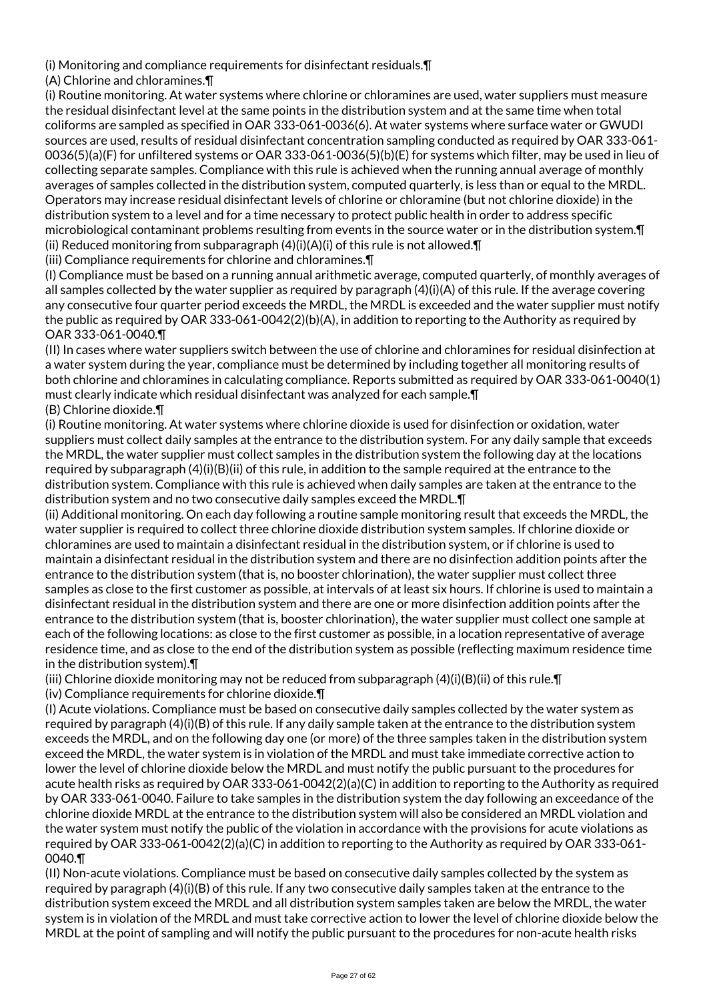(i) Monitoring and compliance requirements for disinfectant residuals.¶

(A) Chlorine and chloramines.¶

(i) Routine monitoring. At water systems where chlorine or chloramines are used, water suppliers must measure the residual disinfectant level at the same points in the distribution system and at the same time when total coliforms are sampled as specified in OAR 333-061-0036(6). At water systems where surface water or GWUDI sources are used, results of residual disinfectant concentration sampling conducted as required by OAR 333-061- 0036(5)(a)(F) for unfiltered systems or OAR 333-061-0036(5)(b)(E) for systems which filter, may be used in lieu of collecting separate samples. Compliance with this rule is achieved when the running annual average of monthly averages of samples collected in the distribution system, computed quarterly, is less than or equal to the MRDL. Operators may increase residual disinfectant levels of chlorine or chloramine (but not chlorine dioxide) in the distribution system to a level and for a time necessary to protect public health in order to address specific microbiological contaminant problems resulting from events in the source water or in the distribution system.¶ (ii) Reduced monitoring from subparagraph  $(4)(i)(A)(i)$  of this rule is not allowed. $\P$ 

(iii) Compliance requirements for chlorine and chloramines.¶

(I) Compliance must be based on a running annual arithmetic average, computed quarterly, of monthly averages of all samples collected by the water supplier as required by paragraph (4)(i)(A) of this rule. If the average covering any consecutive four quarter period exceeds the MRDL, the MRDL is exceeded and the water supplier must notify the public as required by OAR 333-061-0042(2)(b)(A), in addition to reporting to the Authority as required by OAR 333-061-0040.¶

(II) In cases where water suppliers switch between the use of chlorine and chloramines for residual disinfection at a water system during the year, compliance must be determined by including together all monitoring results of both chlorine and chloramines in calculating compliance. Reports submitted as required by OAR 333-061-0040(1) must clearly indicate which residual disinfectant was analyzed for each sample.¶

(B) Chlorine dioxide.¶

(i) Routine monitoring. At water systems where chlorine dioxide is used for disinfection or oxidation, water suppliers must collect daily samples at the entrance to the distribution system. For any daily sample that exceeds the MRDL, the water supplier must collect samples in the distribution system the following day at the locations required by subparagraph (4)(i)(B)(ii) of this rule, in addition to the sample required at the entrance to the distribution system. Compliance with this rule is achieved when daily samples are taken at the entrance to the distribution system and no two consecutive daily samples exceed the MRDL.¶

(ii) Additional monitoring. On each day following a routine sample monitoring result that exceeds the MRDL, the water supplier is required to collect three chlorine dioxide distribution system samples. If chlorine dioxide or chloramines are used to maintain a disinfectant residual in the distribution system, or if chlorine is used to maintain a disinfectant residual in the distribution system and there are no disinfection addition points after the entrance to the distribution system (that is, no booster chlorination), the water supplier must collect three samples as close to the first customer as possible, at intervals of at least six hours. If chlorine is used to maintain a disinfectant residual in the distribution system and there are one or more disinfection addition points after the entrance to the distribution system (that is, booster chlorination), the water supplier must collect one sample at each of the following locations: as close to the first customer as possible, in a location representative of average residence time, and as close to the end of the distribution system as possible (reflecting maximum residence time in the distribution system).¶

(iii) Chlorine dioxide monitoring may not be reduced from subparagraph  $(4)(i)(B)(ii)$  of this rule. If (iv) Compliance requirements for chlorine dioxide.¶

(I) Acute violations. Compliance must be based on consecutive daily samples collected by the water system as required by paragraph (4)(i)(B) of this rule. If any daily sample taken at the entrance to the distribution system exceeds the MRDL, and on the following day one (or more) of the three samples taken in the distribution system exceed the MRDL, the water system is in violation of the MRDL and must take immediate corrective action to lower the level of chlorine dioxide below the MRDL and must notify the public pursuant to the procedures for acute health risks as required by OAR 333-061-0042(2)(a)(C) in addition to reporting to the Authority as required by OAR 333-061-0040. Failure to take samples in the distribution system the day following an exceedance of the chlorine dioxide MRDL at the entrance to the distribution system will also be considered an MRDL violation and the water system must notify the public of the violation in accordance with the provisions for acute violations as required by OAR 333-061-0042(2)(a)(C) in addition to reporting to the Authority as required by OAR 333-061- 0040.¶

(II) Non-acute violations. Compliance must be based on consecutive daily samples collected by the system as required by paragraph (4)(i)(B) of this rule. If any two consecutive daily samples taken at the entrance to the distribution system exceed the MRDL and all distribution system samples taken are below the MRDL, the water system is in violation of the MRDL and must take corrective action to lower the level of chlorine dioxide below the MRDL at the point of sampling and will notify the public pursuant to the procedures for non-acute health risks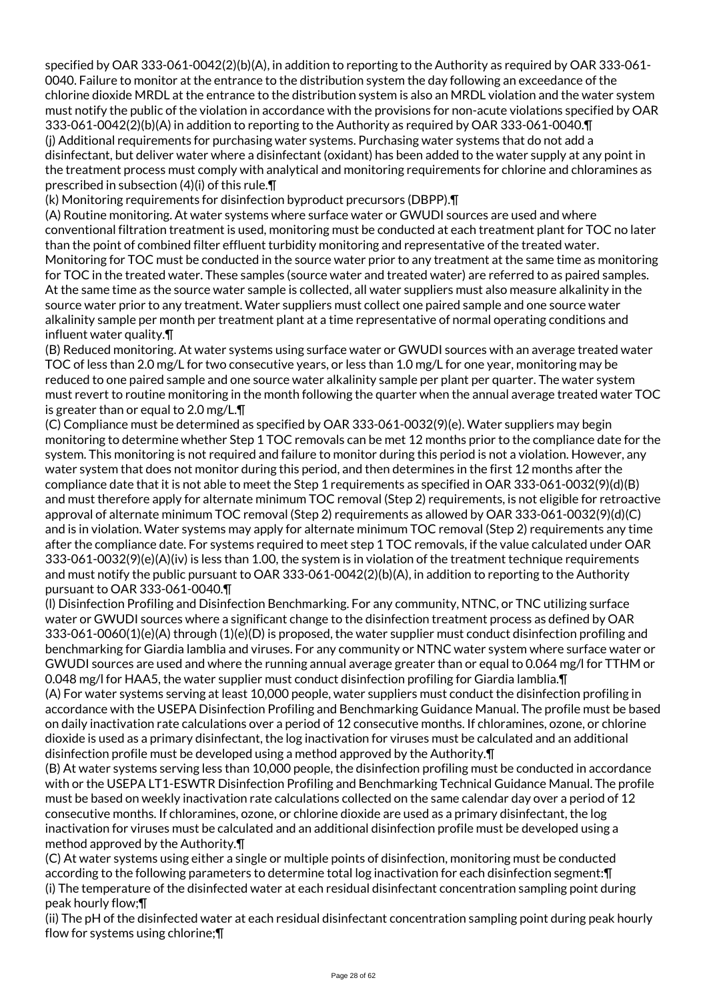specified by OAR 333-061-0042(2)(b)(A), in addition to reporting to the Authority as required by OAR 333-061- 0040. Failure to monitor at the entrance to the distribution system the day following an exceedance of the chlorine dioxide MRDL at the entrance to the distribution system is also an MRDL violation and the water system must notify the public of the violation in accordance with the provisions for non-acute violations specified by OAR 333-061-0042(2)(b)(A) in addition to reporting to the Authority as required by OAR 333-061-0040.¶ (j) Additional requirements for purchasing water systems. Purchasing water systems that do not add a disinfectant, but deliver water where a disinfectant (oxidant) has been added to the water supply at any point in the treatment process must comply with analytical and monitoring requirements for chlorine and chloramines as prescribed in subsection (4)(i) of this rule.¶

(k) Monitoring requirements for disinfection byproduct precursors (DBPP).¶

(A) Routine monitoring. At water systems where surface water or GWUDI sources are used and where conventional filtration treatment is used, monitoring must be conducted at each treatment plant for TOC no later than the point of combined filter effluent turbidity monitoring and representative of the treated water. Monitoring for TOC must be conducted in the source water prior to any treatment at the same time as monitoring for TOC in the treated water. These samples (source water and treated water) are referred to as paired samples. At the same time as the source water sample is collected, all water suppliers must also measure alkalinity in the source water prior to any treatment. Water suppliers must collect one paired sample and one source water alkalinity sample per month per treatment plant at a time representative of normal operating conditions and influent water quality.¶

(B) Reduced monitoring. At water systems using surface water or GWUDI sources with an average treated water TOC of less than 2.0 mg/L for two consecutive years, or less than 1.0 mg/L for one year, monitoring may be reduced to one paired sample and one source water alkalinity sample per plant per quarter. The water system must revert to routine monitoring in the month following the quarter when the annual average treated water TOC is greater than or equal to 2.0 mg/L.¶

(C) Compliance must be determined as specified by OAR 333-061-0032(9)(e). Water suppliers may begin monitoring to determine whether Step 1 TOC removals can be met 12 months prior to the compliance date for the system. This monitoring is not required and failure to monitor during this period is not a violation. However, any water system that does not monitor during this period, and then determines in the first 12 months after the compliance date that it is not able to meet the Step 1 requirements as specified in OAR 333-061-0032(9)(d)(B) and must therefore apply for alternate minimum TOC removal (Step 2) requirements, is not eligible for retroactive approval of alternate minimum TOC removal (Step 2) requirements as allowed by OAR 333-061-0032(9)(d)(C) and is in violation. Water systems may apply for alternate minimum TOC removal (Step 2) requirements any time after the compliance date. For systems required to meet step 1 TOC removals, if the value calculated under OAR 333-061-0032(9)(e)(A)(iv) is less than 1.00, the system is in violation of the treatment technique requirements and must notify the public pursuant to OAR 333-061-0042(2)(b)(A), in addition to reporting to the Authority pursuant to OAR 333-061-0040.¶

(l) Disinfection Profiling and Disinfection Benchmarking. For any community, NTNC, or TNC utilizing surface water or GWUDI sources where a significant change to the disinfection treatment process as defined by OAR 333-061-0060(1)(e)(A) through (1)(e)(D) is proposed, the water supplier must conduct disinfection profiling and benchmarking for Giardia lamblia and viruses. For any community or NTNC water system where surface water or GWUDI sources are used and where the running annual average greater than or equal to 0.064 mg/l for TTHM or 0.048 mg/l for HAA5, the water supplier must conduct disinfection profiling for Giardia lamblia.¶

(A) For water systems serving at least 10,000 people, water suppliers must conduct the disinfection profiling in accordance with the USEPA Disinfection Profiling and Benchmarking Guidance Manual. The profile must be based on daily inactivation rate calculations over a period of 12 consecutive months. If chloramines, ozone, or chlorine dioxide is used as a primary disinfectant, the log inactivation for viruses must be calculated and an additional disinfection profile must be developed using a method approved by the Authority.¶

(B) At water systems serving less than 10,000 people, the disinfection profiling must be conducted in accordance with or the USEPA LT1-ESWTR Disinfection Profiling and Benchmarking Technical Guidance Manual. The profile must be based on weekly inactivation rate calculations collected on the same calendar day over a period of 12 consecutive months. If chloramines, ozone, or chlorine dioxide are used as a primary disinfectant, the log inactivation for viruses must be calculated and an additional disinfection profile must be developed using a method approved by the Authority.¶

(C) At water systems using either a single or multiple points of disinfection, monitoring must be conducted according to the following parameters to determine total log inactivation for each disinfection segment:¶ (i) The temperature of the disinfected water at each residual disinfectant concentration sampling point during peak hourly flow;¶

(ii) The pH of the disinfected water at each residual disinfectant concentration sampling point during peak hourly flow for systems using chlorine;¶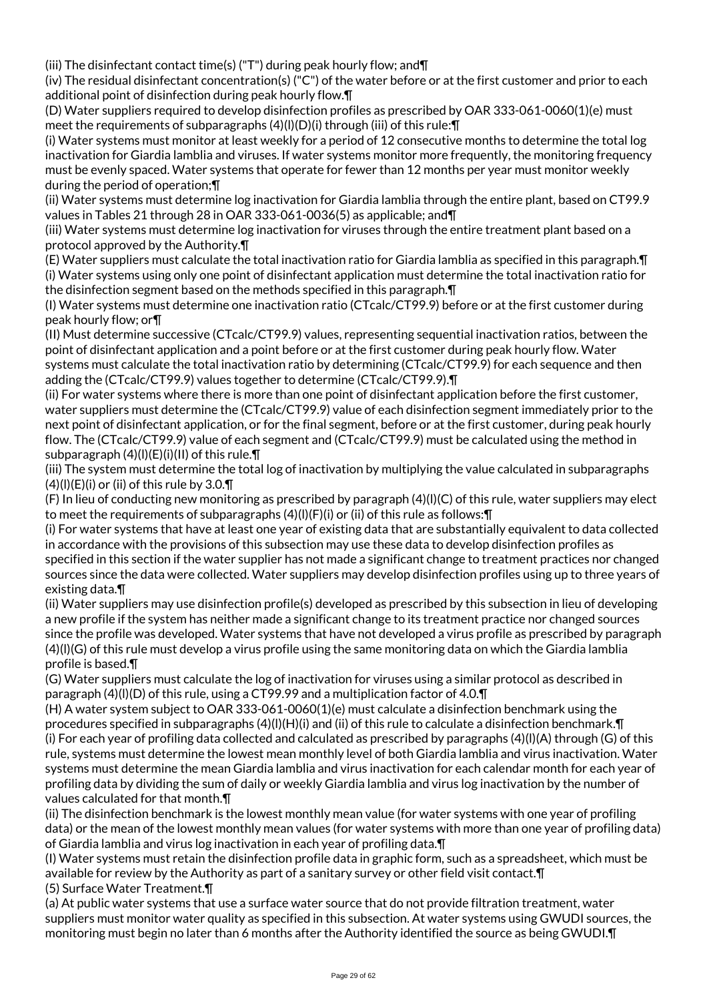(iii) The disinfectant contact time(s) ("T") during peak hourly flow; and¶

(iv) The residual disinfectant concentration(s) ("C") of the water before or at the first customer and prior to each additional point of disinfection during peak hourly flow.¶

(D) Water suppliers required to develop disinfection profiles as prescribed by OAR 333-061-0060(1)(e) must meet the requirements of subparagraphs (4)(l)(D)(i) through (iii) of this rule:¶

(i) Water systems must monitor at least weekly for a period of 12 consecutive months to determine the total log inactivation for Giardia lamblia and viruses. If water systems monitor more frequently, the monitoring frequency must be evenly spaced. Water systems that operate for fewer than 12 months per year must monitor weekly during the period of operation;¶

(ii) Water systems must determine log inactivation for Giardia lamblia through the entire plant, based on CT99.9 values in Tables 21 through 28 in OAR 333-061-0036(5) as applicable; and¶

(iii) Water systems must determine log inactivation for viruses through the entire treatment plant based on a protocol approved by the Authority.¶

(E) Water suppliers must calculate the total inactivation ratio for Giardia lamblia as specified in this paragraph.¶ (i) Water systems using only one point of disinfectant application must determine the total inactivation ratio for the disinfection segment based on the methods specified in this paragraph.¶

(I) Water systems must determine one inactivation ratio (CTcalc/CT99.9) before or at the first customer during peak hourly flow; or¶

(II) Must determine successive (CTcalc/CT99.9) values, representing sequential inactivation ratios, between the point of disinfectant application and a point before or at the first customer during peak hourly flow. Water systems must calculate the total inactivation ratio by determining (CTcalc/CT99.9) for each sequence and then adding the (CTcalc/CT99.9) values together to determine (CTcalc/CT99.9).¶

(ii) For water systems where there is more than one point of disinfectant application before the first customer, water suppliers must determine the (CTcalc/CT99.9) value of each disinfection segment immediately prior to the next point of disinfectant application, or for the final segment, before or at the first customer, during peak hourly flow. The (CTcalc/CT99.9) value of each segment and (CTcalc/CT99.9) must be calculated using the method in subparagraph (4)(l)(E)(i)(II) of this rule.¶

(iii) The system must determine the total log of inactivation by multiplying the value calculated in subparagraphs  $(4)(I)(E)(i)$  or (ii) of this rule by 3.0. $\P$ 

(F) In lieu of conducting new monitoring as prescribed by paragraph (4)(l)(C) of this rule, water suppliers may elect to meet the requirements of subparagraphs  $(4)(I)(F)(i)$  or (ii) of this rule as follows:  $\P$ 

(i) For water systems that have at least one year of existing data that are substantially equivalent to data collected in accordance with the provisions of this subsection may use these data to develop disinfection profiles as specified in this section if the water supplier has not made a significant change to treatment practices nor changed sources since the data were collected. Water suppliers may develop disinfection profiles using up to three years of

existing data.¶

(ii) Water suppliers may use disinfection profile(s) developed as prescribed by this subsection in lieu of developing a new profile if the system has neither made a significant change to its treatment practice nor changed sources since the profile was developed. Water systems that have not developed a virus profile as prescribed by paragraph (4)(l)(G) of this rule must develop a virus profile using the same monitoring data on which the Giardia lamblia profile is based.¶

(G) Water suppliers must calculate the log of inactivation for viruses using a similar protocol as described in paragraph (4)(l)(D) of this rule, using a CT99.99 and a multiplication factor of 4.0.¶

(H) A water system subject to OAR 333-061-0060(1)(e) must calculate a disinfection benchmark using the procedures specified in subparagraphs  $(4)(I)(H)(i)$  and (ii) of this rule to calculate a disinfection benchmark. $\P$ (i) For each year of profiling data collected and calculated as prescribed by paragraphs (4)(l)(A) through (G) of this rule, systems must determine the lowest mean monthly level of both Giardia lamblia and virus inactivation. Water systems must determine the mean Giardia lamblia and virus inactivation for each calendar month for each year of profiling data by dividing the sum of daily or weekly Giardia lamblia and virus log inactivation by the number of values calculated for that month.¶

(ii) The disinfection benchmark is the lowest monthly mean value (for water systems with one year of profiling data) or the mean of the lowest monthly mean values (for water systems with more than one year of profiling data) of Giardia lamblia and virus log inactivation in each year of profiling data.¶

(I) Water systems must retain the disinfection profile data in graphic form, such as a spreadsheet, which must be available for review by the Authority as part of a sanitary survey or other field visit contact.¶

(5) Surface Water Treatment.¶

(a) At public water systems that use a surface water source that do not provide filtration treatment, water suppliers must monitor water quality as specified in this subsection. At water systems using GWUDI sources, the monitoring must begin no later than 6 months after the Authority identified the source as being GWUDI.¶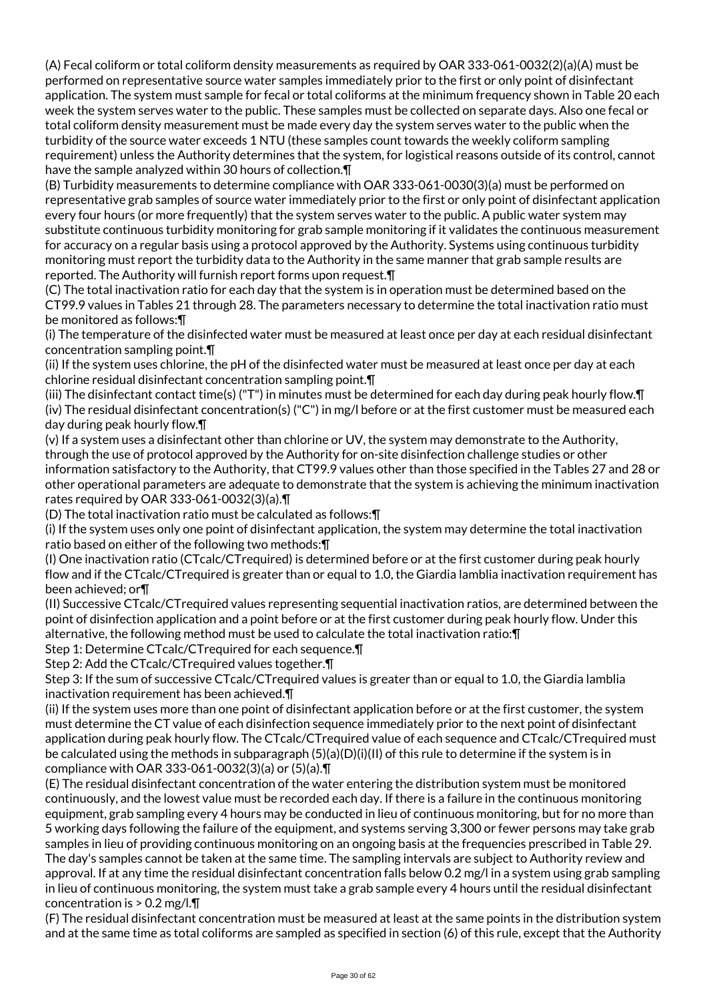(A) Fecal coliform or total coliform density measurements as required by OAR 333-061-0032(2)(a)(A) must be performed on representative source water samples immediately prior to the first or only point of disinfectant application. The system must sample for fecal or total coliforms at the minimum frequency shown in Table 20 each week the system serves water to the public. These samples must be collected on separate days. Also one fecal or total coliform density measurement must be made every day the system serves water to the public when the turbidity of the source water exceeds 1 NTU (these samples count towards the weekly coliform sampling requirement) unless the Authority determines that the system, for logistical reasons outside of its control, cannot have the sample analyzed within 30 hours of collection.¶

(B) Turbidity measurements to determine compliance with OAR 333-061-0030(3)(a) must be performed on representative grab samples of source water immediately prior to the first or only point of disinfectant application every four hours (or more frequently) that the system serves water to the public. A public water system may substitute continuous turbidity monitoring for grab sample monitoring if it validates the continuous measurement for accuracy on a regular basis using a protocol approved by the Authority. Systems using continuous turbidity monitoring must report the turbidity data to the Authority in the same manner that grab sample results are reported. The Authority will furnish report forms upon request.¶

(C) The total inactivation ratio for each day that the system is in operation must be determined based on the CT99.9 values in Tables 21 through 28. The parameters necessary to determine the total inactivation ratio must be monitored as follows:¶

(i) The temperature of the disinfected water must be measured at least once per day at each residual disinfectant concentration sampling point.¶

(ii) If the system uses chlorine, the pH of the disinfected water must be measured at least once per day at each chlorine residual disinfectant concentration sampling point.¶

(iii) The disinfectant contact time(s) ("T") in minutes must be determined for each day during peak hourly flow.¶ (iv) The residual disinfectant concentration(s) ("C") in mg/l before or at the first customer must be measured each day during peak hourly flow.¶

(v) If a system uses a disinfectant other than chlorine or UV, the system may demonstrate to the Authority, through the use of protocol approved by the Authority for on-site disinfection challenge studies or other information satisfactory to the Authority, that CT99.9 values other than those specified in the Tables 27 and 28 or other operational parameters are adequate to demonstrate that the system is achieving the minimum inactivation rates required by OAR 333-061-0032(3)(a).¶

(D) The total inactivation ratio must be calculated as follows:¶

(i) If the system uses only one point of disinfectant application, the system may determine the total inactivation ratio based on either of the following two methods:¶

(I) One inactivation ratio (CTcalc/CTrequired) is determined before or at the first customer during peak hourly flow and if the CTcalc/CTrequired is greater than or equal to 1.0, the Giardia lamblia inactivation requirement has been achieved; or¶

(II) Successive CTcalc/CTrequired values representing sequential inactivation ratios, are determined between the point of disinfection application and a point before or at the first customer during peak hourly flow. Under this alternative, the following method must be used to calculate the total inactivation ratio:¶

Step 1: Determine CTcalc/CTrequired for each sequence.¶

Step 2: Add the CTcalc/CTrequired values together.¶

Step 3: If the sum of successive CTcalc/CTrequired values is greater than or equal to 1.0, the Giardia lamblia inactivation requirement has been achieved.¶

(ii) If the system uses more than one point of disinfectant application before or at the first customer, the system must determine the CT value of each disinfection sequence immediately prior to the next point of disinfectant application during peak hourly flow. The CTcalc/CTrequired value of each sequence and CTcalc/CTrequired must be calculated using the methods in subparagraph (5)(a)(D)(i)(II) of this rule to determine if the system is in compliance with OAR 333-061-0032(3)(a) or (5)(a).¶

(E) The residual disinfectant concentration of the water entering the distribution system must be monitored continuously, and the lowest value must be recorded each day. If there is a failure in the continuous monitoring equipment, grab sampling every 4 hours may be conducted in lieu of continuous monitoring, but for no more than 5 working days following the failure of the equipment, and systems serving 3,300 or fewer persons may take grab samples in lieu of providing continuous monitoring on an ongoing basis at the frequencies prescribed in Table 29. The day's samples cannot be taken at the same time. The sampling intervals are subject to Authority review and approval. If at any time the residual disinfectant concentration falls below 0.2 mg/l in a system using grab sampling in lieu of continuous monitoring, the system must take a grab sample every 4 hours until the residual disinfectant concentration is > 0.2 mg/l.¶

(F) The residual disinfectant concentration must be measured at least at the same points in the distribution system and at the same time as total coliforms are sampled as specified in section (6) of this rule, except that the Authority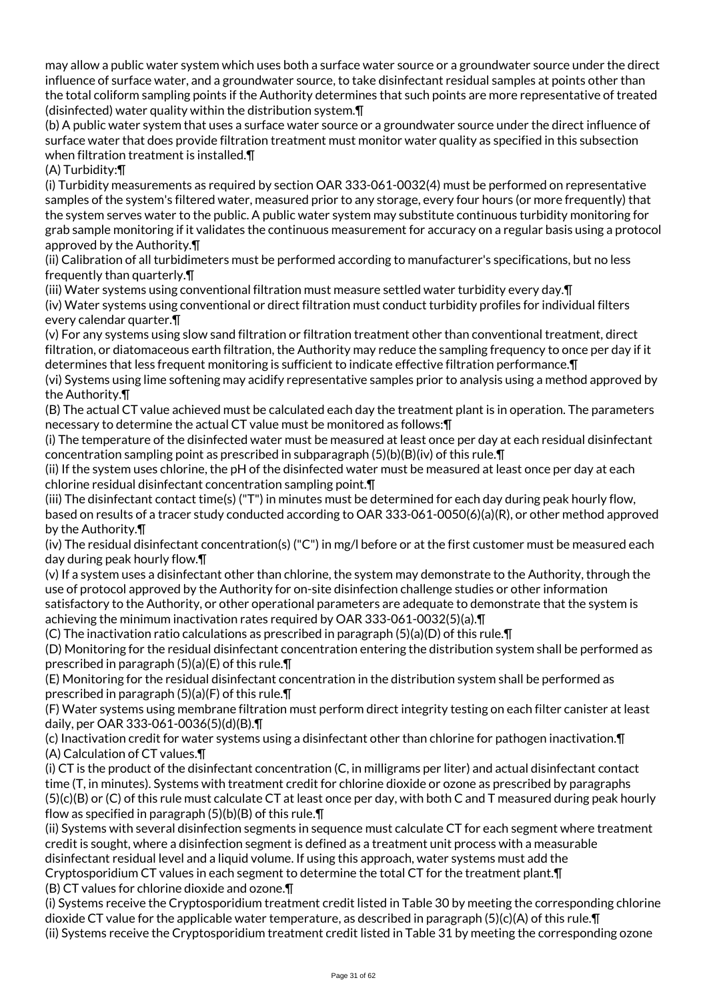may allow a public water system which uses both a surface water source or a groundwater source under the direct influence of surface water, and a groundwater source, to take disinfectant residual samples at points other than the total coliform sampling points if the Authority determines that such points are more representative of treated (disinfected) water quality within the distribution system.¶

(b) A public water system that uses a surface water source or a groundwater source under the direct influence of surface water that does provide filtration treatment must monitor water quality as specified in this subsection when filtration treatment is installed.¶

(A) Turbidity:¶

(i) Turbidity measurements as required by section OAR 333-061-0032(4) must be performed on representative samples of the system's filtered water, measured prior to any storage, every four hours (or more frequently) that the system serves water to the public. A public water system may substitute continuous turbidity monitoring for grab sample monitoring if it validates the continuous measurement for accuracy on a regular basis using a protocol approved by the Authority.¶

(ii) Calibration of all turbidimeters must be performed according to manufacturer's specifications, but no less frequently than quarterly.¶

(iii) Water systems using conventional filtration must measure settled water turbidity every day.¶

(iv) Water systems using conventional or direct filtration must conduct turbidity profiles for individual filters every calendar quarter.¶

(v) For any systems using slow sand filtration or filtration treatment other than conventional treatment, direct filtration, or diatomaceous earth filtration, the Authority may reduce the sampling frequency to once per day if it determines that less frequent monitoring is sufficient to indicate effective filtration performance.¶

(vi) Systems using lime softening may acidify representative samples prior to analysis using a method approved by the Authority.¶

(B) The actual CT value achieved must be calculated each day the treatment plant is in operation. The parameters necessary to determine the actual CT value must be monitored as follows:¶

(i) The temperature of the disinfected water must be measured at least once per day at each residual disinfectant concentration sampling point as prescribed in subparagraph  $(5)(b)(B)(iv)$  of this rule.  $\P$ 

(ii) If the system uses chlorine, the pH of the disinfected water must be measured at least once per day at each chlorine residual disinfectant concentration sampling point.¶

(iii) The disinfectant contact time(s) ("T") in minutes must be determined for each day during peak hourly flow, based on results of a tracer study conducted according to OAR 333-061-0050(6)(a)(R), or other method approved by the Authority.¶

(iv) The residual disinfectant concentration(s) ("C") in mg/l before or at the first customer must be measured each day during peak hourly flow.¶

(v) If a system uses a disinfectant other than chlorine, the system may demonstrate to the Authority, through the use of protocol approved by the Authority for on-site disinfection challenge studies or other information satisfactory to the Authority, or other operational parameters are adequate to demonstrate that the system is achieving the minimum inactivation rates required by OAR 333-061-0032(5)(a).¶

(C) The inactivation ratio calculations as prescribed in paragraph  $(5)(a)(D)$  of this rule.  $\P$ 

(D) Monitoring for the residual disinfectant concentration entering the distribution system shall be performed as prescribed in paragraph (5)(a)(E) of this rule.¶

(E) Monitoring for the residual disinfectant concentration in the distribution system shall be performed as prescribed in paragraph (5)(a)(F) of this rule.¶

(F) Water systems using membrane filtration must perform direct integrity testing on each filter canister at least daily, per OAR 333-061-0036(5)(d)(B).¶

(c) Inactivation credit for water systems using a disinfectant other than chlorine for pathogen inactivation.¶ (A) Calculation of CT values.¶

(i) CT is the product of the disinfectant concentration (C, in milligrams per liter) and actual disinfectant contact time (T, in minutes). Systems with treatment credit for chlorine dioxide or ozone as prescribed by paragraphs (5)(c)(B) or (C) of this rule must calculate CT at least once per day, with both C and T measured during peak hourly flow as specified in paragraph  $(5)(b)(B)$  of this rule. $\P$ 

(ii) Systems with several disinfection segments in sequence must calculate CT for each segment where treatment credit is sought, where a disinfection segment is defined as a treatment unit process with a measurable disinfectant residual level and a liquid volume. If using this approach, water systems must add the Cryptosporidium CT values in each segment to determine the total CT for the treatment plant.¶

(B) CT values for chlorine dioxide and ozone.¶

(i) Systems receive the Cryptosporidium treatment credit listed in Table 30 by meeting the corresponding chlorine dioxide CT value for the applicable water temperature, as described in paragraph (5)(c)(A) of this rule.¶ (ii) Systems receive the Cryptosporidium treatment credit listed in Table 31 by meeting the corresponding ozone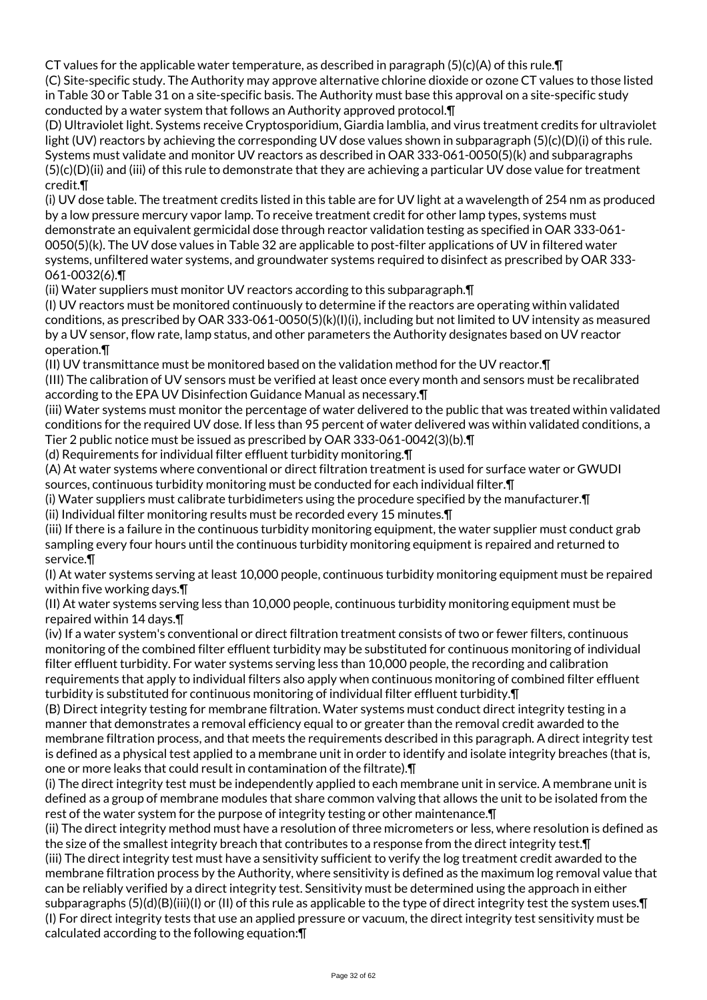CT values for the applicable water temperature, as described in paragraph  $(5)(c)(A)$  of this rule.  $\P$ 

(C) Site-specific study. The Authority may approve alternative chlorine dioxide or ozone CT values to those listed in Table 30 or Table 31 on a site-specific basis. The Authority must base this approval on a site-specific study conducted by a water system that follows an Authority approved protocol.¶

(D) Ultraviolet light. Systems receive Cryptosporidium, Giardia lamblia, and virus treatment credits for ultraviolet light (UV) reactors by achieving the corresponding UV dose values shown in subparagraph (5)(c)(D)(i) of this rule. Systems must validate and monitor UV reactors as described in OAR 333-061-0050(5)(k) and subparagraphs (5)(c)(D)(ii) and (iii) of this rule to demonstrate that they are achieving a particular UV dose value for treatment credit.¶

(i) UV dose table. The treatment credits listed in this table are for UV light at a wavelength of 254 nm as produced by a low pressure mercury vapor lamp. To receive treatment credit for other lamp types, systems must demonstrate an equivalent germicidal dose through reactor validation testing as specified in OAR 333-061- 0050(5)(k). The UV dose values in Table 32 are applicable to post-filter applications of UV in filtered water systems, unfiltered water systems, and groundwater systems required to disinfect as prescribed by OAR 333- 061-0032(6).¶

(ii) Water suppliers must monitor UV reactors according to this subparagraph.¶

(I) UV reactors must be monitored continuously to determine if the reactors are operating within validated conditions, as prescribed by OAR 333-061-0050(5)(k)(I)(i), including but not limited to UV intensity as measured by a UV sensor, flow rate, lamp status, and other parameters the Authority designates based on UV reactor operation.¶

(II) UV transmittance must be monitored based on the validation method for the UV reactor.¶

(III) The calibration of UV sensors must be verified at least once every month and sensors must be recalibrated according to the EPA UV Disinfection Guidance Manual as necessary.¶

(iii) Water systems must monitor the percentage of water delivered to the public that was treated within validated conditions for the required UV dose. If less than 95 percent of water delivered was within validated conditions, a Tier 2 public notice must be issued as prescribed by OAR 333-061-0042(3)(b).¶

(d) Requirements for individual filter effluent turbidity monitoring.¶

(A) At water systems where conventional or direct filtration treatment is used for surface water or GWUDI sources, continuous turbidity monitoring must be conducted for each individual filter.¶

(i) Water suppliers must calibrate turbidimeters using the procedure specified by the manufacturer.¶

(ii) Individual filter monitoring results must be recorded every 15 minutes.¶

(iii) If there is a failure in the continuous turbidity monitoring equipment, the water supplier must conduct grab sampling every four hours until the continuous turbidity monitoring equipment is repaired and returned to service.¶

(I) At water systems serving at least 10,000 people, continuous turbidity monitoring equipment must be repaired within five working days.¶

(II) At water systems serving less than 10,000 people, continuous turbidity monitoring equipment must be repaired within 14 days.¶

(iv) If a water system's conventional or direct filtration treatment consists of two or fewer filters, continuous monitoring of the combined filter effluent turbidity may be substituted for continuous monitoring of individual filter effluent turbidity. For water systems serving less than 10,000 people, the recording and calibration requirements that apply to individual filters also apply when continuous monitoring of combined filter effluent turbidity is substituted for continuous monitoring of individual filter effluent turbidity.¶

(B) Direct integrity testing for membrane filtration. Water systems must conduct direct integrity testing in a manner that demonstrates a removal efficiency equal to or greater than the removal credit awarded to the membrane filtration process, and that meets the requirements described in this paragraph. A direct integrity test is defined as a physical test applied to a membrane unit in order to identify and isolate integrity breaches (that is, one or more leaks that could result in contamination of the filtrate).¶

(i) The direct integrity test must be independently applied to each membrane unit in service. A membrane unit is defined as a group of membrane modules that share common valving that allows the unit to be isolated from the rest of the water system for the purpose of integrity testing or other maintenance.¶

(ii) The direct integrity method must have a resolution of three micrometers or less, where resolution is defined as the size of the smallest integrity breach that contributes to a response from the direct integrity test.¶

(iii) The direct integrity test must have a sensitivity sufficient to verify the log treatment credit awarded to the membrane filtration process by the Authority, where sensitivity is defined as the maximum log removal value that can be reliably verified by a direct integrity test. Sensitivity must be determined using the approach in either subparagraphs (5)(d)(B)(iii)(I) or (II) of this rule as applicable to the type of direct integrity test the system uses.¶ (I) For direct integrity tests that use an applied pressure or vacuum, the direct integrity test sensitivity must be calculated according to the following equation:¶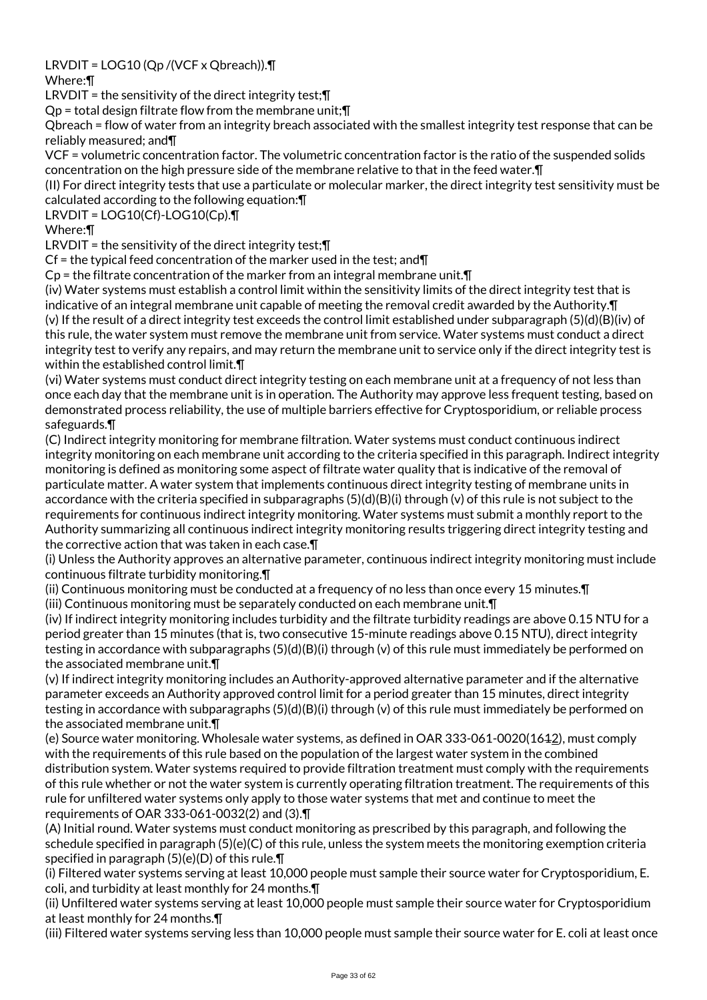LRVDIT = LOG10 (Qp /(VCF x Qbreach)).¶

Where:¶

LRVDIT = the sensitivity of the direct integrity test; []

Qp = total design filtrate flow from the membrane unit;¶

Qbreach = flow of water from an integrity breach associated with the smallest integrity test response that can be reliably measured; and¶

VCF = volumetric concentration factor. The volumetric concentration factor is the ratio of the suspended solids concentration on the high pressure side of the membrane relative to that in the feed water.¶

(II) For direct integrity tests that use a particulate or molecular marker, the direct integrity test sensitivity must be calculated according to the following equation:¶

LRVDIT = LOG10(Cf)-LOG10(Cp).¶

Where:¶

LRVDIT = the sensitivity of the direct integrity test; $\P$ 

Cf = the typical feed concentration of the marker used in the test; and  $\P$ 

 $Cp$  = the filtrate concentration of the marker from an integral membrane unit. $\Pi$ 

(iv) Water systems must establish a control limit within the sensitivity limits of the direct integrity test that is indicative of an integral membrane unit capable of meeting the removal credit awarded by the Authority.¶ (v) If the result of a direct integrity test exceeds the control limit established under subparagraph (5)(d)(B)(iv) of this rule, the water system must remove the membrane unit from service. Water systems must conduct a direct integrity test to verify any repairs, and may return the membrane unit to service only if the direct integrity test is within the established control limit.¶

(vi) Water systems must conduct direct integrity testing on each membrane unit at a frequency of not less than once each day that the membrane unit is in operation. The Authority may approve less frequent testing, based on demonstrated process reliability, the use of multiple barriers effective for Cryptosporidium, or reliable process safeguards.¶

(C) Indirect integrity monitoring for membrane filtration. Water systems must conduct continuous indirect integrity monitoring on each membrane unit according to the criteria specified in this paragraph. Indirect integrity monitoring is defined as monitoring some aspect of filtrate water quality that is indicative of the removal of particulate matter. A water system that implements continuous direct integrity testing of membrane units in accordance with the criteria specified in subparagraphs  $(5)(d)(B)(i)$  through (v) of this rule is not subject to the requirements for continuous indirect integrity monitoring. Water systems must submit a monthly report to the Authority summarizing all continuous indirect integrity monitoring results triggering direct integrity testing and the corrective action that was taken in each case.¶

(i) Unless the Authority approves an alternative parameter, continuous indirect integrity monitoring must include continuous filtrate turbidity monitoring.¶

(ii) Continuous monitoring must be conducted at a frequency of no less than once every 15 minutes.¶ (iii) Continuous monitoring must be separately conducted on each membrane unit.¶

(iv) If indirect integrity monitoring includes turbidity and the filtrate turbidity readings are above 0.15 NTU for a period greater than 15 minutes (that is, two consecutive 15-minute readings above 0.15 NTU), direct integrity testing in accordance with subparagraphs (5)(d)(B)(i) through (v) of this rule must immediately be performed on the associated membrane unit.¶

(v) If indirect integrity monitoring includes an Authority-approved alternative parameter and if the alternative parameter exceeds an Authority approved control limit for a period greater than 15 minutes, direct integrity testing in accordance with subparagraphs (5)(d)(B)(i) through (v) of this rule must immediately be performed on the associated membrane unit.¶

(e) Source water monitoring. Wholesale water systems, as defined in OAR 333-061-0020(1612), must comply with the requirements of this rule based on the population of the largest water system in the combined distribution system. Water systems required to provide filtration treatment must comply with the requirements of this rule whether or not the water system is currently operating filtration treatment. The requirements of this rule for unfiltered water systems only apply to those water systems that met and continue to meet the requirements of OAR 333-061-0032(2) and (3).¶

(A) Initial round. Water systems must conduct monitoring as prescribed by this paragraph, and following the schedule specified in paragraph (5)(e)(C) of this rule, unless the system meets the monitoring exemption criteria specified in paragraph (5)(e)(D) of this rule.¶

(i) Filtered water systems serving at least 10,000 people must sample their source water for Cryptosporidium, E. coli, and turbidity at least monthly for 24 months.¶

(ii) Unfiltered water systems serving at least 10,000 people must sample their source water for Cryptosporidium at least monthly for 24 months.¶

(iii) Filtered water systems serving less than 10,000 people must sample their source water for E. coli at least once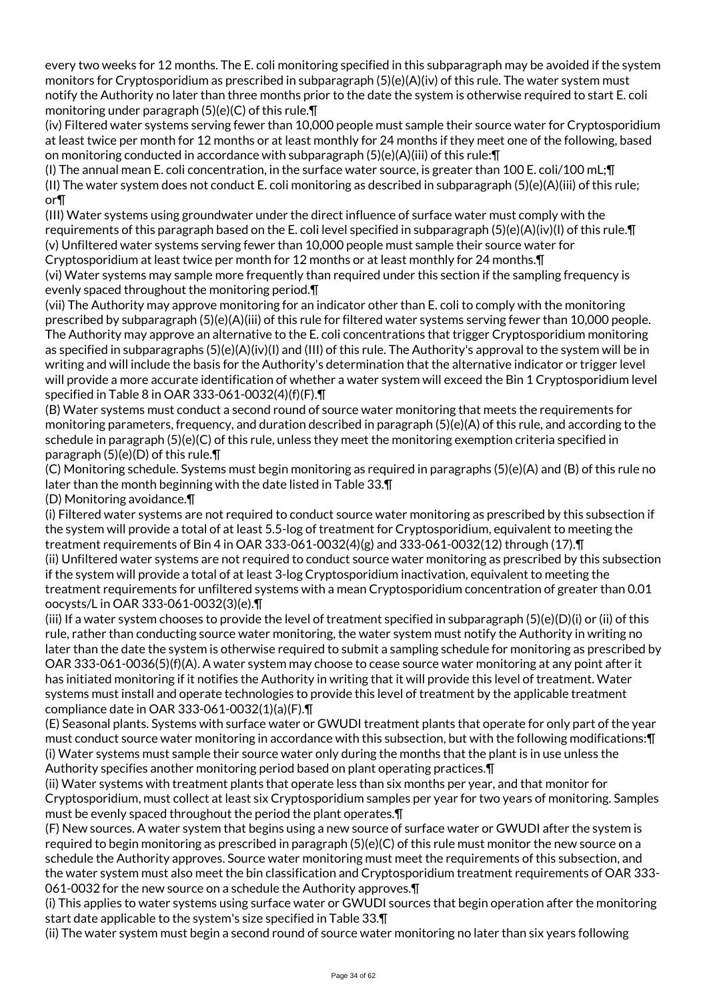every two weeks for 12 months. The E. coli monitoring specified in this subparagraph may be avoided if the system monitors for Cryptosporidium as prescribed in subparagraph (5)(e)(A)(iv) of this rule. The water system must notify the Authority no later than three months prior to the date the system is otherwise required to start E. coli monitoring under paragraph (5)(e)(C) of this rule.¶

(iv) Filtered water systems serving fewer than 10,000 people must sample their source water for Cryptosporidium at least twice per month for 12 months or at least monthly for 24 months if they meet one of the following, based on monitoring conducted in accordance with subparagraph (5)(e)(A)(iii) of this rule:¶

(I) The annual mean E. coli concentration, in the surface water source, is greater than 100 E. coli/100 mL;¶ (II) The water system does not conduct E. coli monitoring as described in subparagraph (5)(e)(A)(iii) of this rule; or¶

(III) Water systems using groundwater under the direct influence of surface water must comply with the requirements of this paragraph based on the E. coli level specified in subparagraph (5)(e)(A)(iv)(I) of this rule.¶ (v) Unfiltered water systems serving fewer than 10,000 people must sample their source water for

Cryptosporidium at least twice per month for 12 months or at least monthly for 24 months.¶

(vi) Water systems may sample more frequently than required under this section if the sampling frequency is evenly spaced throughout the monitoring period.¶

(vii) The Authority may approve monitoring for an indicator other than E. coli to comply with the monitoring prescribed by subparagraph (5)(e)(A)(iii) of this rule for filtered water systems serving fewer than 10,000 people. The Authority may approve an alternative to the E. coli concentrations that trigger Cryptosporidium monitoring as specified in subparagraphs (5)(e)(A)(iv)(I) and (III) of this rule. The Authority's approval to the system will be in writing and will include the basis for the Authority's determination that the alternative indicator or trigger level will provide a more accurate identification of whether a water system will exceed the Bin 1 Cryptosporidium level specified in Table 8 in OAR 333-061-0032(4)(f)(F).¶

(B) Water systems must conduct a second round of source water monitoring that meets the requirements for monitoring parameters, frequency, and duration described in paragraph (5)(e)(A) of this rule, and according to the schedule in paragraph (5)(e)(C) of this rule, unless they meet the monitoring exemption criteria specified in paragraph (5)(e)(D) of this rule.¶

(C) Monitoring schedule. Systems must begin monitoring as required in paragraphs (5)(e)(A) and (B) of this rule no later than the month beginning with the date listed in Table 33.¶

(D) Monitoring avoidance.¶

(i) Filtered water systems are not required to conduct source water monitoring as prescribed by this subsection if the system will provide a total of at least 5.5-log of treatment for Cryptosporidium, equivalent to meeting the treatment requirements of Bin 4 in OAR 333-061-0032(4)(g) and 333-061-0032(12) through (17).¶ (ii) Unfiltered water systems are not required to conduct source water monitoring as prescribed by this subsection if the system will provide a total of at least 3-log Cryptosporidium inactivation, equivalent to meeting the treatment requirements for unfiltered systems with a mean Cryptosporidium concentration of greater than 0.01 oocysts/L in OAR 333-061-0032(3)(e).¶

(iii) If a water system chooses to provide the level of treatment specified in subparagraph (5)(e)(D)(i) or (ii) of this rule, rather than conducting source water monitoring, the water system must notify the Authority in writing no later than the date the system is otherwise required to submit a sampling schedule for monitoring as prescribed by OAR 333-061-0036(5)(f)(A). A water system may choose to cease source water monitoring at any point after it has initiated monitoring if it notifies the Authority in writing that it will provide this level of treatment. Water systems must install and operate technologies to provide this level of treatment by the applicable treatment compliance date in OAR 333-061-0032(1)(a)(F).¶

(E) Seasonal plants. Systems with surface water or GWUDI treatment plants that operate for only part of the year must conduct source water monitoring in accordance with this subsection, but with the following modifications:¶ (i) Water systems must sample their source water only during the months that the plant is in use unless the Authority specifies another monitoring period based on plant operating practices.¶

(ii) Water systems with treatment plants that operate less than six months per year, and that monitor for Cryptosporidium, must collect at least six Cryptosporidium samples per year for two years of monitoring. Samples must be evenly spaced throughout the period the plant operates.¶

(F) New sources. A water system that begins using a new source of surface water or GWUDI after the system is required to begin monitoring as prescribed in paragraph (5)(e)(C) of this rule must monitor the new source on a schedule the Authority approves. Source water monitoring must meet the requirements of this subsection, and the water system must also meet the bin classification and Cryptosporidium treatment requirements of OAR 333- 061-0032 for the new source on a schedule the Authority approves.¶

(i) This applies to water systems using surface water or GWUDI sources that begin operation after the monitoring start date applicable to the system's size specified in Table 33.¶

(ii) The water system must begin a second round of source water monitoring no later than six years following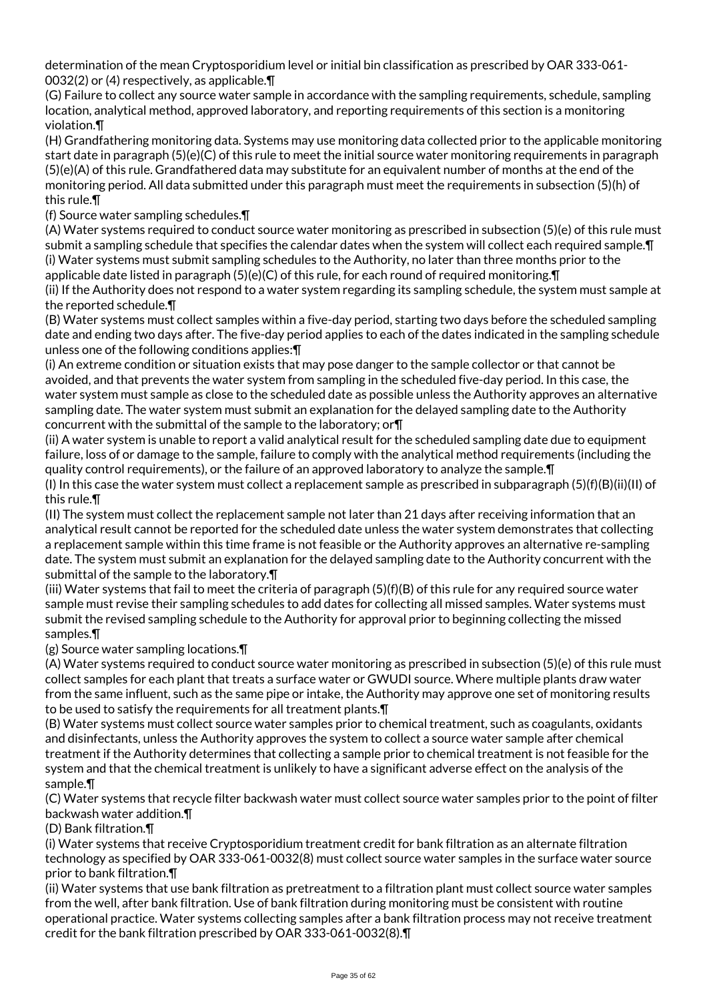determination of the mean Cryptosporidium level or initial bin classification as prescribed by OAR 333-061- 0032(2) or (4) respectively, as applicable.¶

(G) Failure to collect any source water sample in accordance with the sampling requirements, schedule, sampling location, analytical method, approved laboratory, and reporting requirements of this section is a monitoring violation.¶

(H) Grandfathering monitoring data. Systems may use monitoring data collected prior to the applicable monitoring start date in paragraph (5)(e)(C) of this rule to meet the initial source water monitoring requirements in paragraph (5)(e)(A) of this rule. Grandfathered data may substitute for an equivalent number of months at the end of the monitoring period. All data submitted under this paragraph must meet the requirements in subsection (5)(h) of this rule.¶

(f) Source water sampling schedules.¶

(A) Water systems required to conduct source water monitoring as prescribed in subsection (5)(e) of this rule must submit a sampling schedule that specifies the calendar dates when the system will collect each required sample.¶ (i) Water systems must submit sampling schedules to the Authority, no later than three months prior to the applicable date listed in paragraph (5)(e)(C) of this rule, for each round of required monitoring. T

(ii) If the Authority does not respond to a water system regarding its sampling schedule, the system must sample at the reported schedule.¶

(B) Water systems must collect samples within a five-day period, starting two days before the scheduled sampling date and ending two days after. The five-day period applies to each of the dates indicated in the sampling schedule unless one of the following conditions applies:¶

(i) An extreme condition or situation exists that may pose danger to the sample collector or that cannot be avoided, and that prevents the water system from sampling in the scheduled five-day period. In this case, the water system must sample as close to the scheduled date as possible unless the Authority approves an alternative sampling date. The water system must submit an explanation for the delayed sampling date to the Authority concurrent with the submittal of the sample to the laboratory; or¶

(ii) A water system is unable to report a valid analytical result for the scheduled sampling date due to equipment failure, loss of or damage to the sample, failure to comply with the analytical method requirements (including the quality control requirements), or the failure of an approved laboratory to analyze the sample.¶

(I) In this case the water system must collect a replacement sample as prescribed in subparagraph (5)(f)(B)(ii)(II) of this rule.¶

(II) The system must collect the replacement sample not later than 21 days after receiving information that an analytical result cannot be reported for the scheduled date unless the water system demonstrates that collecting a replacement sample within this time frame is not feasible or the Authority approves an alternative re-sampling date. The system must submit an explanation for the delayed sampling date to the Authority concurrent with the submittal of the sample to the laboratory.¶

(iii) Water systems that fail to meet the criteria of paragraph (5)(f)(B) of this rule for any required source water sample must revise their sampling schedules to add dates for collecting all missed samples. Water systems must submit the revised sampling schedule to the Authority for approval prior to beginning collecting the missed samples.¶

(g) Source water sampling locations.¶

(A) Water systems required to conduct source water monitoring as prescribed in subsection (5)(e) of this rule must collect samples for each plant that treats a surface water or GWUDI source. Where multiple plants draw water from the same influent, such as the same pipe or intake, the Authority may approve one set of monitoring results to be used to satisfy the requirements for all treatment plants.¶

(B) Water systems must collect source water samples prior to chemical treatment, such as coagulants, oxidants and disinfectants, unless the Authority approves the system to collect a source water sample after chemical treatment if the Authority determines that collecting a sample prior to chemical treatment is not feasible for the system and that the chemical treatment is unlikely to have a significant adverse effect on the analysis of the sample.¶

(C) Water systems that recycle filter backwash water must collect source water samples prior to the point of filter backwash water addition.¶

(D) Bank filtration.¶

(i) Water systems that receive Cryptosporidium treatment credit for bank filtration as an alternate filtration technology as specified by OAR 333-061-0032(8) must collect source water samples in the surface water source prior to bank filtration.¶

(ii) Water systems that use bank filtration as pretreatment to a filtration plant must collect source water samples from the well, after bank filtration. Use of bank filtration during monitoring must be consistent with routine operational practice. Water systems collecting samples after a bank filtration process may not receive treatment credit for the bank filtration prescribed by OAR 333-061-0032(8).¶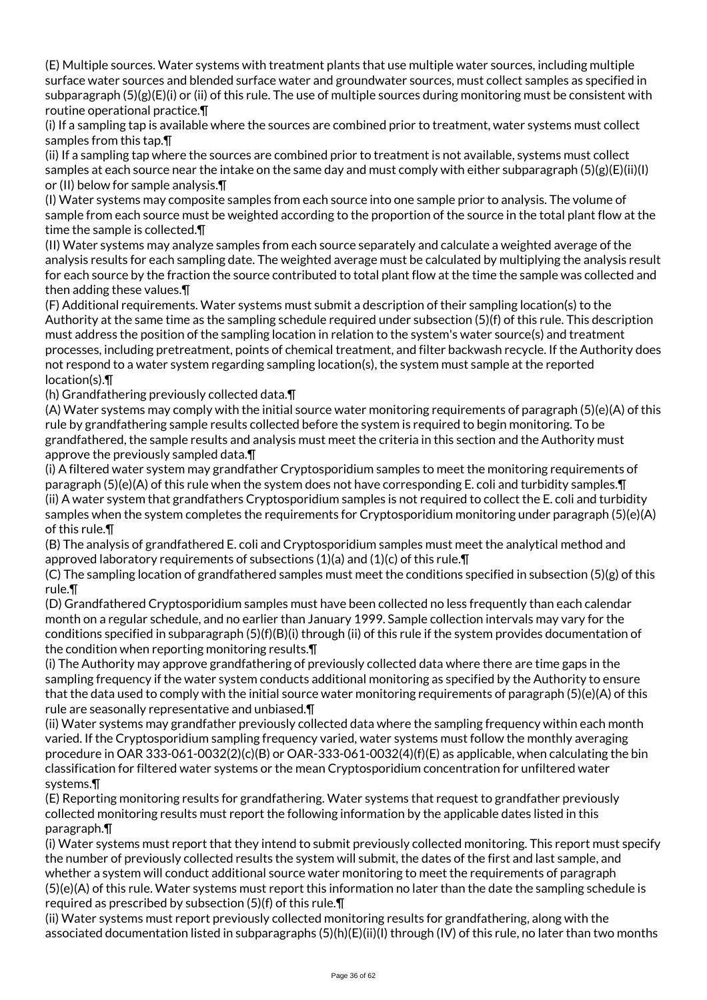(E) Multiple sources. Water systems with treatment plants that use multiple water sources, including multiple surface water sources and blended surface water and groundwater sources, must collect samples as specified in subparagraph  $(5)(g)(E)(i)$  or (ii) of this rule. The use of multiple sources during monitoring must be consistent with routine operational practice.¶

(i) If a sampling tap is available where the sources are combined prior to treatment, water systems must collect samples from this tap.¶

(ii) If a sampling tap where the sources are combined prior to treatment is not available, systems must collect samples at each source near the intake on the same day and must comply with either subparagraph  $(5)(g)(E)(ii)(I)$ or (II) below for sample analysis.¶

(I) Water systems may composite samples from each source into one sample prior to analysis. The volume of sample from each source must be weighted according to the proportion of the source in the total plant flow at the time the sample is collected.¶

(II) Water systems may analyze samples from each source separately and calculate a weighted average of the analysis results for each sampling date. The weighted average must be calculated by multiplying the analysis result for each source by the fraction the source contributed to total plant flow at the time the sample was collected and then adding these values.¶

(F) Additional requirements. Water systems must submit a description of their sampling location(s) to the Authority at the same time as the sampling schedule required under subsection (5)(f) of this rule. This description must address the position of the sampling location in relation to the system's water source(s) and treatment processes, including pretreatment, points of chemical treatment, and filter backwash recycle. If the Authority does not respond to a water system regarding sampling location(s), the system must sample at the reported location(s).¶

(h) Grandfathering previously collected data.¶

(A) Water systems may comply with the initial source water monitoring requirements of paragraph (5)(e)(A) of this rule by grandfathering sample results collected before the system is required to begin monitoring. To be grandfathered, the sample results and analysis must meet the criteria in this section and the Authority must approve the previously sampled data.¶

(i) A filtered water system may grandfather Cryptosporidium samples to meet the monitoring requirements of paragraph (5)(e)(A) of this rule when the system does not have corresponding E. coli and turbidity samples.¶ (ii) A water system that grandfathers Cryptosporidium samples is not required to collect the E. coli and turbidity samples when the system completes the requirements for Cryptosporidium monitoring under paragraph (5)(e)(A) of this rule.¶

(B) The analysis of grandfathered E. coli and Cryptosporidium samples must meet the analytical method and approved laboratory requirements of subsections  $(1)(a)$  and  $(1)(c)$  of this rule.

(C) The sampling location of grandfathered samples must meet the conditions specified in subsection (5)(g) of this rule.¶

(D) Grandfathered Cryptosporidium samples must have been collected no less frequently than each calendar month on a regular schedule, and no earlier than January 1999. Sample collection intervals may vary for the conditions specified in subparagraph (5)(f)(B)(i) through (ii) of this rule if the system provides documentation of the condition when reporting monitoring results.¶

(i) The Authority may approve grandfathering of previously collected data where there are time gaps in the sampling frequency if the water system conducts additional monitoring as specified by the Authority to ensure that the data used to comply with the initial source water monitoring requirements of paragraph (5)(e)(A) of this rule are seasonally representative and unbiased.¶

(ii) Water systems may grandfather previously collected data where the sampling frequency within each month varied. If the Cryptosporidium sampling frequency varied, water systems must follow the monthly averaging procedure in OAR 333-061-0032(2)(c)(B) or OAR-333-061-0032(4)(f)(E) as applicable, when calculating the bin classification for filtered water systems or the mean Cryptosporidium concentration for unfiltered water systems.¶

(E) Reporting monitoring results for grandfathering. Water systems that request to grandfather previously collected monitoring results must report the following information by the applicable dates listed in this paragraph.¶

(i) Water systems must report that they intend to submit previously collected monitoring. This report must specify the number of previously collected results the system will submit, the dates of the first and last sample, and whether a system will conduct additional source water monitoring to meet the requirements of paragraph (5)(e)(A) of this rule. Water systems must report this information no later than the date the sampling schedule is required as prescribed by subsection (5)(f) of this rule.¶

(ii) Water systems must report previously collected monitoring results for grandfathering, along with the associated documentation listed in subparagraphs (5)(h)(E)(ii)(I) through (IV) of this rule, no later than two months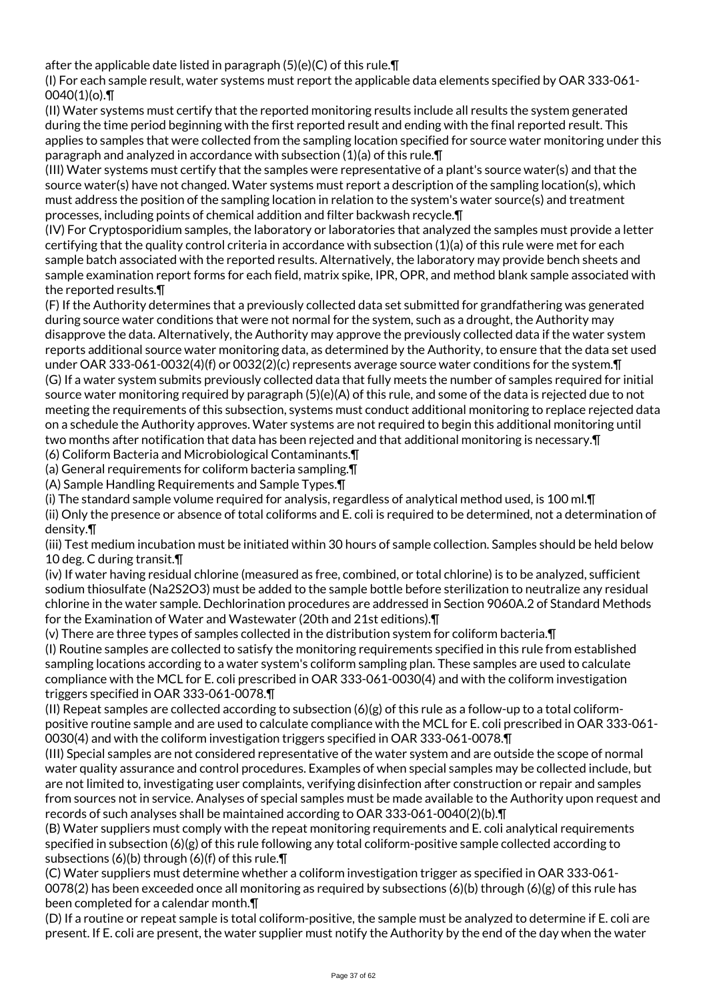after the applicable date listed in paragraph (5)(e)(C) of this rule.¶

(I) For each sample result, water systems must report the applicable data elements specified by OAR 333-061-  $0040(1)(o)$ .

(II) Water systems must certify that the reported monitoring results include all results the system generated during the time period beginning with the first reported result and ending with the final reported result. This applies to samples that were collected from the sampling location specified for source water monitoring under this paragraph and analyzed in accordance with subsection (1)(a) of this rule.¶

(III) Water systems must certify that the samples were representative of a plant's source water(s) and that the source water(s) have not changed. Water systems must report a description of the sampling location(s), which must address the position of the sampling location in relation to the system's water source(s) and treatment processes, including points of chemical addition and filter backwash recycle.¶

(IV) For Cryptosporidium samples, the laboratory or laboratories that analyzed the samples must provide a letter certifying that the quality control criteria in accordance with subsection (1)(a) of this rule were met for each sample batch associated with the reported results. Alternatively, the laboratory may provide bench sheets and sample examination report forms for each field, matrix spike, IPR, OPR, and method blank sample associated with the reported results.¶

(F) If the Authority determines that a previously collected data set submitted for grandfathering was generated during source water conditions that were not normal for the system, such as a drought, the Authority may disapprove the data. Alternatively, the Authority may approve the previously collected data if the water system reports additional source water monitoring data, as determined by the Authority, to ensure that the data set used under OAR 333-061-0032(4)(f) or 0032(2)(c) represents average source water conditions for the system.¶ (G) If a water system submits previously collected data that fully meets the number of samples required for initial source water monitoring required by paragraph (5)(e)(A) of this rule, and some of the data is rejected due to not meeting the requirements of this subsection, systems must conduct additional monitoring to replace rejected data on a schedule the Authority approves. Water systems are not required to begin this additional monitoring until two months after notification that data has been rejected and that additional monitoring is necessary.¶

(6) Coliform Bacteria and Microbiological Contaminants.¶

(a) General requirements for coliform bacteria sampling.¶

(A) Sample Handling Requirements and Sample Types.¶

(i) The standard sample volume required for analysis, regardless of analytical method used, is 100 ml.¶

(ii) Only the presence or absence of total coliforms and E. coli is required to be determined, not a determination of density.¶

(iii) Test medium incubation must be initiated within 30 hours of sample collection. Samples should be held below 10 deg. C during transit.¶

(iv) If water having residual chlorine (measured as free, combined, or total chlorine) is to be analyzed, sufficient sodium thiosulfate (Na2S2O3) must be added to the sample bottle before sterilization to neutralize any residual chlorine in the water sample. Dechlorination procedures are addressed in Section 9060A.2 of Standard Methods for the Examination of Water and Wastewater (20th and 21st editions).¶

(v) There are three types of samples collected in the distribution system for coliform bacteria.¶

(I) Routine samples are collected to satisfy the monitoring requirements specified in this rule from established sampling locations according to a water system's coliform sampling plan. These samples are used to calculate compliance with the MCL for E. coli prescribed in OAR 333-061-0030(4) and with the coliform investigation triggers specified in OAR 333-061-0078.¶

(II) Repeat samples are collected according to subsection  $(6)(g)$  of this rule as a follow-up to a total coliformpositive routine sample and are used to calculate compliance with the MCL for E. coli prescribed in OAR 333-061- 0030(4) and with the coliform investigation triggers specified in OAR 333-061-0078.¶

(III) Special samples are not considered representative of the water system and are outside the scope of normal water quality assurance and control procedures. Examples of when special samples may be collected include, but are not limited to, investigating user complaints, verifying disinfection after construction or repair and samples from sources not in service. Analyses of special samples must be made available to the Authority upon request and records of such analyses shall be maintained according to OAR 333-061-0040(2)(b).¶

(B) Water suppliers must comply with the repeat monitoring requirements and E. coli analytical requirements specified in subsection (6)(g) of this rule following any total coliform-positive sample collected according to subsections (6)(b) through (6)(f) of this rule. $\P$ 

(C) Water suppliers must determine whether a coliform investigation trigger as specified in OAR 333-061- 0078(2) has been exceeded once all monitoring as required by subsections (6)(b) through (6)(g) of this rule has been completed for a calendar month.¶

(D) If a routine or repeat sample is total coliform-positive, the sample must be analyzed to determine if E. coli are present. If E. coli are present, the water supplier must notify the Authority by the end of the day when the water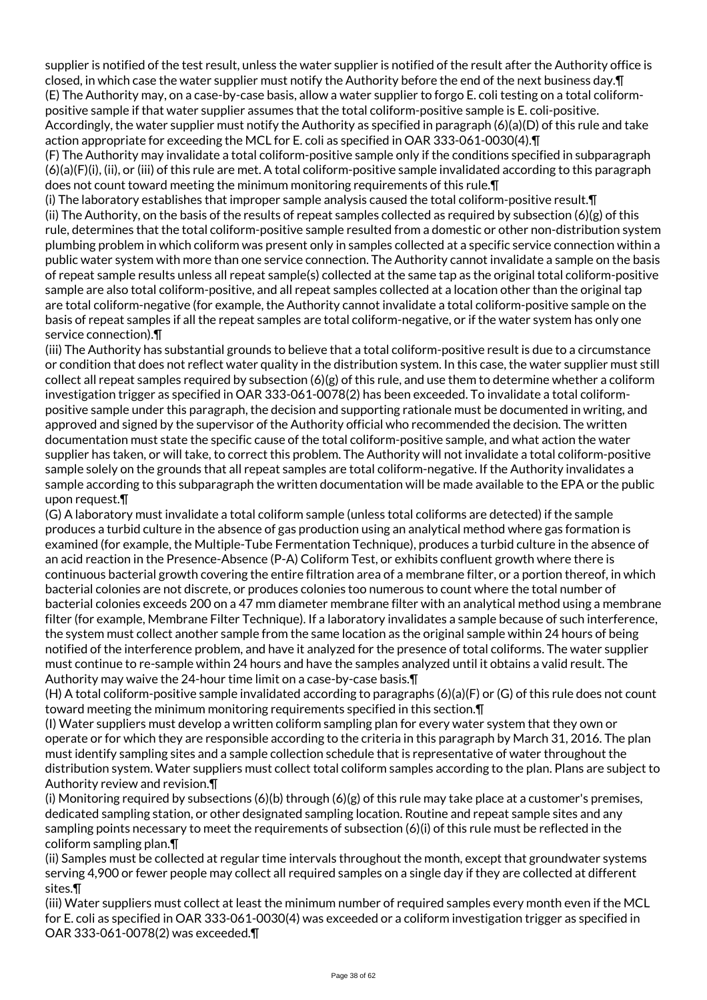supplier is notified of the test result, unless the water supplier is notified of the result after the Authority office is closed, in which case the water supplier must notify the Authority before the end of the next business day.¶ (E) The Authority may, on a case-by-case basis, allow a water supplier to forgo E. coli testing on a total coliformpositive sample if that water supplier assumes that the total coliform-positive sample is E. coli-positive. Accordingly, the water supplier must notify the Authority as specified in paragraph (6)(a)(D) of this rule and take action appropriate for exceeding the MCL for E. coli as specified in OAR 333-061-0030(4).¶

(F) The Authority may invalidate a total coliform-positive sample only if the conditions specified in subparagraph (6)(a)(F)(i), (ii), or (iii) of this rule are met. A total coliform-positive sample invalidated according to this paragraph does not count toward meeting the minimum monitoring requirements of this rule.¶

(i) The laboratory establishes that improper sample analysis caused the total coliform-positive result.¶ (ii) The Authority, on the basis of the results of repeat samples collected as required by subsection  $(6)(g)$  of this rule, determines that the total coliform-positive sample resulted from a domestic or other non-distribution system plumbing problem in which coliform was present only in samples collected at a specific service connection within a public water system with more than one service connection. The Authority cannot invalidate a sample on the basis of repeat sample results unless all repeat sample(s) collected at the same tap as the original total coliform-positive sample are also total coliform-positive, and all repeat samples collected at a location other than the original tap are total coliform-negative (for example, the Authority cannot invalidate a total coliform-positive sample on the basis of repeat samples if all the repeat samples are total coliform-negative, or if the water system has only one service connection).¶

(iii) The Authority has substantial grounds to believe that a total coliform-positive result is due to a circumstance or condition that does not reflect water quality in the distribution system. In this case, the water supplier must still collect all repeat samples required by subsection  $(6)(g)$  of this rule, and use them to determine whether a coliform investigation trigger as specified in OAR 333-061-0078(2) has been exceeded. To invalidate a total coliformpositive sample under this paragraph, the decision and supporting rationale must be documented in writing, and approved and signed by the supervisor of the Authority official who recommended the decision. The written documentation must state the specific cause of the total coliform-positive sample, and what action the water supplier has taken, or will take, to correct this problem. The Authority will not invalidate a total coliform-positive sample solely on the grounds that all repeat samples are total coliform-negative. If the Authority invalidates a sample according to this subparagraph the written documentation will be made available to the EPA or the public upon request.¶

(G) A laboratory must invalidate a total coliform sample (unless total coliforms are detected) if the sample produces a turbid culture in the absence of gas production using an analytical method where gas formation is examined (for example, the Multiple-Tube Fermentation Technique), produces a turbid culture in the absence of an acid reaction in the Presence-Absence (P-A) Coliform Test, or exhibits confluent growth where there is continuous bacterial growth covering the entire filtration area of a membrane filter, or a portion thereof, in which bacterial colonies are not discrete, or produces colonies too numerous to count where the total number of bacterial colonies exceeds 200 on a 47 mm diameter membrane filter with an analytical method using a membrane filter (for example, Membrane Filter Technique). If a laboratory invalidates a sample because of such interference, the system must collect another sample from the same location as the original sample within 24 hours of being notified of the interference problem, and have it analyzed for the presence of total coliforms. The water supplier must continue to re-sample within 24 hours and have the samples analyzed until it obtains a valid result. The Authority may waive the 24-hour time limit on a case-by-case basis.¶

(H) A total coliform-positive sample invalidated according to paragraphs (6)(a)(F) or (G) of this rule does not count toward meeting the minimum monitoring requirements specified in this section.¶

(I) Water suppliers must develop a written coliform sampling plan for every water system that they own or operate or for which they are responsible according to the criteria in this paragraph by March 31, 2016. The plan must identify sampling sites and a sample collection schedule that is representative of water throughout the distribution system. Water suppliers must collect total coliform samples according to the plan. Plans are subject to Authority review and revision.¶

(i) Monitoring required by subsections  $(6)(b)$  through  $(6)(g)$  of this rule may take place at a customer's premises, dedicated sampling station, or other designated sampling location. Routine and repeat sample sites and any sampling points necessary to meet the requirements of subsection (6)(i) of this rule must be reflected in the coliform sampling plan.¶

(ii) Samples must be collected at regular time intervals throughout the month, except that groundwater systems serving 4,900 or fewer people may collect all required samples on a single day if they are collected at different sites.¶

(iii) Water suppliers must collect at least the minimum number of required samples every month even if the MCL for E. coli as specified in OAR 333-061-0030(4) was exceeded or a coliform investigation trigger as specified in OAR 333-061-0078(2) was exceeded.¶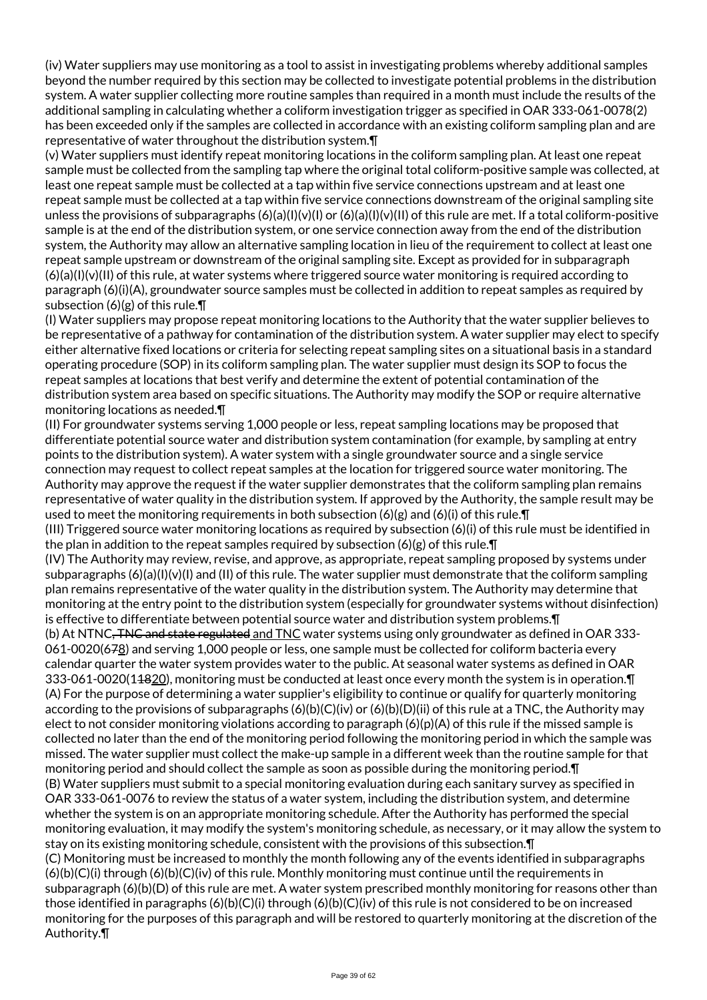(iv) Water suppliers may use monitoring as a tool to assist in investigating problems whereby additional samples beyond the number required by this section may be collected to investigate potential problems in the distribution system. A water supplier collecting more routine samples than required in a month must include the results of the additional sampling in calculating whether a coliform investigation trigger as specified in OAR 333-061-0078(2) has been exceeded only if the samples are collected in accordance with an existing coliform sampling plan and are representative of water throughout the distribution system.¶

(v) Water suppliers must identify repeat monitoring locations in the coliform sampling plan. At least one repeat sample must be collected from the sampling tap where the original total coliform-positive sample was collected, at least one repeat sample must be collected at a tap within five service connections upstream and at least one repeat sample must be collected at a tap within five service connections downstream of the original sampling site unless the provisions of subparagraphs  $(6)(a)(1)(v)(1)$  or  $(6)(a)(1)(v)(11)$  of this rule are met. If a total coliform-positive sample is at the end of the distribution system, or one service connection away from the end of the distribution system, the Authority may allow an alternative sampling location in lieu of the requirement to collect at least one repeat sample upstream or downstream of the original sampling site. Except as provided for in subparagraph  $(6)(a)(l)(v)(ll)$  of this rule, at water systems where triggered source water monitoring is required according to paragraph (6)(i)(A), groundwater source samples must be collected in addition to repeat samples as required by subsection  $(6)(g)$  of this rule. $\P$ 

(I) Water suppliers may propose repeat monitoring locations to the Authority that the water supplier believes to be representative of a pathway for contamination of the distribution system. A water supplier may elect to specify either alternative fixed locations or criteria for selecting repeat sampling sites on a situational basis in a standard operating procedure (SOP) in its coliform sampling plan. The water supplier must design its SOP to focus the repeat samples at locations that best verify and determine the extent of potential contamination of the distribution system area based on specific situations. The Authority may modify the SOP or require alternative monitoring locations as needed.¶

(II) For groundwater systems serving 1,000 people or less, repeat sampling locations may be proposed that differentiate potential source water and distribution system contamination (for example, by sampling at entry points to the distribution system). A water system with a single groundwater source and a single service connection may request to collect repeat samples at the location for triggered source water monitoring. The Authority may approve the request if the water supplier demonstrates that the coliform sampling plan remains representative of water quality in the distribution system. If approved by the Authority, the sample result may be used to meet the monitoring requirements in both subsection  $(6)(g)$  and  $(6)(i)$  of this rule.

(III) Triggered source water monitoring locations as required by subsection (6)(i) of this rule must be identified in the plan in addition to the repeat samples required by subsection  $(6)(g)$  of this rule. $\P$ 

(IV) The Authority may review, revise, and approve, as appropriate, repeat sampling proposed by systems under subparagraphs  $(6)(a)(l)(v)(l)$  and (II) of this rule. The water supplier must demonstrate that the coliform sampling plan remains representative of the water quality in the distribution system. The Authority may determine that monitoring at the entry point to the distribution system (especially for groundwater systems without disinfection) is effective to differentiate between potential source water and distribution system problems.¶

(b) At NTNC, TNC and state regulated and TNC water systems using only groundwater as defined in OAR 333-061-0020(678) and serving 1,000 people or less, one sample must be collected for coliform bacteria every calendar quarter the water system provides water to the public. At seasonal water systems as defined in OAR 333-061-0020(11820), monitoring must be conducted at least once every month the system is in operation.¶ (A) For the purpose of determining a water supplier's eligibility to continue or qualify for quarterly monitoring according to the provisions of subparagraphs  $(6)(b)(C)(iv)$  or  $(6)(b)(D)(ii)$  of this rule at a TNC, the Authority may elect to not consider monitoring violations according to paragraph  $(6)(p)(A)$  of this rule if the missed sample is collected no later than the end of the monitoring period following the monitoring period in which the sample was missed. The water supplier must collect the make-up sample in a different week than the routine sample for that monitoring period and should collect the sample as soon as possible during the monitoring period.¶ (B) Water suppliers must submit to a special monitoring evaluation during each sanitary survey as specified in OAR 333-061-0076 to review the status of a water system, including the distribution system, and determine whether the system is on an appropriate monitoring schedule. After the Authority has performed the special monitoring evaluation, it may modify the system's monitoring schedule, as necessary, or it may allow the system to stay on its existing monitoring schedule, consistent with the provisions of this subsection.¶

(C) Monitoring must be increased to monthly the month following any of the events identified in subparagraphs  $(6)(b)(C)(i)$  through  $(6)(b)(C)(iv)$  of this rule. Monthly monitoring must continue until the requirements in subparagraph (6)(b)(D) of this rule are met. A water system prescribed monthly monitoring for reasons other than those identified in paragraphs (6)(b)(C)(i) through (6)(b)(C)(iv) of this rule is not considered to be on increased monitoring for the purposes of this paragraph and will be restored to quarterly monitoring at the discretion of the Authority.¶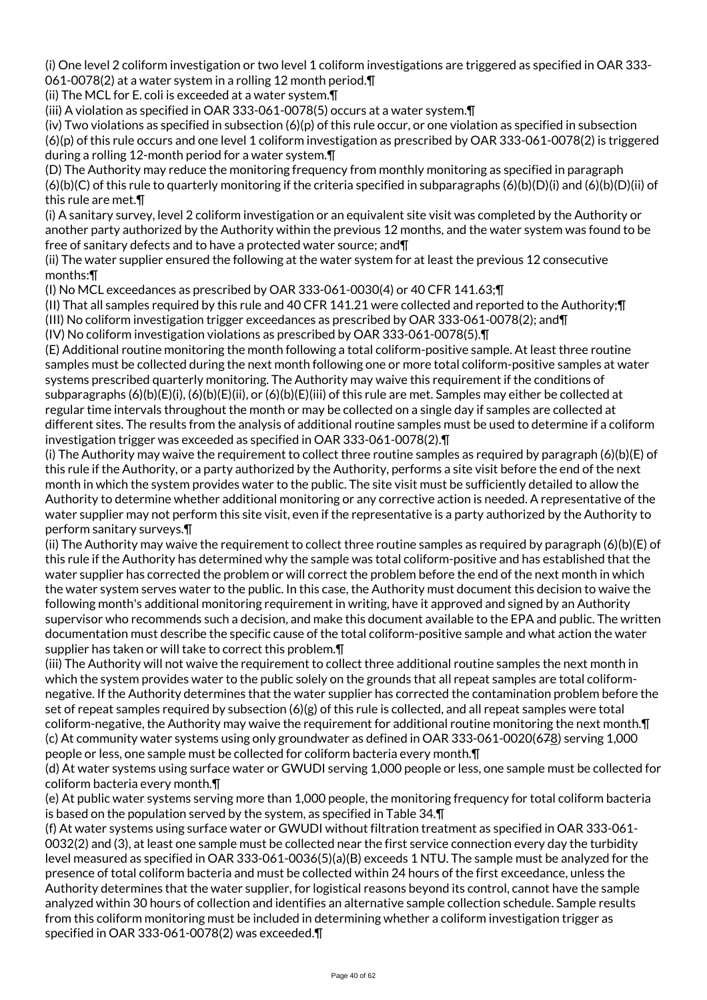(i) One level 2 coliform investigation or two level 1 coliform investigations are triggered as specified in OAR 333- 061-0078(2) at a water system in a rolling 12 month period.¶

(ii) The MCL for E. coli is exceeded at a water system.¶

(iii) A violation as specified in OAR 333-061-0078(5) occurs at a water system.¶

(iv) Two violations as specified in subsection  $(6)(p)$  of this rule occur, or one violation as specified in subsection (6)(p) of this rule occurs and one level 1 coliform investigation as prescribed by OAR 333-061-0078(2) is triggered during a rolling 12-month period for a water system.¶

(D) The Authority may reduce the monitoring frequency from monthly monitoring as specified in paragraph  $(6)(b)(C)$  of this rule to quarterly monitoring if the criteria specified in subparagraphs  $(6)(b)(D)(i)$  and  $(6)(b)(D)(ii)$  of this rule are met.¶

(i) A sanitary survey, level 2 coliform investigation or an equivalent site visit was completed by the Authority or another party authorized by the Authority within the previous 12 months, and the water system was found to be free of sanitary defects and to have a protected water source; and¶

(ii) The water supplier ensured the following at the water system for at least the previous 12 consecutive months:¶

(I) No MCL exceedances as prescribed by OAR 333-061-0030(4) or 40 CFR 141.63;¶

(II) That all samples required by this rule and 40 CFR 141.21 were collected and reported to the Authority;¶ (III) No coliform investigation trigger exceedances as prescribed by OAR 333-061-0078(2); and¶

(IV) No coliform investigation violations as prescribed by OAR 333-061-0078(5).¶

(E) Additional routine monitoring the month following a total coliform-positive sample. At least three routine samples must be collected during the next month following one or more total coliform-positive samples at water systems prescribed quarterly monitoring. The Authority may waive this requirement if the conditions of subparagraphs (6)(b)(E)(i), (6)(b)(E)(ii), or (6)(b)(E)(iii) of this rule are met. Samples may either be collected at regular time intervals throughout the month or may be collected on a single day if samples are collected at different sites. The results from the analysis of additional routine samples must be used to determine if a coliform investigation trigger was exceeded as specified in OAR 333-061-0078(2).¶

(i) The Authority may waive the requirement to collect three routine samples as required by paragraph (6)(b)(E) of this rule if the Authority, or a party authorized by the Authority, performs a site visit before the end of the next month in which the system provides water to the public. The site visit must be sufficiently detailed to allow the Authority to determine whether additional monitoring or any corrective action is needed. A representative of the water supplier may not perform this site visit, even if the representative is a party authorized by the Authority to perform sanitary surveys.¶

(ii) The Authority may waive the requirement to collect three routine samples as required by paragraph (6)(b)(E) of this rule if the Authority has determined why the sample was total coliform-positive and has established that the water supplier has corrected the problem or will correct the problem before the end of the next month in which the water system serves water to the public. In this case, the Authority must document this decision to waive the following month's additional monitoring requirement in writing, have it approved and signed by an Authority supervisor who recommends such a decision, and make this document available to the EPA and public. The written documentation must describe the specific cause of the total coliform-positive sample and what action the water supplier has taken or will take to correct this problem.¶

(iii) The Authority will not waive the requirement to collect three additional routine samples the next month in which the system provides water to the public solely on the grounds that all repeat samples are total coliformnegative. If the Authority determines that the water supplier has corrected the contamination problem before the set of repeat samples required by subsection  $(6)(g)$  of this rule is collected, and all repeat samples were total coliform-negative, the Authority may waive the requirement for additional routine monitoring the next month.¶ (c) At community water systems using only groundwater as defined in OAR 333-061-0020(678) serving 1,000 people or less, one sample must be collected for coliform bacteria every month.¶

(d) At water systems using surface water or GWUDI serving 1,000 people or less, one sample must be collected for coliform bacteria every month.¶

(e) At public water systems serving more than 1,000 people, the monitoring frequency for total coliform bacteria is based on the population served by the system, as specified in Table 34.¶

(f) At water systems using surface water or GWUDI without filtration treatment as specified in OAR 333-061- 0032(2) and (3), at least one sample must be collected near the first service connection every day the turbidity level measured as specified in OAR 333-061-0036(5)(a)(B) exceeds 1 NTU. The sample must be analyzed for the presence of total coliform bacteria and must be collected within 24 hours of the first exceedance, unless the Authority determines that the water supplier, for logistical reasons beyond its control, cannot have the sample analyzed within 30 hours of collection and identifies an alternative sample collection schedule. Sample results from this coliform monitoring must be included in determining whether a coliform investigation trigger as specified in OAR 333-061-0078(2) was exceeded.¶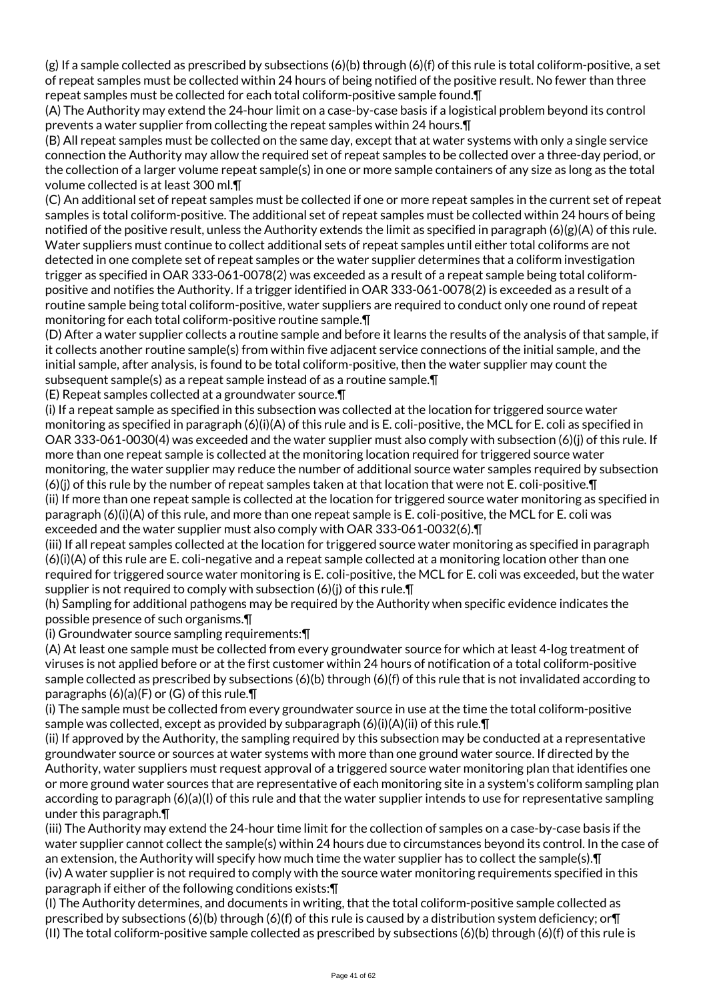$(g)$  If a sample collected as prescribed by subsections  $(6)(b)$  through  $(6)(f)$  of this rule is total coliform-positive, a set of repeat samples must be collected within 24 hours of being notified of the positive result. No fewer than three repeat samples must be collected for each total coliform-positive sample found.¶

(A) The Authority may extend the 24-hour limit on a case-by-case basis if a logistical problem beyond its control prevents a water supplier from collecting the repeat samples within 24 hours.¶

(B) All repeat samples must be collected on the same day, except that at water systems with only a single service connection the Authority may allow the required set of repeat samples to be collected over a three-day period, or the collection of a larger volume repeat sample(s) in one or more sample containers of any size as long as the total volume collected is at least 300 ml.¶

(C) An additional set of repeat samples must be collected if one or more repeat samples in the current set of repeat samples is total coliform-positive. The additional set of repeat samples must be collected within 24 hours of being notified of the positive result, unless the Authority extends the limit as specified in paragraph  $(6)(g)(A)$  of this rule. Water suppliers must continue to collect additional sets of repeat samples until either total coliforms are not detected in one complete set of repeat samples or the water supplier determines that a coliform investigation trigger as specified in OAR 333-061-0078(2) was exceeded as a result of a repeat sample being total coliformpositive and notifies the Authority. If a trigger identified in OAR 333-061-0078(2) is exceeded as a result of a routine sample being total coliform-positive, water suppliers are required to conduct only one round of repeat monitoring for each total coliform-positive routine sample.¶

(D) After a water supplier collects a routine sample and before it learns the results of the analysis of that sample, if it collects another routine sample(s) from within five adjacent service connections of the initial sample, and the initial sample, after analysis, is found to be total coliform-positive, then the water supplier may count the subsequent sample(s) as a repeat sample instead of as a routine sample.¶

(E) Repeat samples collected at a groundwater source.¶

(i) If a repeat sample as specified in this subsection was collected at the location for triggered source water monitoring as specified in paragraph (6)(i)(A) of this rule and is E. coli-positive, the MCL for E. coli as specified in OAR 333-061-0030(4) was exceeded and the water supplier must also comply with subsection (6)(j) of this rule. If more than one repeat sample is collected at the monitoring location required for triggered source water monitoring, the water supplier may reduce the number of additional source water samples required by subsection (6)(j) of this rule by the number of repeat samples taken at that location that were not E. coli-positive.¶ (ii) If more than one repeat sample is collected at the location for triggered source water monitoring as specified in paragraph (6)(i)(A) of this rule, and more than one repeat sample is E. coli-positive, the MCL for E. coli was exceeded and the water supplier must also comply with OAR 333-061-0032(6).¶

(iii) If all repeat samples collected at the location for triggered source water monitoring as specified in paragraph (6)(i)(A) of this rule are E. coli-negative and a repeat sample collected at a monitoring location other than one required for triggered source water monitoring is E. coli-positive, the MCL for E. coli was exceeded, but the water supplier is not required to comply with subsection (6)(j) of this rule.¶

(h) Sampling for additional pathogens may be required by the Authority when specific evidence indicates the possible presence of such organisms.¶

(i) Groundwater source sampling requirements:¶

(A) At least one sample must be collected from every groundwater source for which at least 4-log treatment of viruses is not applied before or at the first customer within 24 hours of notification of a total coliform-positive sample collected as prescribed by subsections (6)(b) through (6)(f) of this rule that is not invalidated according to paragraphs (6)(a)(F) or (G) of this rule.¶

(i) The sample must be collected from every groundwater source in use at the time the total coliform-positive sample was collected, except as provided by subparagraph  $(6)(i)(A)(ii)$  of this rule. $\P$ 

(ii) If approved by the Authority, the sampling required by this subsection may be conducted at a representative groundwater source or sources at water systems with more than one ground water source. If directed by the Authority, water suppliers must request approval of a triggered source water monitoring plan that identifies one or more ground water sources that are representative of each monitoring site in a system's coliform sampling plan according to paragraph (6)(a)(I) of this rule and that the water supplier intends to use for representative sampling under this paragraph.¶

(iii) The Authority may extend the 24-hour time limit for the collection of samples on a case-by-case basis if the water supplier cannot collect the sample(s) within 24 hours due to circumstances beyond its control. In the case of an extension, the Authority will specify how much time the water supplier has to collect the sample(s).¶ (iv) A water supplier is not required to comply with the source water monitoring requirements specified in this paragraph if either of the following conditions exists:¶

(I) The Authority determines, and documents in writing, that the total coliform-positive sample collected as prescribed by subsections (6)(b) through (6)(f) of this rule is caused by a distribution system deficiency; or  $\P$ (II) The total coliform-positive sample collected as prescribed by subsections  $(6)(b)$  through  $(6)(f)$  of this rule is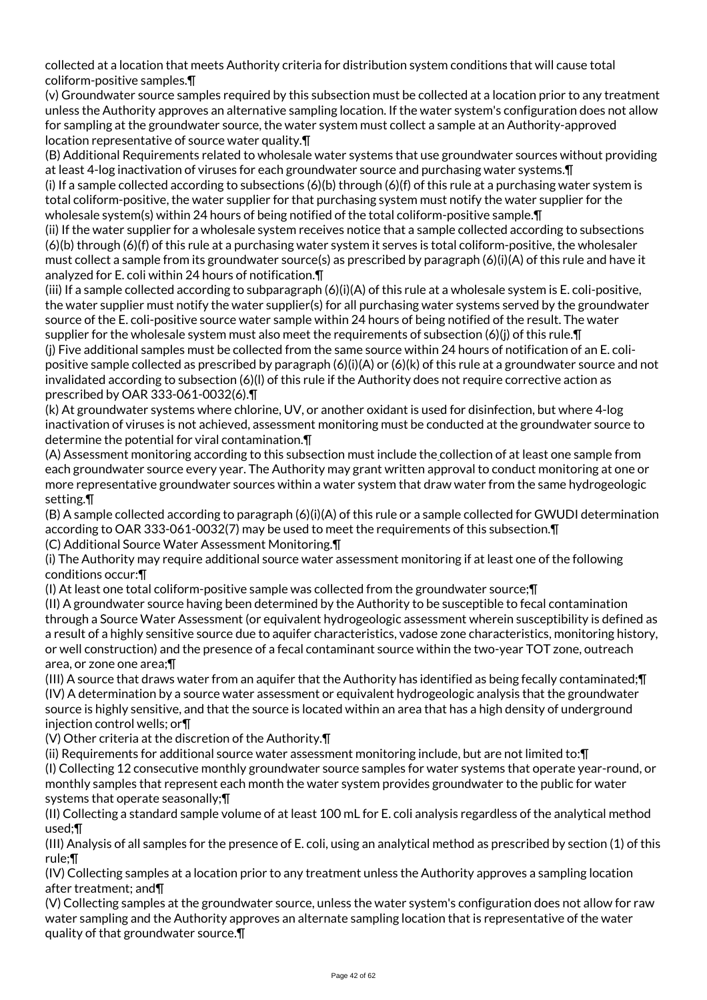collected at a location that meets Authority criteria for distribution system conditions that will cause total coliform-positive samples.¶

(v) Groundwater source samples required by this subsection must be collected at a location prior to any treatment unless the Authority approves an alternative sampling location. If the water system's configuration does not allow for sampling at the groundwater source, the water system must collect a sample at an Authority-approved location representative of source water quality.¶

(B) Additional Requirements related to wholesale water systems that use groundwater sources without providing at least 4-log inactivation of viruses for each groundwater source and purchasing water systems.¶

(i) If a sample collected according to subsections  $(6)(b)$  through  $(6)(f)$  of this rule at a purchasing water system is total coliform-positive, the water supplier for that purchasing system must notify the water supplier for the wholesale system(s) within 24 hours of being notified of the total coliform-positive sample.¶

(ii) If the water supplier for a wholesale system receives notice that a sample collected according to subsections (6)(b) through (6)(f) of this rule at a purchasing water system it serves is total coliform-positive, the wholesaler must collect a sample from its groundwater source(s) as prescribed by paragraph (6)(i)(A) of this rule and have it analyzed for E. coli within 24 hours of notification.¶

(iii) If a sample collected according to subparagraph  $(6)(i)(A)$  of this rule at a wholesale system is E. coli-positive, the water supplier must notify the water supplier(s) for all purchasing water systems served by the groundwater source of the E. coli-positive source water sample within 24 hours of being notified of the result. The water supplier for the wholesale system must also meet the requirements of subsection (6)(j) of this rule.¶

(j) Five additional samples must be collected from the same source within 24 hours of notification of an E. colipositive sample collected as prescribed by paragraph (6)(i)(A) or (6)(k) of this rule at a groundwater source and not invalidated according to subsection (6)(l) of this rule if the Authority does not require corrective action as prescribed by OAR 333-061-0032(6).¶

(k) At groundwater systems where chlorine, UV, or another oxidant is used for disinfection, but where 4-log inactivation of viruses is not achieved, assessment monitoring must be conducted at the groundwater source to determine the potential for viral contamination.¶

(A) Assessment monitoring according to this subsection must include the collection of at least one sample from each groundwater source every year. The Authority may grant written approval to conduct monitoring at one or more representative groundwater sources within a water system that draw water from the same hydrogeologic setting.¶

(B) A sample collected according to paragraph (6)(i)(A) of this rule or a sample collected for GWUDI determination according to OAR 333-061-0032(7) may be used to meet the requirements of this subsection.¶

(C) Additional Source Water Assessment Monitoring.¶

(i) The Authority may require additional source water assessment monitoring if at least one of the following conditions occur:¶

(I) At least one total coliform-positive sample was collected from the groundwater source;¶

(II) A groundwater source having been determined by the Authority to be susceptible to fecal contamination through a Source Water Assessment (or equivalent hydrogeologic assessment wherein susceptibility is defined as a result of a highly sensitive source due to aquifer characteristics, vadose zone characteristics, monitoring history, or well construction) and the presence of a fecal contaminant source within the two-year TOT zone, outreach area, or zone one area;¶

(III) A source that draws water from an aquifer that the Authority has identified as being fecally contaminated;¶ (IV) A determination by a source water assessment or equivalent hydrogeologic analysis that the groundwater source is highly sensitive, and that the source is located within an area that has a high density of underground injection control wells; or¶

(V) Other criteria at the discretion of the Authority.¶

(ii) Requirements for additional source water assessment monitoring include, but are not limited to:¶ (I) Collecting 12 consecutive monthly groundwater source samples for water systems that operate year-round, or monthly samples that represent each month the water system provides groundwater to the public for water systems that operate seasonally;¶

(II) Collecting a standard sample volume of at least 100 mL for E. coli analysis regardless of the analytical method used;¶

(III) Analysis of all samples for the presence of E. coli, using an analytical method as prescribed by section (1) of this rule;¶

(IV) Collecting samples at a location prior to any treatment unless the Authority approves a sampling location after treatment; and¶

(V) Collecting samples at the groundwater source, unless the water system's configuration does not allow for raw water sampling and the Authority approves an alternate sampling location that is representative of the water quality of that groundwater source.¶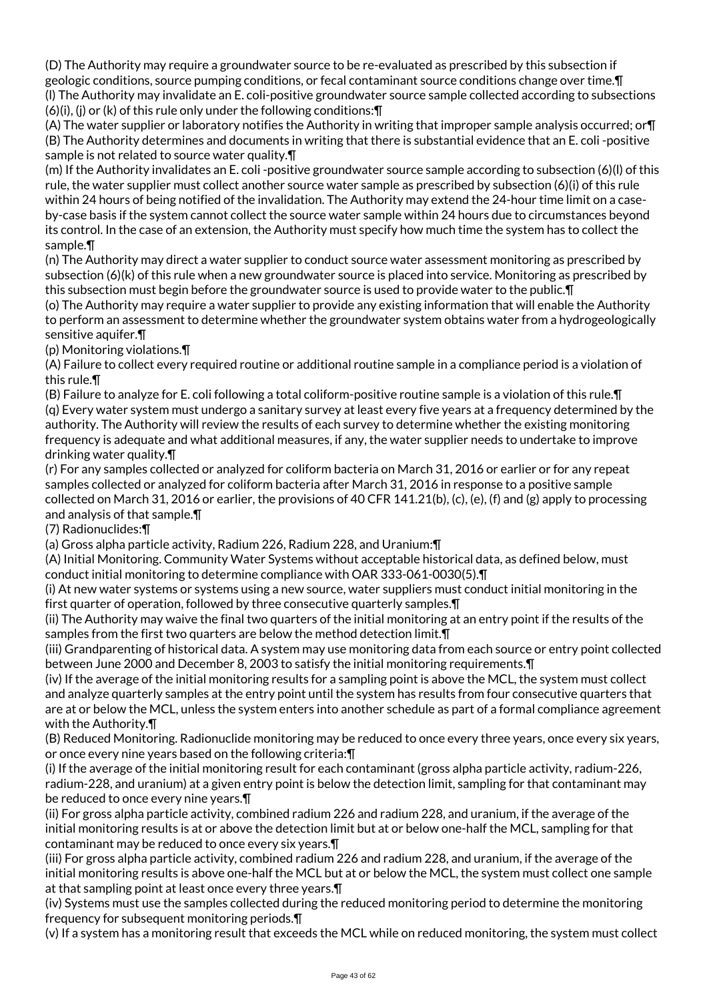(D) The Authority may require a groundwater source to be re-evaluated as prescribed by this subsection if geologic conditions, source pumping conditions, or fecal contaminant source conditions change over time.¶ (l) The Authority may invalidate an E. coli-positive groundwater source sample collected according to subsections (6)(i), (j) or (k) of this rule only under the following conditions:¶

(A) The water supplier or laboratory notifies the Authority in writing that improper sample analysis occurred; or¶ (B) The Authority determines and documents in writing that there is substantial evidence that an E. coli -positive sample is not related to source water quality.¶

(m) If the Authority invalidates an E. coli -positive groundwater source sample according to subsection (6)(l) of this rule, the water supplier must collect another source water sample as prescribed by subsection (6)(i) of this rule within 24 hours of being notified of the invalidation. The Authority may extend the 24-hour time limit on a caseby-case basis if the system cannot collect the source water sample within 24 hours due to circumstances beyond its control. In the case of an extension, the Authority must specify how much time the system has to collect the sample.¶

(n) The Authority may direct a water supplier to conduct source water assessment monitoring as prescribed by subsection (6)(k) of this rule when a new groundwater source is placed into service. Monitoring as prescribed by this subsection must begin before the groundwater source is used to provide water to the public.¶

(o) The Authority may require a water supplier to provide any existing information that will enable the Authority to perform an assessment to determine whether the groundwater system obtains water from a hydrogeologically sensitive aquifer.¶

(p) Monitoring violations.¶

(A) Failure to collect every required routine or additional routine sample in a compliance period is a violation of this rule.¶

(B) Failure to analyze for E. coli following a total coliform-positive routine sample is a violation of this rule.¶ (q) Every water system must undergo a sanitary survey at least every five years at a frequency determined by the authority. The Authority will review the results of each survey to determine whether the existing monitoring frequency is adequate and what additional measures, if any, the water supplier needs to undertake to improve drinking water quality.¶

(r) For any samples collected or analyzed for coliform bacteria on March 31, 2016 or earlier or for any repeat samples collected or analyzed for coliform bacteria after March 31, 2016 in response to a positive sample collected on March 31, 2016 or earlier, the provisions of 40 CFR 141.21(b), (c), (e), (f) and (g) apply to processing and analysis of that sample.¶

(7) Radionuclides:¶

(a) Gross alpha particle activity, Radium 226, Radium 228, and Uranium:¶

(A) Initial Monitoring. Community Water Systems without acceptable historical data, as defined below, must conduct initial monitoring to determine compliance with OAR 333-061-0030(5).¶

(i) At new water systems or systems using a new source, water suppliers must conduct initial monitoring in the first quarter of operation, followed by three consecutive quarterly samples.¶

(ii) The Authority may waive the final two quarters of the initial monitoring at an entry point if the results of the samples from the first two quarters are below the method detection limit.¶

(iii) Grandparenting of historical data. A system may use monitoring data from each source or entry point collected between June 2000 and December 8, 2003 to satisfy the initial monitoring requirements.¶

(iv) If the average of the initial monitoring results for a sampling point is above the MCL, the system must collect and analyze quarterly samples at the entry point until the system has results from four consecutive quarters that are at or below the MCL, unless the system enters into another schedule as part of a formal compliance agreement with the Authority.¶

(B) Reduced Monitoring. Radionuclide monitoring may be reduced to once every three years, once every six years, or once every nine years based on the following criteria:¶

(i) If the average of the initial monitoring result for each contaminant (gross alpha particle activity, radium-226, radium-228, and uranium) at a given entry point is below the detection limit, sampling for that contaminant may be reduced to once every nine years.¶

(ii) For gross alpha particle activity, combined radium 226 and radium 228, and uranium, if the average of the initial monitoring results is at or above the detection limit but at or below one-half the MCL, sampling for that contaminant may be reduced to once every six years.¶

(iii) For gross alpha particle activity, combined radium 226 and radium 228, and uranium, if the average of the initial monitoring results is above one-half the MCL but at or below the MCL, the system must collect one sample at that sampling point at least once every three years.¶

(iv) Systems must use the samples collected during the reduced monitoring period to determine the monitoring frequency for subsequent monitoring periods.¶

(v) If a system has a monitoring result that exceeds the MCL while on reduced monitoring, the system must collect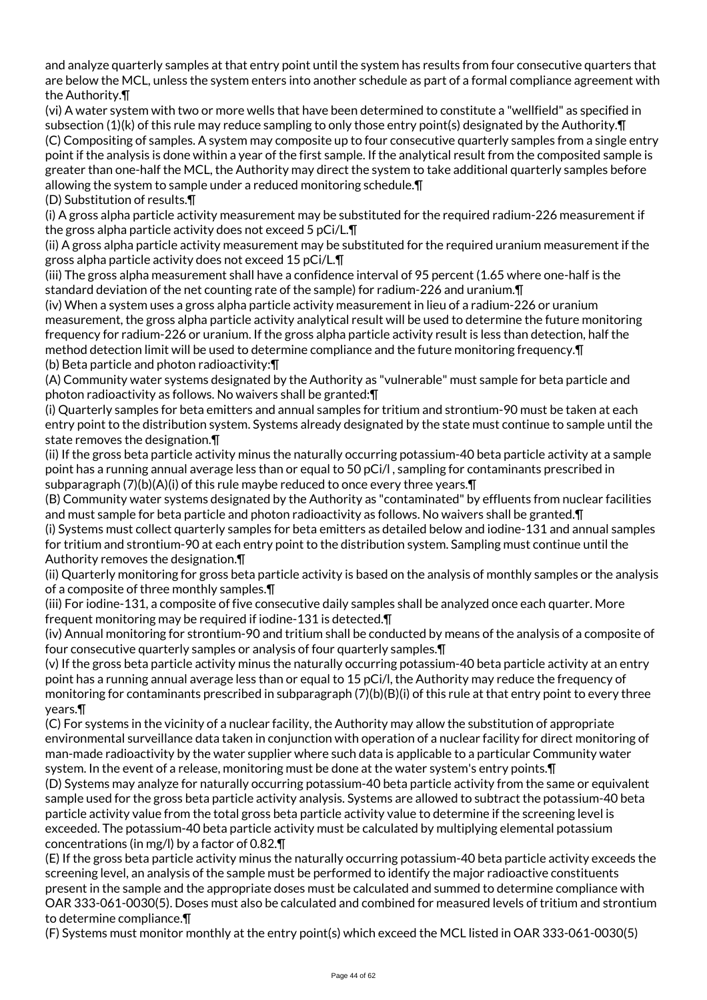and analyze quarterly samples at that entry point until the system has results from four consecutive quarters that are below the MCL, unless the system enters into another schedule as part of a formal compliance agreement with the Authority.¶

(vi) A water system with two or more wells that have been determined to constitute a "wellfield" as specified in subsection (1)(k) of this rule may reduce sampling to only those entry point(s) designated by the Authority.¶ (C) Compositing of samples. A system may composite up to four consecutive quarterly samples from a single entry point if the analysis is done within a year of the first sample. If the analytical result from the composited sample is greater than one-half the MCL, the Authority may direct the system to take additional quarterly samples before allowing the system to sample under a reduced monitoring schedule.¶

(D) Substitution of results.¶

(i) A gross alpha particle activity measurement may be substituted for the required radium-226 measurement if the gross alpha particle activity does not exceed 5 pCi/L.¶

(ii) A gross alpha particle activity measurement may be substituted for the required uranium measurement if the gross alpha particle activity does not exceed 15 pCi/L.¶

(iii) The gross alpha measurement shall have a confidence interval of 95 percent (1.65 where one-half is the standard deviation of the net counting rate of the sample) for radium-226 and uranium.¶

(iv) When a system uses a gross alpha particle activity measurement in lieu of a radium-226 or uranium measurement, the gross alpha particle activity analytical result will be used to determine the future monitoring frequency for radium-226 or uranium. If the gross alpha particle activity result is less than detection, half the method detection limit will be used to determine compliance and the future monitoring frequency.¶ (b) Beta particle and photon radioactivity:¶

(A) Community water systems designated by the Authority as "vulnerable" must sample for beta particle and photon radioactivity as follows. No waivers shall be granted:¶

(i) Quarterly samples for beta emitters and annual samples for tritium and strontium-90 must be taken at each entry point to the distribution system. Systems already designated by the state must continue to sample until the state removes the designation.¶

(ii) If the gross beta particle activity minus the naturally occurring potassium-40 beta particle activity at a sample point has a running annual average less than or equal to 50 pCi/l , sampling for contaminants prescribed in subparagraph (7)(b)(A)(i) of this rule maybe reduced to once every three years. [

(B) Community water systems designated by the Authority as "contaminated" by effluents from nuclear facilities and must sample for beta particle and photon radioactivity as follows. No waivers shall be granted.¶

(i) Systems must collect quarterly samples for beta emitters as detailed below and iodine-131 and annual samples for tritium and strontium-90 at each entry point to the distribution system. Sampling must continue until the Authority removes the designation.¶

(ii) Quarterly monitoring for gross beta particle activity is based on the analysis of monthly samples or the analysis of a composite of three monthly samples.¶

(iii) For iodine-131, a composite of five consecutive daily samples shall be analyzed once each quarter. More frequent monitoring may be required if iodine-131 is detected.¶

(iv) Annual monitoring for strontium-90 and tritium shall be conducted by means of the analysis of a composite of four consecutive quarterly samples or analysis of four quarterly samples.¶

(v) If the gross beta particle activity minus the naturally occurring potassium-40 beta particle activity at an entry point has a running annual average less than or equal to 15 pCi/l, the Authority may reduce the frequency of monitoring for contaminants prescribed in subparagraph (7)(b)(B)(i) of this rule at that entry point to every three years.¶

(C) For systems in the vicinity of a nuclear facility, the Authority may allow the substitution of appropriate environmental surveillance data taken in conjunction with operation of a nuclear facility for direct monitoring of man-made radioactivity by the water supplier where such data is applicable to a particular Community water system. In the event of a release, monitoring must be done at the water system's entry points.¶

(D) Systems may analyze for naturally occurring potassium-40 beta particle activity from the same or equivalent sample used for the gross beta particle activity analysis. Systems are allowed to subtract the potassium-40 beta particle activity value from the total gross beta particle activity value to determine if the screening level is exceeded. The potassium-40 beta particle activity must be calculated by multiplying elemental potassium concentrations (in mg/l) by a factor of 0.82.¶

(E) If the gross beta particle activity minus the naturally occurring potassium-40 beta particle activity exceeds the screening level, an analysis of the sample must be performed to identify the major radioactive constituents present in the sample and the appropriate doses must be calculated and summed to determine compliance with OAR 333-061-0030(5). Doses must also be calculated and combined for measured levels of tritium and strontium to determine compliance.¶

(F) Systems must monitor monthly at the entry point(s) which exceed the MCL listed in OAR 333-061-0030(5)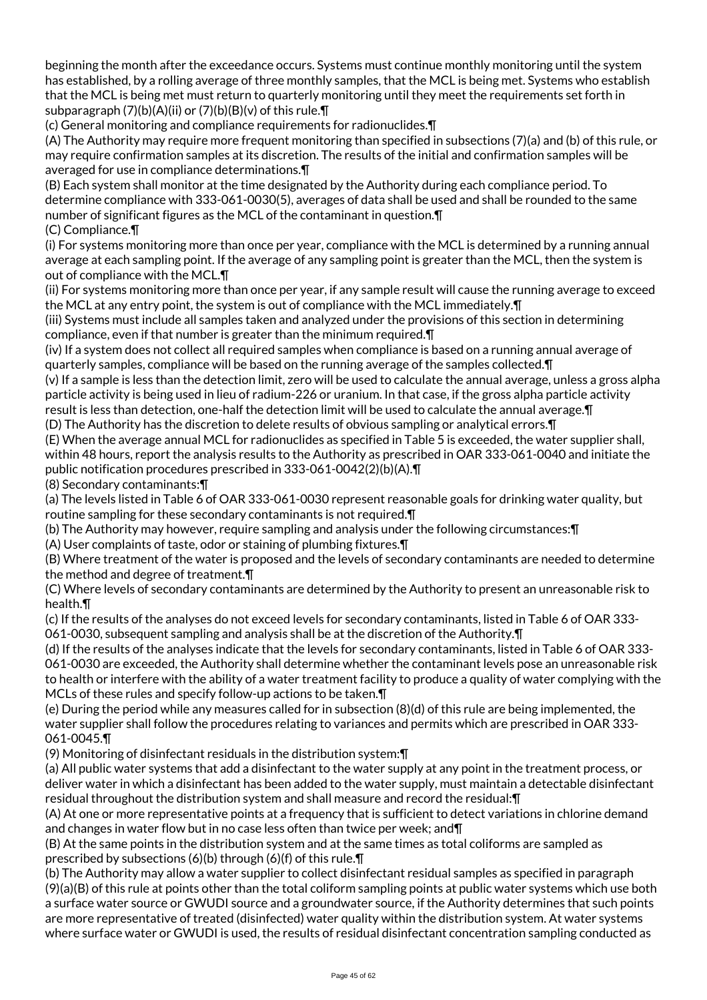beginning the month after the exceedance occurs. Systems must continue monthly monitoring until the system has established, by a rolling average of three monthly samples, that the MCL is being met. Systems who establish that the MCL is being met must return to quarterly monitoring until they meet the requirements set forth in subparagraph (7)(b)(A)(ii) or (7)(b)(B)(v) of this rule.¶

(c) General monitoring and compliance requirements for radionuclides.¶

(A) The Authority may require more frequent monitoring than specified in subsections (7)(a) and (b) of this rule, or may require confirmation samples at its discretion. The results of the initial and confirmation samples will be averaged for use in compliance determinations.¶

(B) Each system shall monitor at the time designated by the Authority during each compliance period. To determine compliance with 333-061-0030(5), averages of data shall be used and shall be rounded to the same number of significant figures as the MCL of the contaminant in question.¶ (C) Compliance.¶

(i) For systems monitoring more than once per year, compliance with the MCL is determined by a running annual average at each sampling point. If the average of any sampling point is greater than the MCL, then the system is out of compliance with the MCL.¶

(ii) For systems monitoring more than once per year, if any sample result will cause the running average to exceed the MCL at any entry point, the system is out of compliance with the MCL immediately.¶

(iii) Systems must include all samples taken and analyzed under the provisions of this section in determining compliance, even if that number is greater than the minimum required.¶

(iv) If a system does not collect all required samples when compliance is based on a running annual average of quarterly samples, compliance will be based on the running average of the samples collected.¶

(v) If a sample is less than the detection limit, zero will be used to calculate the annual average, unless a gross alpha particle activity is being used in lieu of radium-226 or uranium. In that case, if the gross alpha particle activity result is less than detection, one-half the detection limit will be used to calculate the annual average.¶

(D) The Authority has the discretion to delete results of obvious sampling or analytical errors.¶

(E) When the average annual MCL for radionuclides as specified in Table 5 is exceeded, the water supplier shall, within 48 hours, report the analysis results to the Authority as prescribed in OAR 333-061-0040 and initiate the public notification procedures prescribed in 333-061-0042(2)(b)(A).¶

(8) Secondary contaminants:¶

(a) The levels listed in Table 6 of OAR 333-061-0030 represent reasonable goals for drinking water quality, but routine sampling for these secondary contaminants is not required.¶

(b) The Authority may however, require sampling and analysis under the following circumstances:¶

(A) User complaints of taste, odor or staining of plumbing fixtures.¶

(B) Where treatment of the water is proposed and the levels of secondary contaminants are needed to determine the method and degree of treatment.¶

(C) Where levels of secondary contaminants are determined by the Authority to present an unreasonable risk to health.¶

(c) If the results of the analyses do not exceed levels for secondary contaminants, listed in Table 6 of OAR 333- 061-0030, subsequent sampling and analysis shall be at the discretion of the Authority.¶

(d) If the results of the analyses indicate that the levels for secondary contaminants, listed in Table 6 of OAR 333- 061-0030 are exceeded, the Authority shall determine whether the contaminant levels pose an unreasonable risk to health or interfere with the ability of a water treatment facility to produce a quality of water complying with the MCLs of these rules and specify follow-up actions to be taken.¶

(e) During the period while any measures called for in subsection (8)(d) of this rule are being implemented, the water supplier shall follow the procedures relating to variances and permits which are prescribed in OAR 333- 061-0045.¶

(9) Monitoring of disinfectant residuals in the distribution system:¶

(a) All public water systems that add a disinfectant to the water supply at any point in the treatment process, or deliver water in which a disinfectant has been added to the water supply, must maintain a detectable disinfectant residual throughout the distribution system and shall measure and record the residual:¶

(A) At one or more representative points at a frequency that is sufficient to detect variations in chlorine demand and changes in water flow but in no case less often than twice per week; and¶

(B) At the same points in the distribution system and at the same times as total coliforms are sampled as prescribed by subsections (6)(b) through (6)(f) of this rule.¶

(b) The Authority may allow a water supplier to collect disinfectant residual samples as specified in paragraph (9)(a)(B) of this rule at points other than the total coliform sampling points at public water systems which use both a surface water source or GWUDI source and a groundwater source, if the Authority determines that such points are more representative of treated (disinfected) water quality within the distribution system. At water systems where surface water or GWUDI is used, the results of residual disinfectant concentration sampling conducted as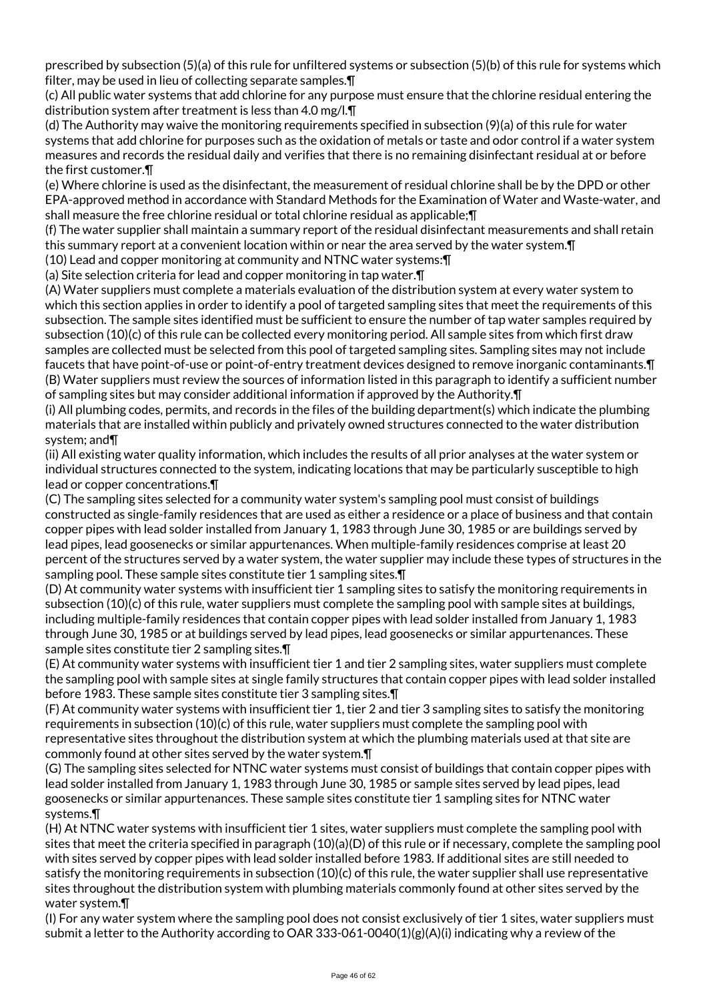prescribed by subsection (5)(a) of this rule for unfiltered systems or subsection (5)(b) of this rule for systems which filter, may be used in lieu of collecting separate samples.¶

(c) All public water systems that add chlorine for any purpose must ensure that the chlorine residual entering the distribution system after treatment is less than 4.0 mg/l.¶

(d) The Authority may waive the monitoring requirements specified in subsection (9)(a) of this rule for water systems that add chlorine for purposes such as the oxidation of metals or taste and odor control if a water system measures and records the residual daily and verifies that there is no remaining disinfectant residual at or before the first customer.¶

(e) Where chlorine is used as the disinfectant, the measurement of residual chlorine shall be by the DPD or other EPA-approved method in accordance with Standard Methods for the Examination of Water and Waste-water, and shall measure the free chlorine residual or total chlorine residual as applicable;¶

(f) The water supplier shall maintain a summary report of the residual disinfectant measurements and shall retain this summary report at a convenient location within or near the area served by the water system.¶

(10) Lead and copper monitoring at community and NTNC water systems:¶

(a) Site selection criteria for lead and copper monitoring in tap water.¶

(A) Water suppliers must complete a materials evaluation of the distribution system at every water system to which this section applies in order to identify a pool of targeted sampling sites that meet the requirements of this subsection. The sample sites identified must be sufficient to ensure the number of tap water samples required by subsection (10)(c) of this rule can be collected every monitoring period. All sample sites from which first draw samples are collected must be selected from this pool of targeted sampling sites. Sampling sites may not include faucets that have point-of-use or point-of-entry treatment devices designed to remove inorganic contaminants.¶ (B) Water suppliers must review the sources of information listed in this paragraph to identify a sufficient number of sampling sites but may consider additional information if approved by the Authority.¶

(i) All plumbing codes, permits, and records in the files of the building department(s) which indicate the plumbing materials that are installed within publicly and privately owned structures connected to the water distribution system; and¶

(ii) All existing water quality information, which includes the results of all prior analyses at the water system or individual structures connected to the system, indicating locations that may be particularly susceptible to high lead or copper concentrations.¶

(C) The sampling sites selected for a community water system's sampling pool must consist of buildings constructed as single-family residences that are used as either a residence or a place of business and that contain copper pipes with lead solder installed from January 1, 1983 through June 30, 1985 or are buildings served by lead pipes, lead goosenecks or similar appurtenances. When multiple-family residences comprise at least 20 percent of the structures served by a water system, the water supplier may include these types of structures in the sampling pool. These sample sites constitute tier 1 sampling sites. T

(D) At community water systems with insufficient tier 1 sampling sites to satisfy the monitoring requirements in subsection (10)(c) of this rule, water suppliers must complete the sampling pool with sample sites at buildings, including multiple-family residences that contain copper pipes with lead solder installed from January 1, 1983 through June 30, 1985 or at buildings served by lead pipes, lead goosenecks or similar appurtenances. These sample sites constitute tier 2 sampling sites.¶

(E) At community water systems with insufficient tier 1 and tier 2 sampling sites, water suppliers must complete the sampling pool with sample sites at single family structures that contain copper pipes with lead solder installed before 1983. These sample sites constitute tier 3 sampling sites.¶

(F) At community water systems with insufficient tier 1, tier 2 and tier 3 sampling sites to satisfy the monitoring requirements in subsection (10)(c) of this rule, water suppliers must complete the sampling pool with representative sites throughout the distribution system at which the plumbing materials used at that site are commonly found at other sites served by the water system.¶

(G) The sampling sites selected for NTNC water systems must consist of buildings that contain copper pipes with lead solder installed from January 1, 1983 through June 30, 1985 or sample sites served by lead pipes, lead goosenecks or similar appurtenances. These sample sites constitute tier 1 sampling sites for NTNC water systems.¶

(H) At NTNC water systems with insufficient tier 1 sites, water suppliers must complete the sampling pool with sites that meet the criteria specified in paragraph (10)(a)(D) of this rule or if necessary, complete the sampling pool with sites served by copper pipes with lead solder installed before 1983. If additional sites are still needed to satisfy the monitoring requirements in subsection (10)(c) of this rule, the water supplier shall use representative sites throughout the distribution system with plumbing materials commonly found at other sites served by the water system.¶

(I) For any water system where the sampling pool does not consist exclusively of tier 1 sites, water suppliers must submit a letter to the Authority according to OAR 333-061-0040(1)(g)(A)(i) indicating why a review of the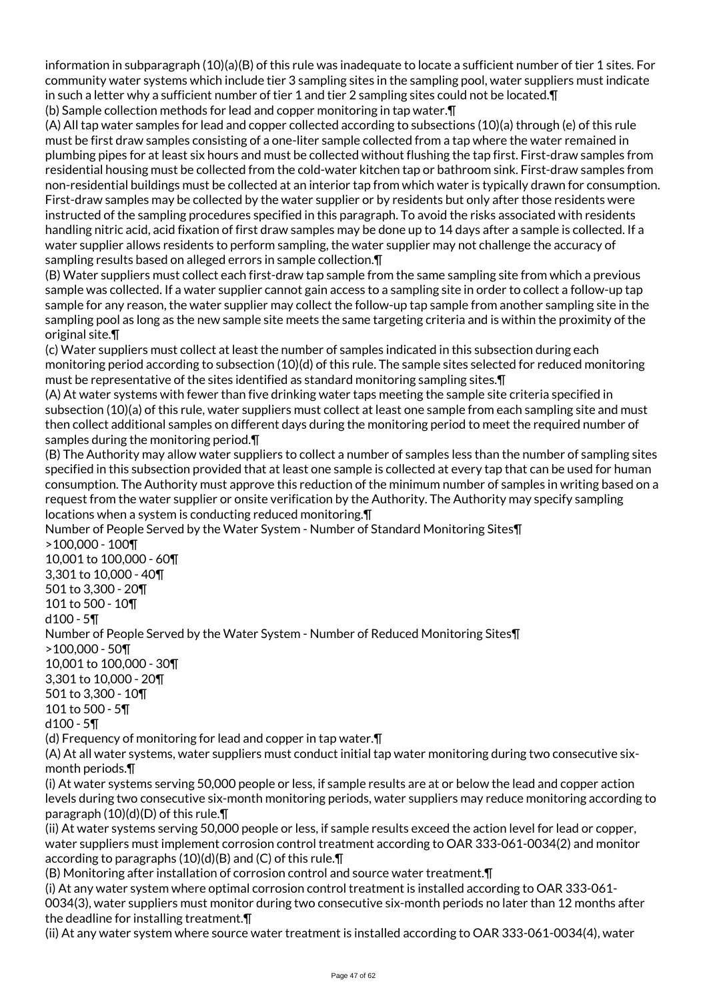information in subparagraph (10)(a)(B) of this rule was inadequate to locate a sufficient number of tier 1 sites. For community water systems which include tier 3 sampling sites in the sampling pool, water suppliers must indicate in such a letter why a sufficient number of tier 1 and tier 2 sampling sites could not be located.¶ (b) Sample collection methods for lead and copper monitoring in tap water.¶

(A) All tap water samples for lead and copper collected according to subsections (10)(a) through (e) of this rule must be first draw samples consisting of a one-liter sample collected from a tap where the water remained in plumbing pipes for at least six hours and must be collected without flushing the tap first. First-draw samples from residential housing must be collected from the cold-water kitchen tap or bathroom sink. First-draw samples from non-residential buildings must be collected at an interior tap from which water is typically drawn for consumption. First-draw samples may be collected by the water supplier or by residents but only after those residents were instructed of the sampling procedures specified in this paragraph. To avoid the risks associated with residents handling nitric acid, acid fixation of first draw samples may be done up to 14 days after a sample is collected. If a water supplier allows residents to perform sampling, the water supplier may not challenge the accuracy of sampling results based on alleged errors in sample collection.¶

(B) Water suppliers must collect each first-draw tap sample from the same sampling site from which a previous sample was collected. If a water supplier cannot gain access to a sampling site in order to collect a follow-up tap sample for any reason, the water supplier may collect the follow-up tap sample from another sampling site in the sampling pool as long as the new sample site meets the same targeting criteria and is within the proximity of the original site.¶

(c) Water suppliers must collect at least the number of samples indicated in this subsection during each monitoring period according to subsection (10)(d) of this rule. The sample sites selected for reduced monitoring must be representative of the sites identified as standard monitoring sampling sites.¶

(A) At water systems with fewer than five drinking water taps meeting the sample site criteria specified in subsection (10)(a) of this rule, water suppliers must collect at least one sample from each sampling site and must then collect additional samples on different days during the monitoring period to meet the required number of samples during the monitoring period.¶

(B) The Authority may allow water suppliers to collect a number of samples less than the number of sampling sites specified in this subsection provided that at least one sample is collected at every tap that can be used for human consumption. The Authority must approve this reduction of the minimum number of samples in writing based on a request from the water supplier or onsite verification by the Authority. The Authority may specify sampling locations when a system is conducting reduced monitoring.¶

Number of People Served by the Water System - Number of Standard Monitoring Sites¶ >100,000 - 100¶ 10,001 to 100,000 - 60¶ 3,301 to 10,000 - 40¶ 501 to 3,300 - 20¶ 101 to 500 - 10¶ d100 - 5¶ Number of People Served by the Water System - Number of Reduced Monitoring Sites¶ >100,000 - 50¶ 10,001 to 100,000 - 30¶ 3,301 to 10,000 - 20¶ 501 to 3,300 - 10¶ 101 to 500 - 5¶ d100 - 5¶ (d) Frequency of monitoring for lead and copper in tap water.¶ (A) At all water systems, water suppliers must conduct initial tap water monitoring during two consecutive sixmonth periods.¶ (i) At water systems serving 50,000 people or less, if sample results are at or below the lead and copper action levels during two consecutive six-month monitoring periods, water suppliers may reduce monitoring according to paragraph (10)(d)(D) of this rule.¶ (ii) At water systems serving 50,000 people or less, if sample results exceed the action level for lead or copper, water suppliers must implement corrosion control treatment according to OAR 333-061-0034(2) and monitor according to paragraphs (10)(d)(B) and (C) of this rule.¶

(B) Monitoring after installation of corrosion control and source water treatment.¶

(i) At any water system where optimal corrosion control treatment is installed according to OAR 333-061- 0034(3), water suppliers must monitor during two consecutive six-month periods no later than 12 months after the deadline for installing treatment.¶

(ii) At any water system where source water treatment is installed according to OAR 333-061-0034(4), water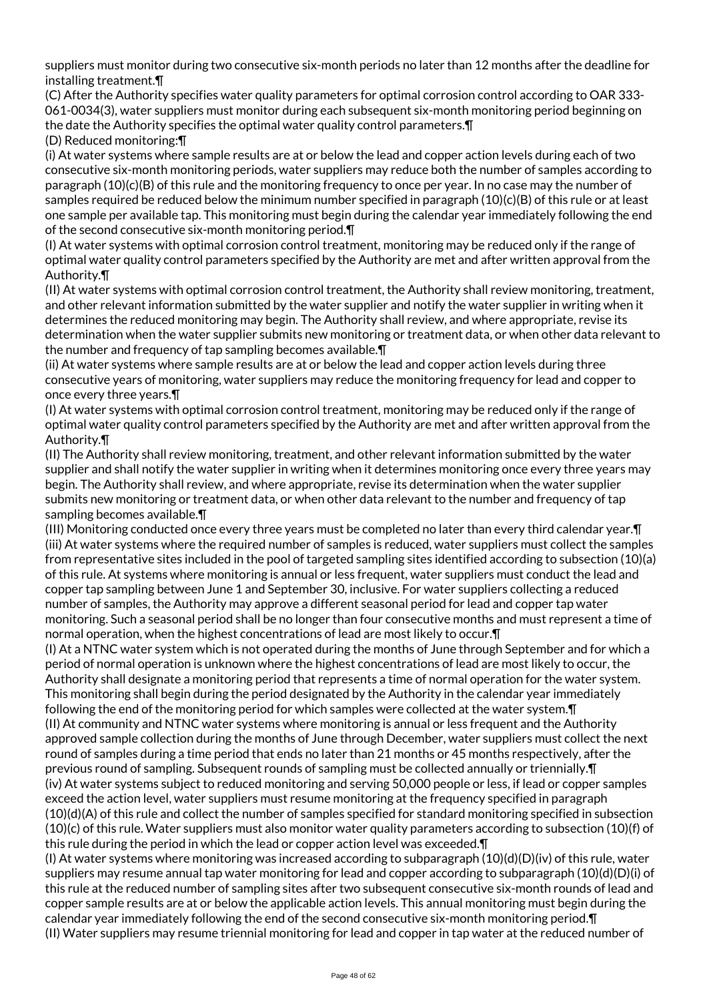suppliers must monitor during two consecutive six-month periods no later than 12 months after the deadline for installing treatment.¶

(C) After the Authority specifies water quality parameters for optimal corrosion control according to OAR 333- 061-0034(3), water suppliers must monitor during each subsequent six-month monitoring period beginning on the date the Authority specifies the optimal water quality control parameters.¶

(D) Reduced monitoring:¶

(i) At water systems where sample results are at or below the lead and copper action levels during each of two consecutive six-month monitoring periods, water suppliers may reduce both the number of samples according to paragraph (10)(c)(B) of this rule and the monitoring frequency to once per year. In no case may the number of samples required be reduced below the minimum number specified in paragraph (10)(c)(B) of this rule or at least one sample per available tap. This monitoring must begin during the calendar year immediately following the end of the second consecutive six-month monitoring period.¶

(I) At water systems with optimal corrosion control treatment, monitoring may be reduced only if the range of optimal water quality control parameters specified by the Authority are met and after written approval from the Authority.¶

(II) At water systems with optimal corrosion control treatment, the Authority shall review monitoring, treatment, and other relevant information submitted by the water supplier and notify the water supplier in writing when it determines the reduced monitoring may begin. The Authority shall review, and where appropriate, revise its determination when the water supplier submits new monitoring or treatment data, or when other data relevant to the number and frequency of tap sampling becomes available.¶

(ii) At water systems where sample results are at or below the lead and copper action levels during three consecutive years of monitoring, water suppliers may reduce the monitoring frequency for lead and copper to once every three years.¶

(I) At water systems with optimal corrosion control treatment, monitoring may be reduced only if the range of optimal water quality control parameters specified by the Authority are met and after written approval from the Authority.¶

(II) The Authority shall review monitoring, treatment, and other relevant information submitted by the water supplier and shall notify the water supplier in writing when it determines monitoring once every three years may begin. The Authority shall review, and where appropriate, revise its determination when the water supplier submits new monitoring or treatment data, or when other data relevant to the number and frequency of tap sampling becomes available.¶

(III) Monitoring conducted once every three years must be completed no later than every third calendar year.¶ (iii) At water systems where the required number of samples is reduced, water suppliers must collect the samples from representative sites included in the pool of targeted sampling sites identified according to subsection (10)(a) of this rule. At systems where monitoring is annual or less frequent, water suppliers must conduct the lead and copper tap sampling between June 1 and September 30, inclusive. For water suppliers collecting a reduced number of samples, the Authority may approve a different seasonal period for lead and copper tap water monitoring. Such a seasonal period shall be no longer than four consecutive months and must represent a time of normal operation, when the highest concentrations of lead are most likely to occur.¶

(I) At a NTNC water system which is not operated during the months of June through September and for which a period of normal operation is unknown where the highest concentrations of lead are most likely to occur, the Authority shall designate a monitoring period that represents a time of normal operation for the water system. This monitoring shall begin during the period designated by the Authority in the calendar year immediately following the end of the monitoring period for which samples were collected at the water system.¶ (II) At community and NTNC water systems where monitoring is annual or less frequent and the Authority approved sample collection during the months of June through December, water suppliers must collect the next round of samples during a time period that ends no later than 21 months or 45 months respectively, after the previous round of sampling. Subsequent rounds of sampling must be collected annually or triennially.¶ (iv) At water systems subject to reduced monitoring and serving 50,000 people or less, if lead or copper samples exceed the action level, water suppliers must resume monitoring at the frequency specified in paragraph (10)(d)(A) of this rule and collect the number of samples specified for standard monitoring specified in subsection (10)(c) of this rule. Water suppliers must also monitor water quality parameters according to subsection (10)(f) of this rule during the period in which the lead or copper action level was exceeded.¶

(I) At water systems where monitoring was increased according to subparagraph  $(10)(d)(D)(iv)$  of this rule, water suppliers may resume annual tap water monitoring for lead and copper according to subparagraph (10)(d)(D)(i) of this rule at the reduced number of sampling sites after two subsequent consecutive six-month rounds of lead and copper sample results are at or below the applicable action levels. This annual monitoring must begin during the calendar year immediately following the end of the second consecutive six-month monitoring period.¶ (II) Water suppliers may resume triennial monitoring for lead and copper in tap water at the reduced number of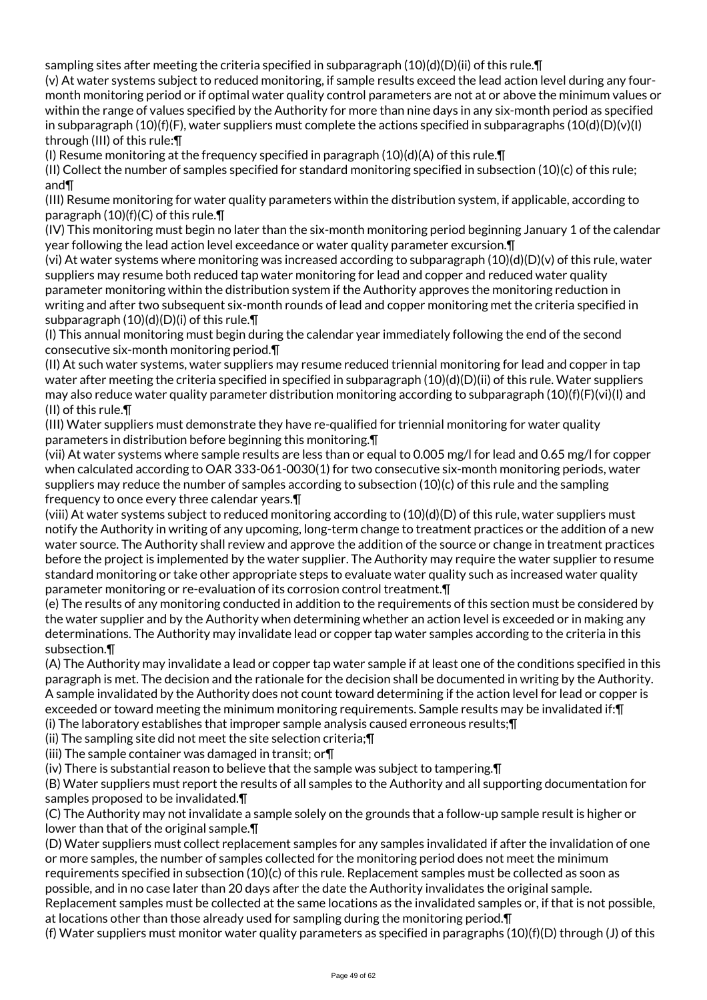sampling sites after meeting the criteria specified in subparagraph  $(10)(d)(D)(ii)$  of this rule.  $\P$ 

(v) At water systems subject to reduced monitoring, if sample results exceed the lead action level during any fourmonth monitoring period or if optimal water quality control parameters are not at or above the minimum values or within the range of values specified by the Authority for more than nine days in any six-month period as specified in subparagraph  $(10)(f)(F)$ , water suppliers must complete the actions specified in subparagraphs  $(10(d)(D)(v)(I))$ through (III) of this rule:¶

(I) Resume monitoring at the frequency specified in paragraph  $(10)(d)(A)$  of this rule.  $\P$ 

(II) Collect the number of samples specified for standard monitoring specified in subsection (10)(c) of this rule; and¶

(III) Resume monitoring for water quality parameters within the distribution system, if applicable, according to paragraph (10)(f)(C) of this rule.¶

(IV) This monitoring must begin no later than the six-month monitoring period beginning January 1 of the calendar year following the lead action level exceedance or water quality parameter excursion.¶

(vi) At water systems where monitoring was increased according to subparagraph (10)(d)(D)(v) of this rule, water suppliers may resume both reduced tap water monitoring for lead and copper and reduced water quality parameter monitoring within the distribution system if the Authority approves the monitoring reduction in writing and after two subsequent six-month rounds of lead and copper monitoring met the criteria specified in subparagraph (10)(d)(D)(i) of this rule.¶

(I) This annual monitoring must begin during the calendar year immediately following the end of the second consecutive six-month monitoring period.¶

(II) At such water systems, water suppliers may resume reduced triennial monitoring for lead and copper in tap water after meeting the criteria specified in specified in subparagraph  $(10)(d)(D)(ii)$  of this rule. Water suppliers may also reduce water quality parameter distribution monitoring according to subparagraph (10)(f)(F)(vi)(I) and (II) of this rule.¶

(III) Water suppliers must demonstrate they have re-qualified for triennial monitoring for water quality parameters in distribution before beginning this monitoring.¶

(vii) At water systems where sample results are less than or equal to 0.005 mg/l for lead and 0.65 mg/l for copper when calculated according to OAR 333-061-0030(1) for two consecutive six-month monitoring periods, water suppliers may reduce the number of samples according to subsection (10)(c) of this rule and the sampling frequency to once every three calendar years.¶

(viii) At water systems subject to reduced monitoring according to (10)(d)(D) of this rule, water suppliers must notify the Authority in writing of any upcoming, long-term change to treatment practices or the addition of a new water source. The Authority shall review and approve the addition of the source or change in treatment practices before the project is implemented by the water supplier. The Authority may require the water supplier to resume standard monitoring or take other appropriate steps to evaluate water quality such as increased water quality parameter monitoring or re-evaluation of its corrosion control treatment.¶

(e) The results of any monitoring conducted in addition to the requirements of this section must be considered by the water supplier and by the Authority when determining whether an action level is exceeded or in making any determinations. The Authority may invalidate lead or copper tap water samples according to the criteria in this subsection.¶

(A) The Authority may invalidate a lead or copper tap water sample if at least one of the conditions specified in this paragraph is met. The decision and the rationale for the decision shall be documented in writing by the Authority. A sample invalidated by the Authority does not count toward determining if the action level for lead or copper is exceeded or toward meeting the minimum monitoring requirements. Sample results may be invalidated if:¶ (i) The laboratory establishes that improper sample analysis caused erroneous results;¶

(ii) The sampling site did not meet the site selection criteria;¶

(iii) The sample container was damaged in transit; or¶

(iv) There is substantial reason to believe that the sample was subject to tampering.¶

(B) Water suppliers must report the results of all samples to the Authority and all supporting documentation for samples proposed to be invalidated.¶

(C) The Authority may not invalidate a sample solely on the grounds that a follow-up sample result is higher or lower than that of the original sample.¶

(D) Water suppliers must collect replacement samples for any samples invalidated if after the invalidation of one or more samples, the number of samples collected for the monitoring period does not meet the minimum requirements specified in subsection (10)(c) of this rule. Replacement samples must be collected as soon as possible, and in no case later than 20 days after the date the Authority invalidates the original sample.

Replacement samples must be collected at the same locations as the invalidated samples or, if that is not possible, at locations other than those already used for sampling during the monitoring period.¶

(f) Water suppliers must monitor water quality parameters as specified in paragraphs (10)(f)(D) through (J) of this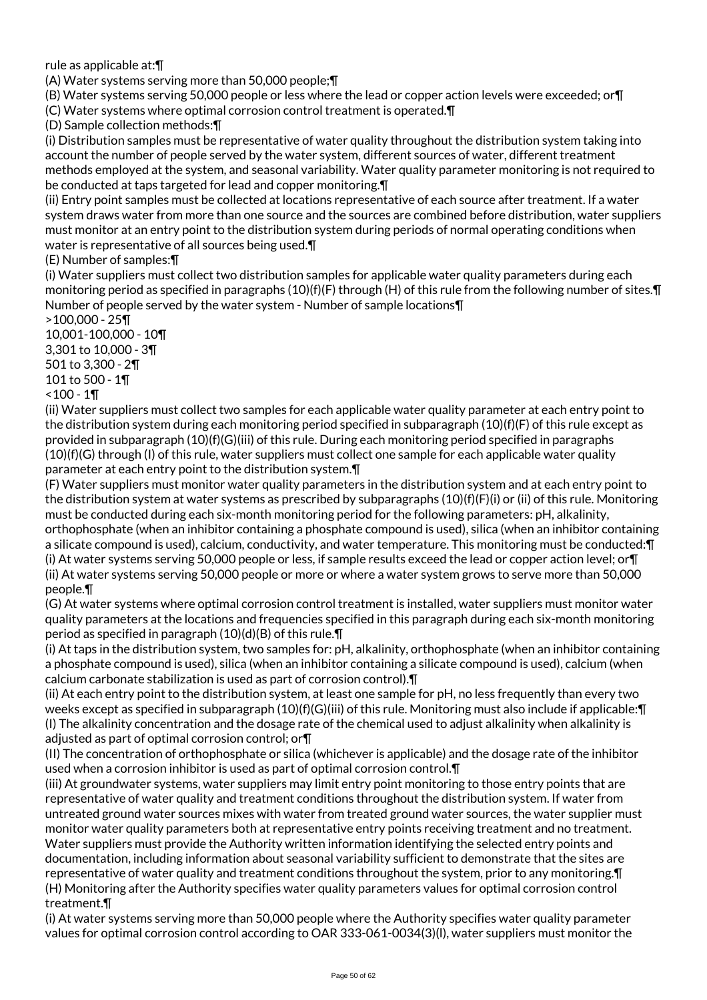rule as applicable at:¶

(A) Water systems serving more than 50,000 people;¶

(B) Water systems serving 50,000 people or less where the lead or copper action levels were exceeded; or¶ (C) Water systems where optimal corrosion control treatment is operated.¶

(D) Sample collection methods:¶

(i) Distribution samples must be representative of water quality throughout the distribution system taking into account the number of people served by the water system, different sources of water, different treatment methods employed at the system, and seasonal variability. Water quality parameter monitoring is not required to be conducted at taps targeted for lead and copper monitoring.¶

(ii) Entry point samples must be collected at locations representative of each source after treatment. If a water system draws water from more than one source and the sources are combined before distribution, water suppliers must monitor at an entry point to the distribution system during periods of normal operating conditions when water is representative of all sources being used.¶

(E) Number of samples:¶

(i) Water suppliers must collect two distribution samples for applicable water quality parameters during each monitoring period as specified in paragraphs (10)(f)(F) through (H) of this rule from the following number of sites.¶ Number of people served by the water system - Number of sample locations¶

>100,000 - 25¶

10,001-100,000 - 10¶ 3,301 to 10,000 - 3¶ 501 to 3,300 - 2¶ 101 to 500 - 1¶

 $<$  100 - 1¶

(ii) Water suppliers must collect two samples for each applicable water quality parameter at each entry point to the distribution system during each monitoring period specified in subparagraph (10)(f)(F) of this rule except as provided in subparagraph (10)(f)(G)(iii) of this rule. During each monitoring period specified in paragraphs  $(10)(f)(G)$  through (I) of this rule, water suppliers must collect one sample for each applicable water quality parameter at each entry point to the distribution system.¶

(F) Water suppliers must monitor water quality parameters in the distribution system and at each entry point to the distribution system at water systems as prescribed by subparagraphs  $(10)(f)(F)(i)$  or (ii) of this rule. Monitoring must be conducted during each six-month monitoring period for the following parameters: pH, alkalinity, orthophosphate (when an inhibitor containing a phosphate compound is used), silica (when an inhibitor containing a silicate compound is used), calcium, conductivity, and water temperature. This monitoring must be conducted:¶ (i) At water systems serving 50,000 people or less, if sample results exceed the lead or copper action level; or¶ (ii) At water systems serving 50,000 people or more or where a water system grows to serve more than 50,000 people.¶

(G) At water systems where optimal corrosion control treatment is installed, water suppliers must monitor water quality parameters at the locations and frequencies specified in this paragraph during each six-month monitoring period as specified in paragraph (10)(d)(B) of this rule.¶

(i) At taps in the distribution system, two samples for: pH, alkalinity, orthophosphate (when an inhibitor containing a phosphate compound is used), silica (when an inhibitor containing a silicate compound is used), calcium (when calcium carbonate stabilization is used as part of corrosion control).¶

(ii) At each entry point to the distribution system, at least one sample for pH, no less frequently than every two weeks except as specified in subparagraph (10)(f)(G)(iii) of this rule. Monitoring must also include if applicable:¶ (I) The alkalinity concentration and the dosage rate of the chemical used to adjust alkalinity when alkalinity is adjusted as part of optimal corrosion control; or¶

(II) The concentration of orthophosphate or silica (whichever is applicable) and the dosage rate of the inhibitor used when a corrosion inhibitor is used as part of optimal corrosion control.¶

(iii) At groundwater systems, water suppliers may limit entry point monitoring to those entry points that are representative of water quality and treatment conditions throughout the distribution system. If water from untreated ground water sources mixes with water from treated ground water sources, the water supplier must monitor water quality parameters both at representative entry points receiving treatment and no treatment. Water suppliers must provide the Authority written information identifying the selected entry points and documentation, including information about seasonal variability sufficient to demonstrate that the sites are representative of water quality and treatment conditions throughout the system, prior to any monitoring.¶ (H) Monitoring after the Authority specifies water quality parameters values for optimal corrosion control treatment.¶

(i) At water systems serving more than 50,000 people where the Authority specifies water quality parameter values for optimal corrosion control according to OAR 333-061-0034(3)(l), water suppliers must monitor the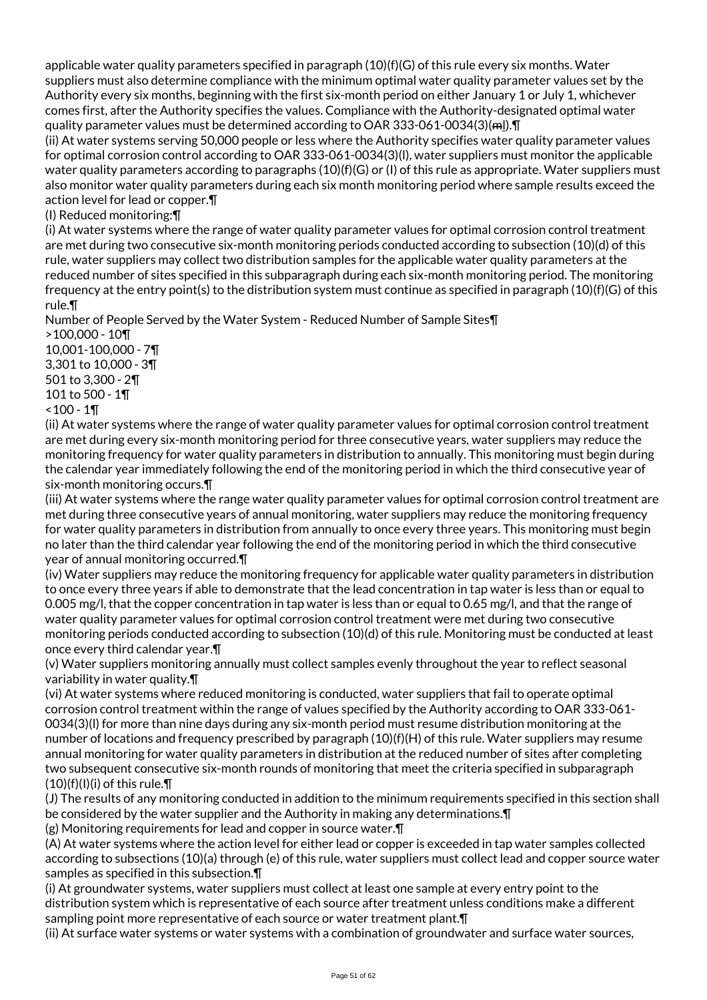applicable water quality parameters specified in paragraph (10)(f)(G) of this rule every six months. Water suppliers must also determine compliance with the minimum optimal water quality parameter values set by the Authority every six months, beginning with the first six-month period on either January 1 or July 1, whichever comes first, after the Authority specifies the values. Compliance with the Authority-designated optimal water quality parameter values must be determined according to OAR 333-061-0034(3)(ml).¶

(ii) At water systems serving 50,000 people or less where the Authority specifies water quality parameter values for optimal corrosion control according to OAR 333-061-0034(3)(l), water suppliers must monitor the applicable water quality parameters according to paragraphs  $(10)(f)(G)$  or (I) of this rule as appropriate. Water suppliers must also monitor water quality parameters during each six month monitoring period where sample results exceed the action level for lead or copper.¶

(I) Reduced monitoring:¶

(i) At water systems where the range of water quality parameter values for optimal corrosion control treatment are met during two consecutive six-month monitoring periods conducted according to subsection (10)(d) of this rule, water suppliers may collect two distribution samples for the applicable water quality parameters at the reduced number of sites specified in this subparagraph during each six-month monitoring period. The monitoring frequency at the entry point(s) to the distribution system must continue as specified in paragraph (10)(f)(G) of this rule.¶

Number of People Served by the Water System - Reduced Number of Sample Sites¶

>100,000 - 10¶ 10,001-100,000 - 7¶ 3,301 to 10,000 - 3¶ 501 to 3,300 - 2¶ 101 to 500 - 1¶  $<$  100 - 1¶

(ii) At water systems where the range of water quality parameter values for optimal corrosion control treatment are met during every six-month monitoring period for three consecutive years, water suppliers may reduce the monitoring frequency for water quality parameters in distribution to annually. This monitoring must begin during the calendar year immediately following the end of the monitoring period in which the third consecutive year of six-month monitoring occurs.¶

(iii) At water systems where the range water quality parameter values for optimal corrosion control treatment are met during three consecutive years of annual monitoring, water suppliers may reduce the monitoring frequency for water quality parameters in distribution from annually to once every three years. This monitoring must begin no later than the third calendar year following the end of the monitoring period in which the third consecutive year of annual monitoring occurred.¶

(iv) Water suppliers may reduce the monitoring frequency for applicable water quality parameters in distribution to once every three years if able to demonstrate that the lead concentration in tap water is less than or equal to 0.005 mg/l, that the copper concentration in tap water is less than or equal to 0.65 mg/l, and that the range of water quality parameter values for optimal corrosion control treatment were met during two consecutive monitoring periods conducted according to subsection (10)(d) of this rule. Monitoring must be conducted at least once every third calendar year.¶

(v) Water suppliers monitoring annually must collect samples evenly throughout the year to reflect seasonal variability in water quality.¶

(vi) At water systems where reduced monitoring is conducted, water suppliers that fail to operate optimal corrosion control treatment within the range of values specified by the Authority according to OAR 333-061- 0034(3)(l) for more than nine days during any six-month period must resume distribution monitoring at the number of locations and frequency prescribed by paragraph (10)(f)(H) of this rule. Water suppliers may resume annual monitoring for water quality parameters in distribution at the reduced number of sites after completing two subsequent consecutive six-month rounds of monitoring that meet the criteria specified in subparagraph  $(10)(f)(I)(i)$  of this rule. $\P$ 

(J) The results of any monitoring conducted in addition to the minimum requirements specified in this section shall be considered by the water supplier and the Authority in making any determinations.¶ (g) Monitoring requirements for lead and copper in source water.¶

(A) At water systems where the action level for either lead or copper is exceeded in tap water samples collected according to subsections (10)(a) through (e) of this rule, water suppliers must collect lead and copper source water samples as specified in this subsection.¶

(i) At groundwater systems, water suppliers must collect at least one sample at every entry point to the distribution system which is representative of each source after treatment unless conditions make a different sampling point more representative of each source or water treatment plant. [1]

(ii) At surface water systems or water systems with a combination of groundwater and surface water sources,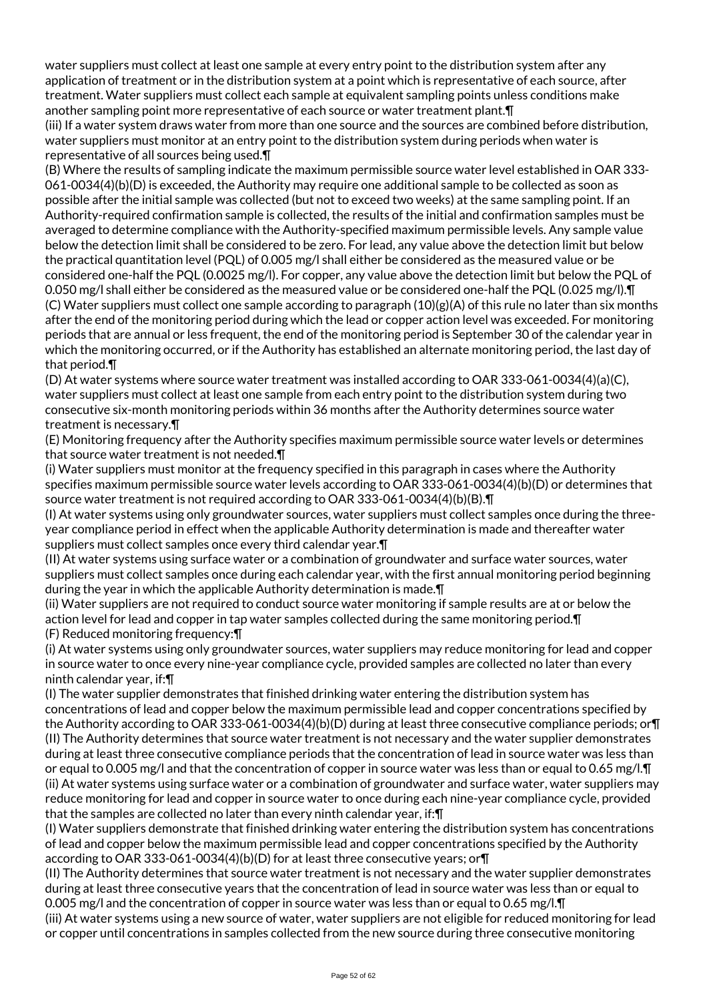water suppliers must collect at least one sample at every entry point to the distribution system after any application of treatment or in the distribution system at a point which is representative of each source, after treatment. Water suppliers must collect each sample at equivalent sampling points unless conditions make another sampling point more representative of each source or water treatment plant.¶

(iii) If a water system draws water from more than one source and the sources are combined before distribution, water suppliers must monitor at an entry point to the distribution system during periods when water is representative of all sources being used.¶

(B) Where the results of sampling indicate the maximum permissible source water level established in OAR 333- 061-0034(4)(b)(D) is exceeded, the Authority may require one additional sample to be collected as soon as possible after the initial sample was collected (but not to exceed two weeks) at the same sampling point. If an Authority-required confirmation sample is collected, the results of the initial and confirmation samples must be averaged to determine compliance with the Authority-specified maximum permissible levels. Any sample value below the detection limit shall be considered to be zero. For lead, any value above the detection limit but below the practical quantitation level (PQL) of 0.005 mg/l shall either be considered as the measured value or be considered one-half the PQL (0.0025 mg/l). For copper, any value above the detection limit but below the PQL of 0.050 mg/l shall either be considered as the measured value or be considered one-half the PQL (0.025 mg/l).¶ (C) Water suppliers must collect one sample according to paragraph (10)(g)(A) of this rule no later than six months after the end of the monitoring period during which the lead or copper action level was exceeded. For monitoring periods that are annual or less frequent, the end of the monitoring period is September 30 of the calendar year in which the monitoring occurred, or if the Authority has established an alternate monitoring period, the last day of that period.¶

(D) At water systems where source water treatment was installed according to OAR 333-061-0034(4)(a)(C), water suppliers must collect at least one sample from each entry point to the distribution system during two consecutive six-month monitoring periods within 36 months after the Authority determines source water treatment is necessary.¶

(E) Monitoring frequency after the Authority specifies maximum permissible source water levels or determines that source water treatment is not needed.¶

(i) Water suppliers must monitor at the frequency specified in this paragraph in cases where the Authority specifies maximum permissible source water levels according to OAR 333-061-0034(4)(b)(D) or determines that source water treatment is not required according to OAR 333-061-0034(4)(b)(B).¶

(I) At water systems using only groundwater sources, water suppliers must collect samples once during the threeyear compliance period in effect when the applicable Authority determination is made and thereafter water suppliers must collect samples once every third calendar year.¶

(II) At water systems using surface water or a combination of groundwater and surface water sources, water suppliers must collect samples once during each calendar year, with the first annual monitoring period beginning during the year in which the applicable Authority determination is made.¶

(ii) Water suppliers are not required to conduct source water monitoring if sample results are at or below the action level for lead and copper in tap water samples collected during the same monitoring period. I (F) Reduced monitoring frequency:¶

(i) At water systems using only groundwater sources, water suppliers may reduce monitoring for lead and copper in source water to once every nine-year compliance cycle, provided samples are collected no later than every ninth calendar year, if:¶

(I) The water supplier demonstrates that finished drinking water entering the distribution system has concentrations of lead and copper below the maximum permissible lead and copper concentrations specified by the Authority according to OAR 333-061-0034(4)(b)(D) during at least three consecutive compliance periods; or¶ (II) The Authority determines that source water treatment is not necessary and the water supplier demonstrates during at least three consecutive compliance periods that the concentration of lead in source water was less than or equal to 0.005 mg/l and that the concentration of copper in source water was less than or equal to 0.65 mg/l.¶ (ii) At water systems using surface water or a combination of groundwater and surface water, water suppliers may reduce monitoring for lead and copper in source water to once during each nine-year compliance cycle, provided that the samples are collected no later than every ninth calendar year, if:¶

(I) Water suppliers demonstrate that finished drinking water entering the distribution system has concentrations of lead and copper below the maximum permissible lead and copper concentrations specified by the Authority according to OAR 333-061-0034(4)(b)(D) for at least three consecutive years; or¶

(II) The Authority determines that source water treatment is not necessary and the water supplier demonstrates during at least three consecutive years that the concentration of lead in source water was less than or equal to 0.005 mg/l and the concentration of copper in source water was less than or equal to 0.65 mg/l.¶

(iii) At water systems using a new source of water, water suppliers are not eligible for reduced monitoring for lead or copper until concentrations in samples collected from the new source during three consecutive monitoring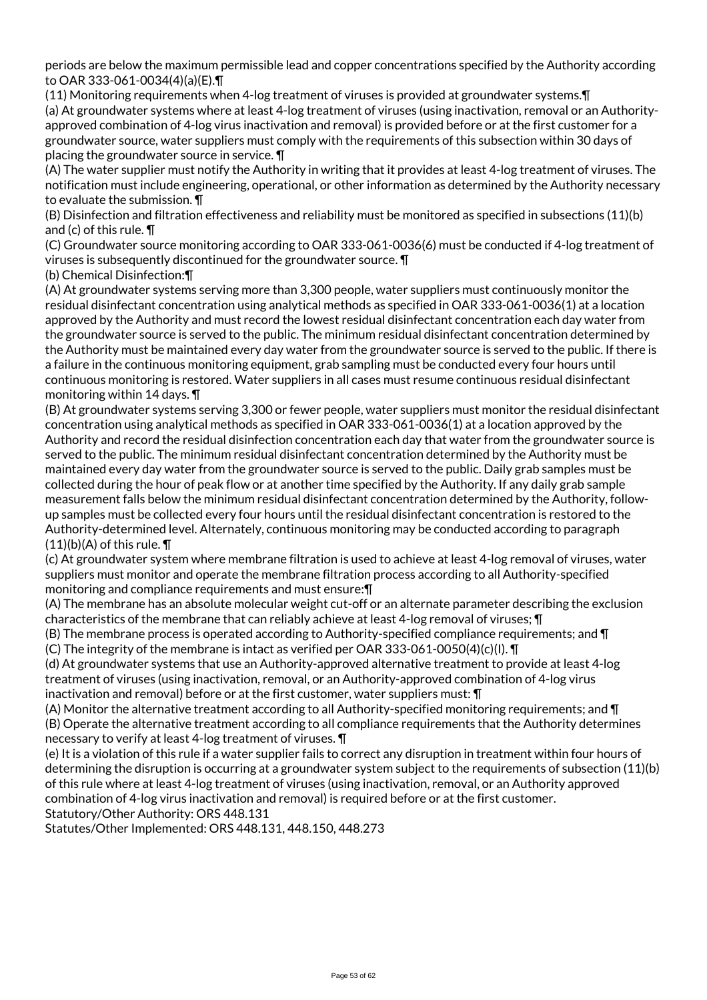periods are below the maximum permissible lead and copper concentrations specified by the Authority according to OAR 333-061-0034(4)(a)(E).¶

(11) Monitoring requirements when 4-log treatment of viruses is provided at groundwater systems.¶ (a) At groundwater systems where at least 4-log treatment of viruses (using inactivation, removal or an Authorityapproved combination of 4-log virus inactivation and removal) is provided before or at the first customer for a groundwater source, water suppliers must comply with the requirements of this subsection within 30 days of placing the groundwater source in service. ¶

(A) The water supplier must notify the Authority in writing that it provides at least 4-log treatment of viruses. The notification must include engineering, operational, or other information as determined by the Authority necessary to evaluate the submission. ¶

(B) Disinfection and filtration effectiveness and reliability must be monitored as specified in subsections (11)(b) and (c) of this rule. ¶

(C) Groundwater source monitoring according to OAR 333-061-0036(6) must be conducted if 4-log treatment of viruses is subsequently discontinued for the groundwater source. ¶

(b) Chemical Disinfection:¶

(A) At groundwater systems serving more than 3,300 people, water suppliers must continuously monitor the residual disinfectant concentration using analytical methods as specified in OAR 333-061-0036(1) at a location approved by the Authority and must record the lowest residual disinfectant concentration each day water from the groundwater source is served to the public. The minimum residual disinfectant concentration determined by the Authority must be maintained every day water from the groundwater source is served to the public. If there is a failure in the continuous monitoring equipment, grab sampling must be conducted every four hours until continuous monitoring is restored. Water suppliers in all cases must resume continuous residual disinfectant monitoring within 14 days. ¶

(B) At groundwater systems serving 3,300 or fewer people, water suppliers must monitor the residual disinfectant concentration using analytical methods as specified in OAR 333-061-0036(1) at a location approved by the Authority and record the residual disinfection concentration each day that water from the groundwater source is served to the public. The minimum residual disinfectant concentration determined by the Authority must be maintained every day water from the groundwater source is served to the public. Daily grab samples must be collected during the hour of peak flow or at another time specified by the Authority. If any daily grab sample measurement falls below the minimum residual disinfectant concentration determined by the Authority, followup samples must be collected every four hours until the residual disinfectant concentration is restored to the Authority-determined level. Alternately, continuous monitoring may be conducted according to paragraph  $(11)(b)(A)$  of this rule.  $\P$ 

(c) At groundwater system where membrane filtration is used to achieve at least 4-log removal of viruses, water suppliers must monitor and operate the membrane filtration process according to all Authority-specified monitoring and compliance requirements and must ensure:¶

(A) The membrane has an absolute molecular weight cut-off or an alternate parameter describing the exclusion characteristics of the membrane that can reliably achieve at least 4-log removal of viruses; ¶

(B) The membrane process is operated according to Authority-specified compliance requirements; and ¶ (C) The integrity of the membrane is intact as verified per OAR 333-061-0050(4)(c)(I). ¶

(d) At groundwater systems that use an Authority-approved alternative treatment to provide at least 4-log treatment of viruses (using inactivation, removal, or an Authority-approved combination of 4-log virus inactivation and removal) before or at the first customer, water suppliers must: ¶

(A) Monitor the alternative treatment according to all Authority-specified monitoring requirements; and ¶ (B) Operate the alternative treatment according to all compliance requirements that the Authority determines necessary to verify at least 4-log treatment of viruses. ¶

(e) It is a violation of this rule if a water supplier fails to correct any disruption in treatment within four hours of determining the disruption is occurring at a groundwater system subject to the requirements of subsection (11)(b) of this rule where at least 4-log treatment of viruses (using inactivation, removal, or an Authority approved combination of 4-log virus inactivation and removal) is required before or at the first customer. Statutory/Other Authority: ORS 448.131

Statutes/Other Implemented: ORS 448.131, 448.150, 448.273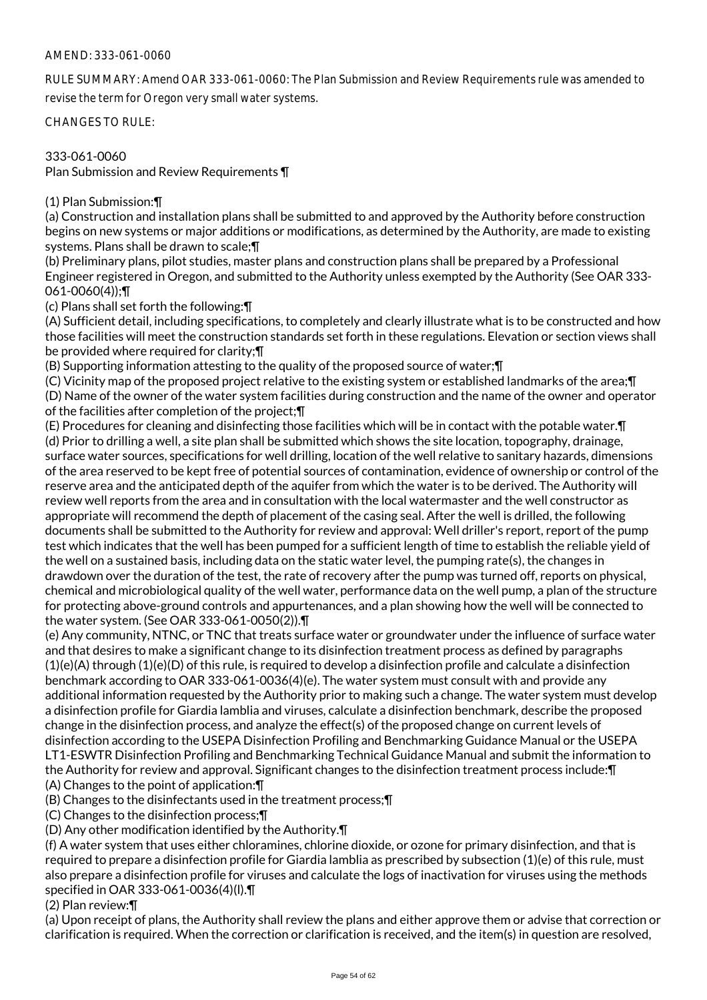## AMEND: 333-061-0060

RULE SUMMARY: Amend OAR 333-061-0060: The Plan Submission and Review Requirements rule was amended to revise the term for Oregon very small water systems.

CHANGES TO RULE:

333-061-0060

Plan Submission and Review Requirements ¶

(1) Plan Submission:¶

(a) Construction and installation plans shall be submitted to and approved by the Authority before construction begins on new systems or major additions or modifications, as determined by the Authority, are made to existing systems. Plans shall be drawn to scale;¶

(b) Preliminary plans, pilot studies, master plans and construction plans shall be prepared by a Professional Engineer registered in Oregon, and submitted to the Authority unless exempted by the Authority (See OAR 333- 061-0060(4));¶

(c) Plans shall set forth the following:¶

(A) Sufficient detail, including specifications, to completely and clearly illustrate what is to be constructed and how those facilities will meet the construction standards set forth in these regulations. Elevation or section views shall be provided where required for clarity;¶

(B) Supporting information attesting to the quality of the proposed source of water;¶

(C) Vicinity map of the proposed project relative to the existing system or established landmarks of the area;¶ (D) Name of the owner of the water system facilities during construction and the name of the owner and operator of the facilities after completion of the project;¶

(E) Procedures for cleaning and disinfecting those facilities which will be in contact with the potable water.¶ (d) Prior to drilling a well, a site plan shall be submitted which shows the site location, topography, drainage, surface water sources, specifications for well drilling, location of the well relative to sanitary hazards, dimensions of the area reserved to be kept free of potential sources of contamination, evidence of ownership or control of the reserve area and the anticipated depth of the aquifer from which the water is to be derived. The Authority will review well reports from the area and in consultation with the local watermaster and the well constructor as appropriate will recommend the depth of placement of the casing seal. After the well is drilled, the following documents shall be submitted to the Authority for review and approval: Well driller's report, report of the pump test which indicates that the well has been pumped for a sufficient length of time to establish the reliable yield of the well on a sustained basis, including data on the static water level, the pumping rate(s), the changes in drawdown over the duration of the test, the rate of recovery after the pump was turned off, reports on physical, chemical and microbiological quality of the well water, performance data on the well pump, a plan of the structure for protecting above-ground controls and appurtenances, and a plan showing how the well will be connected to the water system. (See OAR 333-061-0050(2)).¶

(e) Any community, NTNC, or TNC that treats surface water or groundwater under the influence of surface water and that desires to make a significant change to its disinfection treatment process as defined by paragraphs  $(1)(e)(A)$  through  $(1)(e)(D)$  of this rule, is required to develop a disinfection profile and calculate a disinfection benchmark according to OAR 333-061-0036(4)(e). The water system must consult with and provide any additional information requested by the Authority prior to making such a change. The water system must develop a disinfection profile for Giardia lamblia and viruses, calculate a disinfection benchmark, describe the proposed change in the disinfection process, and analyze the effect(s) of the proposed change on current levels of disinfection according to the USEPA Disinfection Profiling and Benchmarking Guidance Manual or the USEPA LT1-ESWTR Disinfection Profiling and Benchmarking Technical Guidance Manual and submit the information to the Authority for review and approval. Significant changes to the disinfection treatment process include:¶ (A) Changes to the point of application:¶

(B) Changes to the disinfectants used in the treatment process;¶

(C) Changes to the disinfection process;¶

(D) Any other modification identified by the Authority.¶

(f) A water system that uses either chloramines, chlorine dioxide, or ozone for primary disinfection, and that is required to prepare a disinfection profile for Giardia lamblia as prescribed by subsection (1)(e) of this rule, must also prepare a disinfection profile for viruses and calculate the logs of inactivation for viruses using the methods specified in OAR 333-061-0036(4)(l).¶

(2) Plan review:¶

(a) Upon receipt of plans, the Authority shall review the plans and either approve them or advise that correction or clarification is required. When the correction or clarification is received, and the item(s) in question are resolved,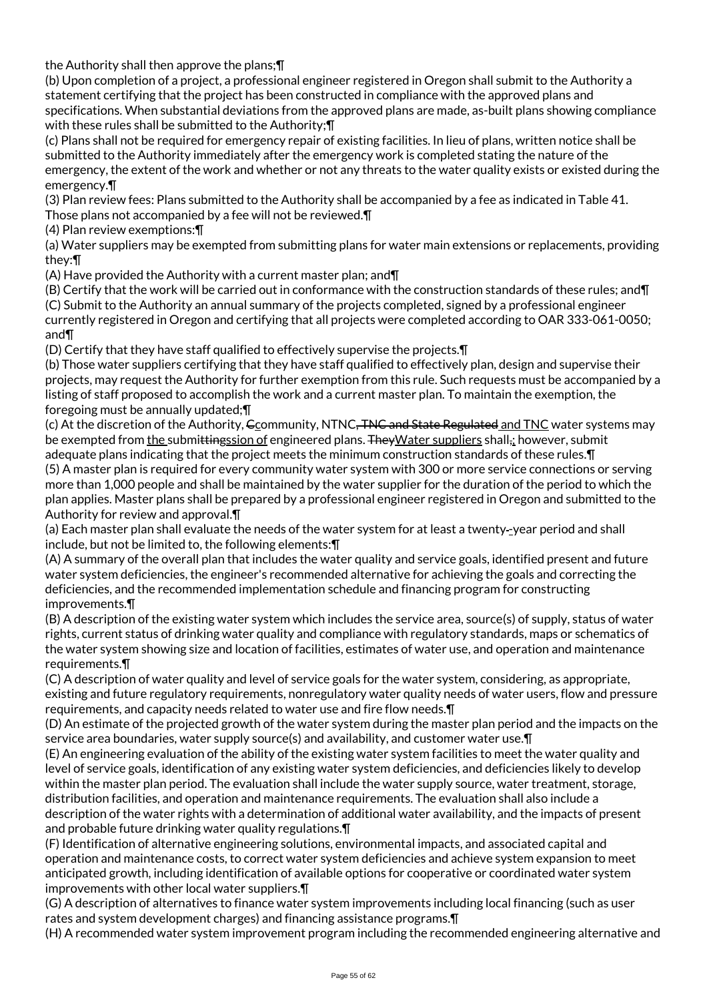the Authority shall then approve the plans;¶

(b) Upon completion of a project, a professional engineer registered in Oregon shall submit to the Authority a statement certifying that the project has been constructed in compliance with the approved plans and specifications. When substantial deviations from the approved plans are made, as-built plans showing compliance with these rules shall be submitted to the Authority;¶

(c) Plans shall not be required for emergency repair of existing facilities. In lieu of plans, written notice shall be submitted to the Authority immediately after the emergency work is completed stating the nature of the emergency, the extent of the work and whether or not any threats to the water quality exists or existed during the emergency.¶

(3) Plan review fees: Plans submitted to the Authority shall be accompanied by a fee as indicated in Table 41. Those plans not accompanied by a fee will not be reviewed.¶

(4) Plan review exemptions:¶

(a) Water suppliers may be exempted from submitting plans for water main extensions or replacements, providing they:¶

(A) Have provided the Authority with a current master plan; and¶

(B) Certify that the work will be carried out in conformance with the construction standards of these rules; and¶ (C) Submit to the Authority an annual summary of the projects completed, signed by a professional engineer currently registered in Oregon and certifying that all projects were completed according to OAR 333-061-0050; and¶

(D) Certify that they have staff qualified to effectively supervise the projects.¶

(b) Those water suppliers certifying that they have staff qualified to effectively plan, design and supervise their projects, may request the Authority for further exemption from this rule. Such requests must be accompanied by a listing of staff proposed to accomplish the work and a current master plan. To maintain the exemption, the foregoing must be annually updated;¶

(c) At the discretion of the Authority, Gcommunity, NTNC<del>, TNC and State Regulated</del> and TNC water systems may be exempted from the submittingssion of engineered plans. The Water suppliers shall, towever, submit adequate plans indicating that the project meets the minimum construction standards of these rules.¶ (5) A master plan is required for every community water system with 300 or more service connections or serving more than 1,000 people and shall be maintained by the water supplier for the duration of the period to which the plan applies. Master plans shall be prepared by a professional engineer registered in Oregon and submitted to the

Authority for review and approval.¶

(a) Each master plan shall evaluate the needs of the water system for at least a twenty -year period and shall include, but not be limited to, the following elements:¶

(A) A summary of the overall plan that includes the water quality and service goals, identified present and future water system deficiencies, the engineer's recommended alternative for achieving the goals and correcting the deficiencies, and the recommended implementation schedule and financing program for constructing improvements.¶

(B) A description of the existing water system which includes the service area, source(s) of supply, status of water rights, current status of drinking water quality and compliance with regulatory standards, maps or schematics of the water system showing size and location of facilities, estimates of water use, and operation and maintenance requirements.¶

(C) A description of water quality and level of service goals for the water system, considering, as appropriate, existing and future regulatory requirements, nonregulatory water quality needs of water users, flow and pressure requirements, and capacity needs related to water use and fire flow needs.¶

(D) An estimate of the projected growth of the water system during the master plan period and the impacts on the service area boundaries, water supply source(s) and availability, and customer water use.¶

(E) An engineering evaluation of the ability of the existing water system facilities to meet the water quality and level of service goals, identification of any existing water system deficiencies, and deficiencies likely to develop within the master plan period. The evaluation shall include the water supply source, water treatment, storage, distribution facilities, and operation and maintenance requirements. The evaluation shall also include a description of the water rights with a determination of additional water availability, and the impacts of present and probable future drinking water quality regulations.¶

(F) Identification of alternative engineering solutions, environmental impacts, and associated capital and operation and maintenance costs, to correct water system deficiencies and achieve system expansion to meet anticipated growth, including identification of available options for cooperative or coordinated water system improvements with other local water suppliers.¶

(G) A description of alternatives to finance water system improvements including local financing (such as user rates and system development charges) and financing assistance programs.¶

(H) A recommended water system improvement program including the recommended engineering alternative and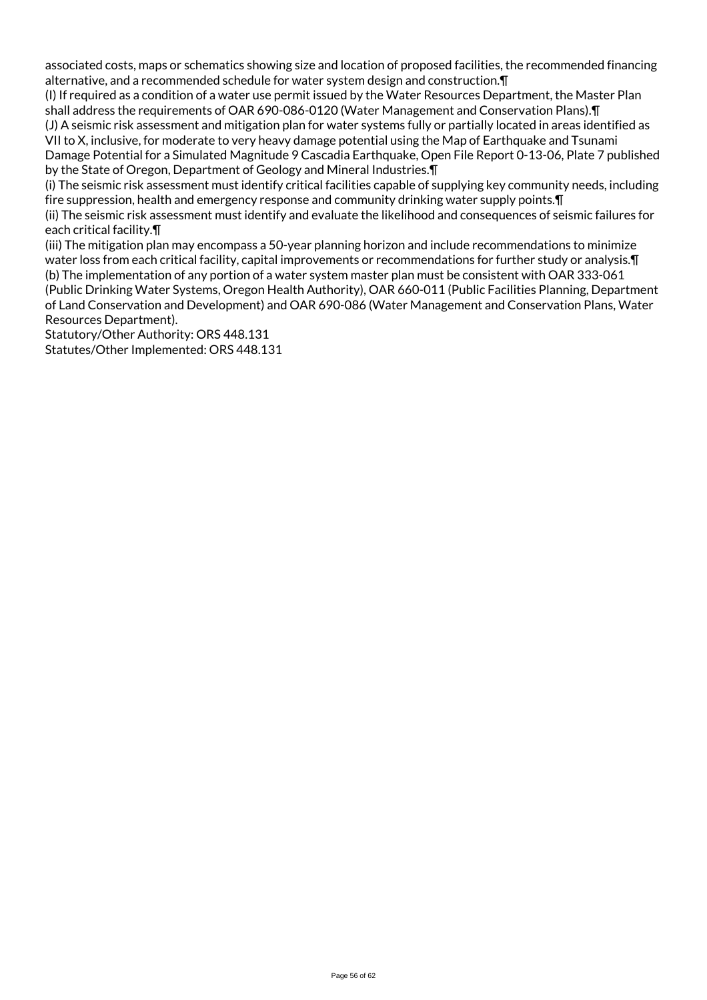associated costs, maps or schematics showing size and location of proposed facilities, the recommended financing alternative, and a recommended schedule for water system design and construction.¶

(I) If required as a condition of a water use permit issued by the Water Resources Department, the Master Plan shall address the requirements of OAR 690-086-0120 (Water Management and Conservation Plans).¶

(J) A seismic risk assessment and mitigation plan for water systems fully or partially located in areas identified as VII to X, inclusive, for moderate to very heavy damage potential using the Map of Earthquake and Tsunami Damage Potential for a Simulated Magnitude 9 Cascadia Earthquake, Open File Report 0-13-06, Plate 7 published

by the State of Oregon, Department of Geology and Mineral Industries.¶

(i) The seismic risk assessment must identify critical facilities capable of supplying key community needs, including fire suppression, health and emergency response and community drinking water supply points.¶

(ii) The seismic risk assessment must identify and evaluate the likelihood and consequences of seismic failures for each critical facility.¶

(iii) The mitigation plan may encompass a 50-year planning horizon and include recommendations to minimize water loss from each critical facility, capital improvements or recommendations for further study or analysis.¶ (b) The implementation of any portion of a water system master plan must be consistent with OAR 333-061 (Public Drinking Water Systems, Oregon Health Authority), OAR 660-011 (Public Facilities Planning, Department

of Land Conservation and Development) and OAR 690-086 (Water Management and Conservation Plans, Water Resources Department).

Statutory/Other Authority: ORS 448.131 Statutes/Other Implemented: ORS 448.131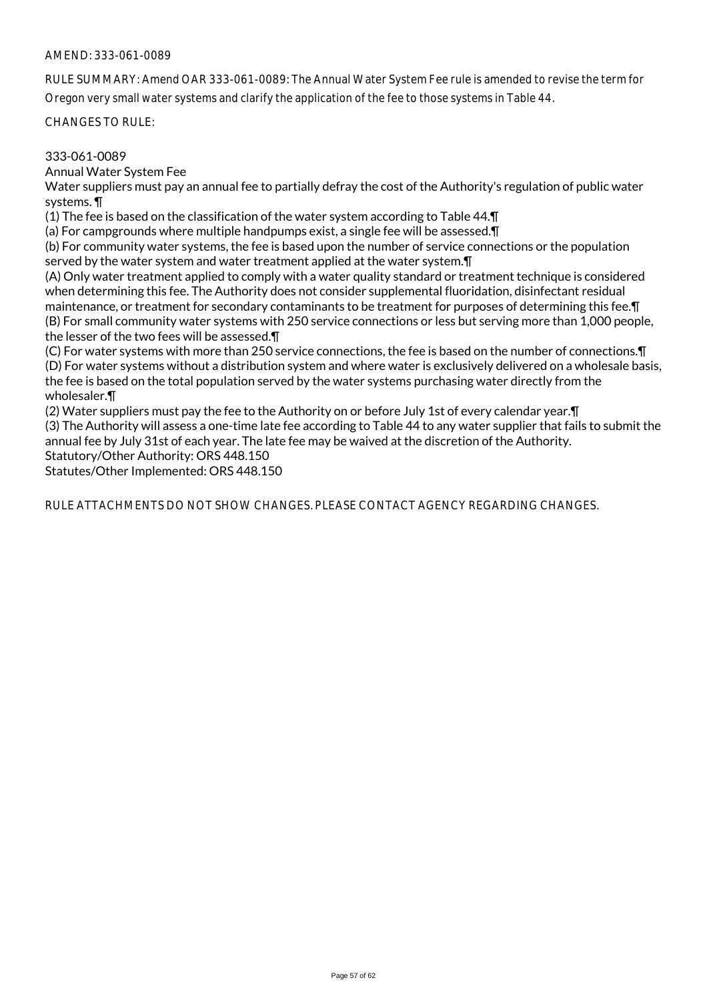#### AMEND: 333-061-0089

RULE SUMMARY: Amend OAR 333-061-0089: The Annual Water System Fee rule is amended to revise the term for Oregon very small water systems and clarify the application of the fee to those systems in Table 44.

CHANGES TO RULE:

#### 333-061-0089

Annual Water System Fee

Water suppliers must pay an annual fee to partially defray the cost of the Authority's regulation of public water systems. ¶

(1) The fee is based on the classification of the water system according to Table 44.¶

(a) For campgrounds where multiple handpumps exist, a single fee will be assessed.¶

(b) For community water systems, the fee is based upon the number of service connections or the population served by the water system and water treatment applied at the water system.¶

(A) Only water treatment applied to comply with a water quality standard or treatment technique is considered when determining this fee. The Authority does not consider supplemental fluoridation, disinfectant residual maintenance, or treatment for secondary contaminants to be treatment for purposes of determining this fee.¶ (B) For small community water systems with 250 service connections or less but serving more than 1,000 people, the lesser of the two fees will be assessed.¶

(C) For water systems with more than 250 service connections, the fee is based on the number of connections.¶ (D) For water systems without a distribution system and where water is exclusively delivered on a wholesale basis, the fee is based on the total population served by the water systems purchasing water directly from the wholesaler.¶

(2) Water suppliers must pay the fee to the Authority on or before July 1st of every calendar year.¶ (3) The Authority will assess a one-time late fee according to Table 44 to any water supplier that fails to submit the annual fee by July 31st of each year. The late fee may be waived at the discretion of the Authority. Statutory/Other Authority: ORS 448.150

Statutes/Other Implemented: ORS 448.150

RULE ATTACHMENTS DO NOT SHOW CHANGES. PLEASE CONTACT AGENCY REGARDING CHANGES.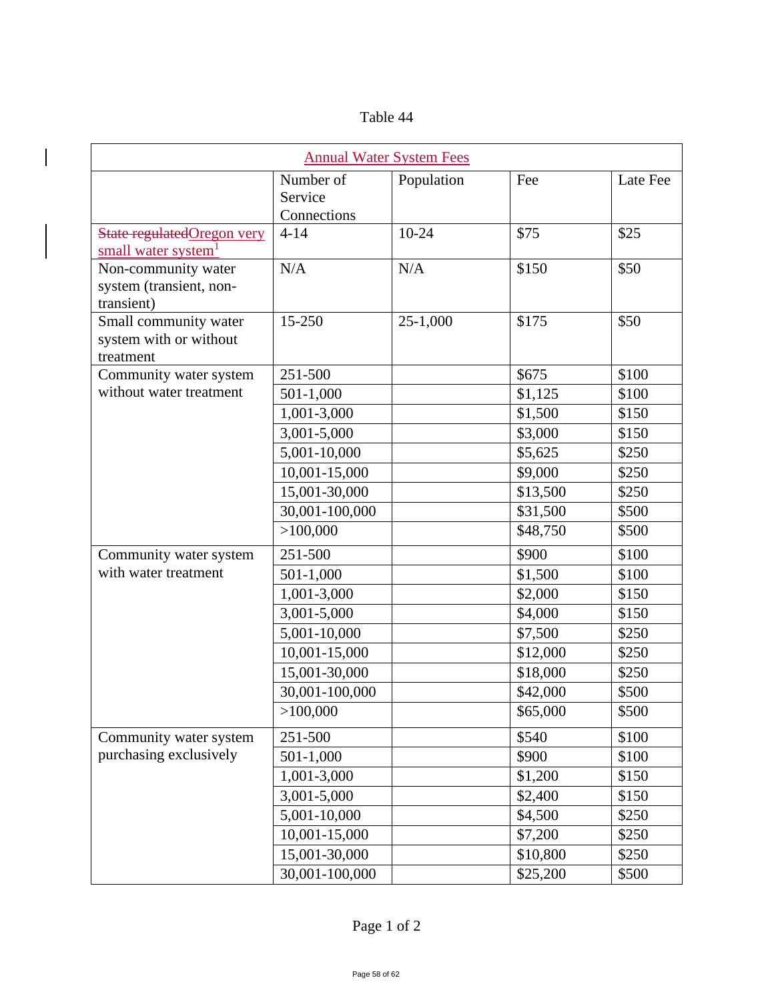|  | Table 44 |
|--|----------|
|  |          |

 $\overline{\phantom{a}}$ 

| <b>Annual Water System Fees</b>                               |                                     |            |          |          |  |  |  |
|---------------------------------------------------------------|-------------------------------------|------------|----------|----------|--|--|--|
|                                                               | Number of<br>Service<br>Connections | Population | Fee      | Late Fee |  |  |  |
| State regulatedOregon very<br>small water system <sup>1</sup> | $4 - 14$                            | $10-24$    | \$75     | \$25     |  |  |  |
| Non-community water<br>system (transient, non-<br>transient)  | N/A                                 | N/A        | \$150    | \$50     |  |  |  |
| Small community water<br>system with or without<br>treatment  | 15-250                              | 25-1,000   | \$175    | \$50     |  |  |  |
| Community water system                                        | 251-500                             |            | \$675    | \$100    |  |  |  |
| without water treatment                                       | 501-1,000                           |            | \$1,125  | \$100    |  |  |  |
|                                                               | 1,001-3,000                         |            | \$1,500  | \$150    |  |  |  |
|                                                               | 3,001-5,000                         |            | \$3,000  | \$150    |  |  |  |
|                                                               | 5,001-10,000                        |            | \$5,625  | \$250    |  |  |  |
|                                                               | 10,001-15,000                       |            | \$9,000  | \$250    |  |  |  |
|                                                               | 15,001-30,000                       |            | \$13,500 | \$250    |  |  |  |
|                                                               | 30,001-100,000                      |            | \$31,500 | \$500    |  |  |  |
|                                                               | >100,000                            |            | \$48,750 | \$500    |  |  |  |
| Community water system<br>with water treatment                | 251-500                             |            | \$900    | \$100    |  |  |  |
|                                                               | 501-1,000                           |            | \$1,500  | \$100    |  |  |  |
|                                                               | 1,001-3,000                         |            | \$2,000  | \$150    |  |  |  |
|                                                               | 3,001-5,000                         |            | \$4,000  | \$150    |  |  |  |
|                                                               | 5,001-10,000                        |            | \$7,500  | \$250    |  |  |  |
|                                                               | 10,001-15,000                       |            | \$12,000 | \$250    |  |  |  |
|                                                               | 15,001-30,000                       |            | \$18,000 | \$250    |  |  |  |
|                                                               | 30,001-100,000                      |            | \$42,000 | \$500    |  |  |  |
|                                                               | >100,000                            |            | \$65,000 | \$500    |  |  |  |
| Community water system<br>purchasing exclusively              | 251-500                             |            | \$540    | \$100    |  |  |  |
|                                                               | 501-1,000                           |            | \$900    | \$100    |  |  |  |
|                                                               | 1,001-3,000                         |            | \$1,200  | \$150    |  |  |  |
|                                                               | 3,001-5,000                         |            | \$2,400  | \$150    |  |  |  |
|                                                               | 5,001-10,000                        |            | \$4,500  | \$250    |  |  |  |
|                                                               | 10,001-15,000                       |            | \$7,200  | \$250    |  |  |  |
|                                                               | 15,001-30,000                       |            | \$10,800 | \$250    |  |  |  |
|                                                               | 30,001-100,000                      |            | \$25,200 | \$500    |  |  |  |

Page 1 of 2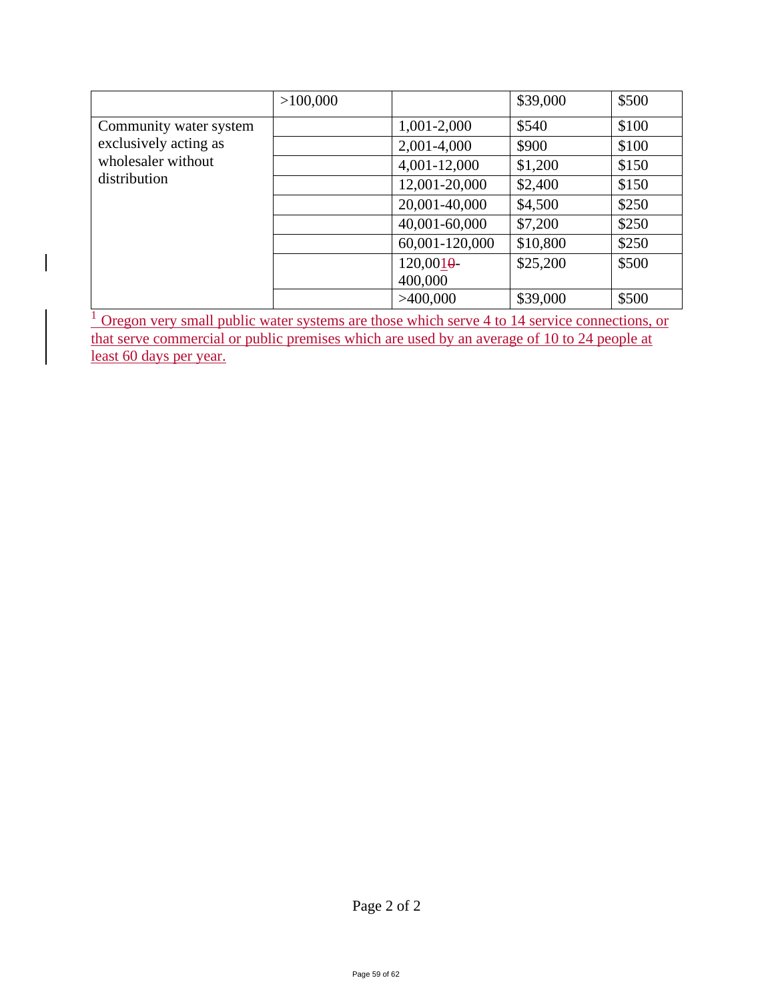|                                                                                       | >100,000 |                | \$39,000 | \$500 |
|---------------------------------------------------------------------------------------|----------|----------------|----------|-------|
| Community water system<br>exclusively acting as<br>wholesaler without<br>distribution |          | 1,001-2,000    | \$540    | \$100 |
|                                                                                       |          | 2,001-4,000    | \$900    | \$100 |
|                                                                                       |          | 4,001-12,000   | \$1,200  | \$150 |
|                                                                                       |          | 12,001-20,000  | \$2,400  | \$150 |
|                                                                                       |          | 20,001-40,000  | \$4,500  | \$250 |
|                                                                                       |          | 40,001-60,000  | \$7,200  | \$250 |
|                                                                                       |          | 60,001-120,000 | \$10,800 | \$250 |
|                                                                                       |          | 120,0010       | \$25,200 | \$500 |
|                                                                                       |          | 400,000        |          |       |
|                                                                                       |          | >400,000       | \$39,000 | \$500 |

 $\frac{1}{1}$  Oregon very small public water systems are those which serve 4 to 14 service connections, or that serve commercial or public premises which are used by an average of 10 to 24 people at least 60 days per year.

 $\begin{array}{c} \hline \end{array}$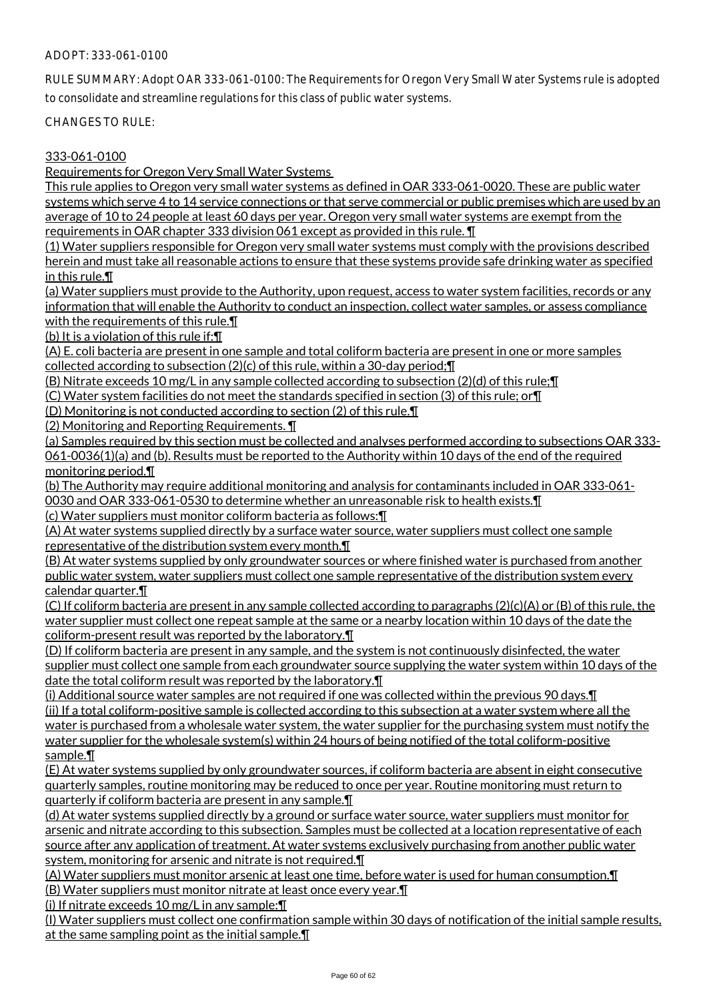## ADOPT: 333-061-0100

RULE SUMMARY: Adopt OAR 333-061-0100: The Requirements for Oregon Very Small Water Systems rule is adopted to consolidate and streamline regulations for this class of public water systems.

CHANGES TO RULE:

#### 333-061-0100

Requirements for Oregon Very Small Water Systems

This rule applies to Oregon very small water systems as defined in OAR 333-061-0020. These are public water systems which serve 4 to 14 service connections or that serve commercial or public premises which are used by an average of 10 to 24 people at least 60 days per year. Oregon very small water systems are exempt from the requirements in OAR chapter 333 division 061 except as provided in this rule. ¶

(1) Water suppliers responsible for Oregon very small water systems must comply with the provisions described herein and must take all reasonable actions to ensure that these systems provide safe drinking water as specified in this rule.¶

(a) Water suppliers must provide to the Authority, upon request, access to water system facilities, records or any information that will enable the Authority to conduct an inspection, collect water samples, or assess compliance with the requirements of this rule. $\P$ 

(b) It is a violation of this rule if:¶

(A) E. coli bacteria are present in one sample and total coliform bacteria are present in one or more samples collected according to subsection (2)(c) of this rule, within a 30-day period;¶

(B) Nitrate exceeds 10 mg/L in any sample collected according to subsection (2)(d) of this rule;¶

(C) Water system facilities do not meet the standards specified in section (3) of this rule; or¶

(D) Monitoring is not conducted according to section (2) of this rule.¶

(2) Monitoring and Reporting Requirements. ¶

(a) Samples required by this section must be collected and analyses performed according to subsections OAR 333- 061-0036(1)(a) and (b). Results must be reported to the Authority within 10 days of the end of the required monitoring period.¶

(b) The Authority may require additional monitoring and analysis for contaminants included in OAR 333-061- 0030 and OAR 333-061-0530 to determine whether an unreasonable risk to health exists.¶

(c) Water suppliers must monitor coliform bacteria as follows:¶

(A) At water systems supplied directly by a surface water source, water suppliers must collect one sample representative of the distribution system every month.¶

(B) At water systems supplied by only groundwater sources or where finished water is purchased from another public water system, water suppliers must collect one sample representative of the distribution system every calendar quarter.¶

(C) If coliform bacteria are present in any sample collected according to paragraphs (2)(c)(A) or (B) of this rule, the water supplier must collect one repeat sample at the same or a nearby location within 10 days of the date the coliform-present result was reported by the laboratory.¶

(D) If coliform bacteria are present in any sample, and the system is not continuously disinfected, the water supplier must collect one sample from each groundwater source supplying the water system within 10 days of the date the total coliform result was reported by the laboratory.¶

(i) Additional source water samples are not required if one was collected within the previous 90 days.¶ (ii) If a total coliform-positive sample is collected according to this subsection at a water system where all the water is purchased from a wholesale water system, the water supplier for the purchasing system must notify the water supplier for the wholesale system(s) within 24 hours of being notified of the total coliform-positive sample.¶

(E) At water systems supplied by only groundwater sources, if coliform bacteria are absent in eight consecutive quarterly samples, routine monitoring may be reduced to once per year. Routine monitoring must return to quarterly if coliform bacteria are present in any sample.¶

(d) At water systems supplied directly by a ground or surface water source, water suppliers must monitor for arsenic and nitrate according to this subsection. Samples must be collected at a location representative of each source after any application of treatment. At water systems exclusively purchasing from another public water system, monitoring for arsenic and nitrate is not required.¶

(A) Water suppliers must monitor arsenic at least one time, before water is used for human consumption.¶ (B) Water suppliers must monitor nitrate at least once every year.¶

(i) If nitrate exceeds 10 mg/L in any sample:¶

(I) Water suppliers must collect one confirmation sample within 30 days of notification of the initial sample results, at the same sampling point as the initial sample.¶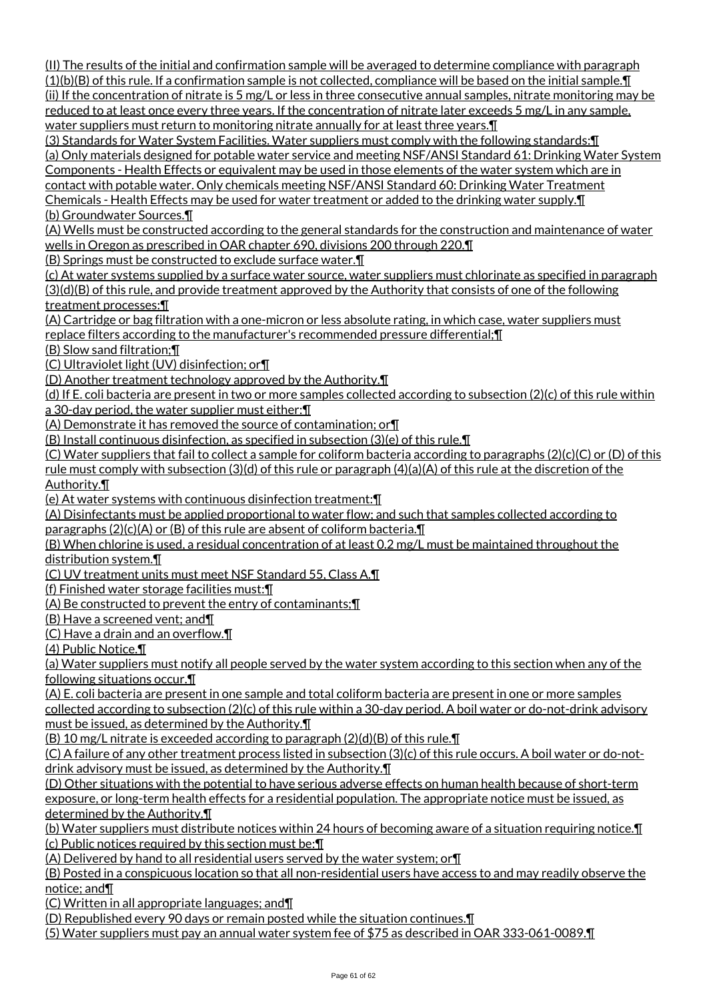(II) The results of the initial and confirmation sample will be averaged to determine compliance with paragraph  $(1)(b)(B)$  of this rule. If a confirmation sample is not collected, compliance will be based on the initial sample. $\P$ (ii) If the concentration of nitrate is 5 mg/L or less in three consecutive annual samples, nitrate monitoring may be reduced to at least once every three years. If the concentration of nitrate later exceeds 5 mg/L in any sample, water suppliers must return to monitoring nitrate annually for at least three years.  $\P$ 

(3) Standards for Water System Facilities. Water suppliers must comply with the following standards:¶ (a) Only materials designed for potable water service and meeting NSF/ANSI Standard 61: Drinking Water System Components - Health Effects or equivalent may be used in those elements of the water system which are in contact with potable water. Only chemicals meeting NSF/ANSI Standard 60: Drinking Water Treatment Chemicals - Health Effects may be used for water treatment or added to the drinking water supply.¶

(b) Groundwater Sources.¶

(A) Wells must be constructed according to the general standards for the construction and maintenance of water wells in Oregon as prescribed in OAR chapter 690, divisions 200 through 220.¶

(B) Springs must be constructed to exclude surface water.¶

(c) At water systems supplied by a surface water source, water suppliers must chlorinate as specified in paragraph (3)(d)(B) of this rule, and provide treatment approved by the Authority that consists of one of the following treatment processes:¶

(A) Cartridge or bag filtration with a one-micron or less absolute rating, in which case, water suppliers must replace filters according to the manufacturer's recommended pressure differential;¶

(B) Slow sand filtration;¶

(C) Ultraviolet light (UV) disinfection; or¶

(D) Another treatment technology approved by the Authority.¶

(d) If E. coli bacteria are present in two or more samples collected according to subsection (2)(c) of this rule within a 30-day period, the water supplier must either:¶

(A) Demonstrate it has removed the source of contamination; or¶

(B) Install continuous disinfection, as specified in subsection (3)(e) of this rule.¶

(C) Water suppliers that fail to collect a sample for coliform bacteria according to paragraphs (2)(c)(C) or (D) of this rule must comply with subsection (3)(d) of this rule or paragraph (4)(a)(A) of this rule at the discretion of the Authority.¶

(e) At water systems with continuous disinfection treatment:¶

(A) Disinfectants must be applied proportional to water flow; and such that samples collected according to paragraphs (2)(c)(A) or (B) of this rule are absent of coliform bacteria.¶

(B) When chlorine is used, a residual concentration of at least 0.2 mg/L must be maintained throughout the distribution system.¶

(C) UV treatment units must meet NSF Standard 55, Class A.¶

(f) Finished water storage facilities must:¶

(A) Be constructed to prevent the entry of contaminants;¶

(B) Have a screened vent; and¶

(C) Have a drain and an overflow.¶

(4) Public Notice.¶

(a) Water suppliers must notify all people served by the water system according to this section when any of the following situations occur.¶

(A) E. coli bacteria are present in one sample and total coliform bacteria are present in one or more samples collected according to subsection (2)(c) of this rule within a 30-day period. A boil water or do-not-drink advisory

must be issued, as determined by the Authority.¶

(B) 10 mg/L nitrate is exceeded according to paragraph (2)(d)(B) of this rule.¶

(C) A failure of any other treatment process listed in subsection (3)(c) of this rule occurs. A boil water or do-notdrink advisory must be issued, as determined by the Authority.¶

(D) Other situations with the potential to have serious adverse effects on human health because of short-term exposure, or long-term health effects for a residential population. The appropriate notice must be issued, as determined by the Authority.¶

(b) Water suppliers must distribute notices within 24 hours of becoming aware of a situation requiring notice.¶ (c) Public notices required by this section must be:¶

(A) Delivered by hand to all residential users served by the water system; or¶

(B) Posted in a conspicuous location so that all non-residential users have access to and may readily observe the notice; and¶

(C) Written in all appropriate languages; and¶

(D) Republished every 90 days or remain posted while the situation continues.¶

(5) Water suppliers must pay an annual water system fee of \$75 as described in OAR 333-061-0089.¶